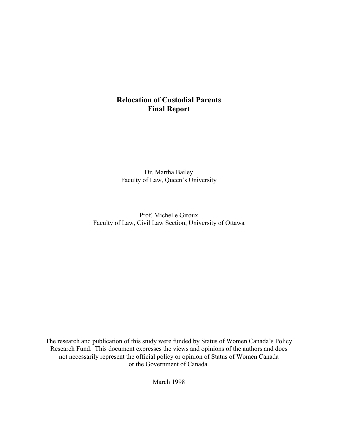# **Relocation of Custodial Parents Final Report**

Dr. Martha Bailey Faculty of Law, Queen's University

Prof. Michelle Giroux Faculty of Law, Civil Law Section, University of Ottawa

The research and publication of this study were funded by Status of Women Canada's Policy Research Fund. This document expresses the views and opinions of the authors and does not necessarily represent the official policy or opinion of Status of Women Canada or the Government of Canada.

March 1998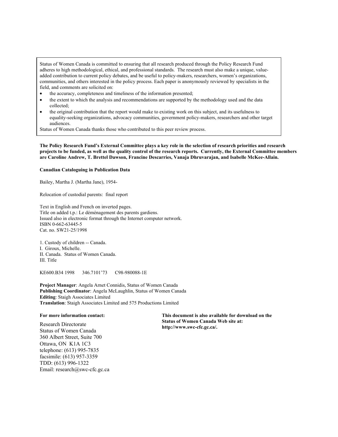Status of Women Canada is committed to ensuring that all research produced through the Policy Research Fund adheres to high methodological, ethical, and professional standards. The research must also make a unique, valueadded contribution to current policy debates, and be useful to policy-makers, researchers, women's organizations, communities, and others interested in the policy process. Each paper is anonymously reviewed by specialists in the field, and comments are solicited on:

- the accuracy, completeness and timeliness of the information presented;
- the extent to which the analysis and recommendations are supported by the methodology used and the data collected;
- the original contribution that the report would make to existing work on this subject, and its usefulness to equality-seeking organizations, advocacy communities, government policy-makers, researchers and other target audiences.

Status of Women Canada thanks those who contributed to this peer review process.

**The Policy Research Fund's External Committee plays a key role in the selection of research priorities and research projects to be funded, as well as the quality control of the research reports. Currently, the External Committee members are Caroline Andrew, T. Brettel Dawson, Francine Descarries, Vanaja Dhruvarajan, and Isabelle McKee-Allain.** 

#### **Canadian Cataloguing in Publication Data**

Bailey, Martha J. (Martha Jane), 1954-

Relocation of custodial parents: final report

Text in English and French on inverted pages. Title on added t.p.: Le déménagement des parents gardiens. Issued also in electronic format through the Internet computer network. ISBN 0-662-63445-5 Cat. no. SW21-25/1998

1. Custody of children -- Canada. I. Giroux, Michelle. II. Canada. Status of Women Canada. III. Title

KE600.B34 1998 346.7101'73 C98-980088-1E

**Project Manager**: Angela Arnet Connidis, Status of Women Canada **Publishing Coordinator**: Angela McLaughlin, Status of Women Canada **Editing**: Staigh Associates Limited **Translation**: Staigh Associates Limited and 575 Productions Limited

#### **For more information contact:**

Research Directorate Status of Women Canada 360 Albert Street, Suite 700 Ottawa, ON K1A 1C3 telephone: (613) 995-7835 facsimile: (613) 957-3359 TDD: (613) 996-1322 Email: research@swc-cfc.gc.ca **This document is also available for download on the Status of Women Canada Web site at: http://www.swc-cfc.gc.ca/.**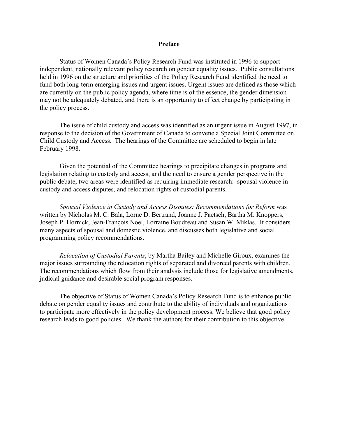#### **Preface**

 Status of Women Canada's Policy Research Fund was instituted in 1996 to support independent, nationally relevant policy research on gender equality issues. Public consultations held in 1996 on the structure and priorities of the Policy Research Fund identified the need to fund both long-term emerging issues and urgent issues. Urgent issues are defined as those which are currently on the public policy agenda, where time is of the essence, the gender dimension may not be adequately debated, and there is an opportunity to effect change by participating in the policy process.

 The issue of child custody and access was identified as an urgent issue in August 1997, in response to the decision of the Government of Canada to convene a Special Joint Committee on Child Custody and Access. The hearings of the Committee are scheduled to begin in late February 1998.

 Given the potential of the Committee hearings to precipitate changes in programs and legislation relating to custody and access, and the need to ensure a gender perspective in the public debate, two areas were identified as requiring immediate research: spousal violence in custody and access disputes, and relocation rights of custodial parents.

 *Spousal Violence in Custody and Access Disputes: Recommendations for Reform* was written by Nicholas M. C. Bala, Lorne D. Bertrand, Joanne J. Paetsch, Bartha M. Knoppers, Joseph P. Hornick, Jean-François Noel, Lorraine Boudreau and Susan W. Miklas. It considers many aspects of spousal and domestic violence, and discusses both legislative and social programming policy recommendations.

 *Relocation of Custodial Parents*, by Martha Bailey and Michelle Giroux, examines the major issues surrounding the relocation rights of separated and divorced parents with children. The recommendations which flow from their analysis include those for legislative amendments, judicial guidance and desirable social program responses.

 The objective of Status of Women Canada's Policy Research Fund is to enhance public debate on gender equality issues and contribute to the ability of individuals and organizations to participate more effectively in the policy development process. We believe that good policy research leads to good policies. We thank the authors for their contribution to this objective.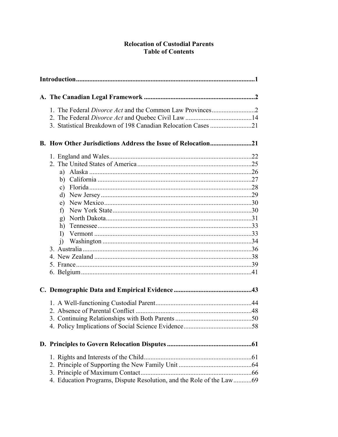# **Relocation of Custodial Parents Table of Contents**

| $\Gamma$<br>$\ddot{1}$                                               |  |
|----------------------------------------------------------------------|--|
|                                                                      |  |
|                                                                      |  |
|                                                                      |  |
| 4. Education Programs, Dispute Resolution, and the Role of the Law69 |  |
|                                                                      |  |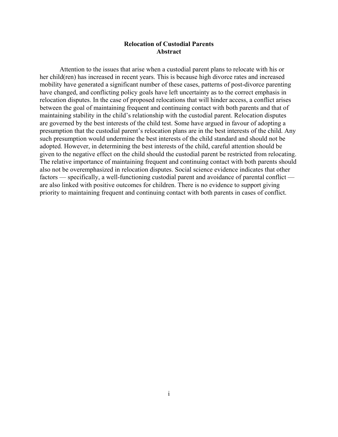# **Relocation of Custodial Parents Abstract**

 Attention to the issues that arise when a custodial parent plans to relocate with his or her child(ren) has increased in recent years. This is because high divorce rates and increased mobility have generated a significant number of these cases, patterns of post-divorce parenting have changed, and conflicting policy goals have left uncertainty as to the correct emphasis in relocation disputes. In the case of proposed relocations that will hinder access, a conflict arises between the goal of maintaining frequent and continuing contact with both parents and that of maintaining stability in the child's relationship with the custodial parent. Relocation disputes are governed by the best interests of the child test. Some have argued in favour of adopting a presumption that the custodial parent's relocation plans are in the best interests of the child. Any such presumption would undermine the best interests of the child standard and should not be adopted. However, in determining the best interests of the child, careful attention should be given to the negative effect on the child should the custodial parent be restricted from relocating. The relative importance of maintaining frequent and continuing contact with both parents should also not be overemphasized in relocation disputes. Social science evidence indicates that other factors — specifically, a well-functioning custodial parent and avoidance of parental conflict are also linked with positive outcomes for children. There is no evidence to support giving priority to maintaining frequent and continuing contact with both parents in cases of conflict.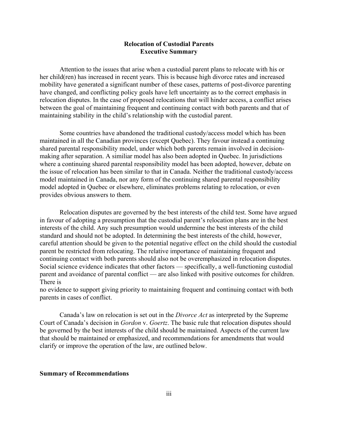# **Relocation of Custodial Parents Executive Summary**

 Attention to the issues that arise when a custodial parent plans to relocate with his or her child(ren) has increased in recent years. This is because high divorce rates and increased mobility have generated a significant number of these cases, patterns of post-divorce parenting have changed, and conflicting policy goals have left uncertainty as to the correct emphasis in relocation disputes. In the case of proposed relocations that will hinder access, a conflict arises between the goal of maintaining frequent and continuing contact with both parents and that of maintaining stability in the child's relationship with the custodial parent.

 Some countries have abandoned the traditional custody/access model which has been maintained in all the Canadian provinces (except Quebec). They favour instead a continuing shared parental responsibility model, under which both parents remain involved in decisionmaking after separation. A similiar model has also been adopted in Quebec. In jurisdictions where a continuing shared parental responsibility model has been adopted, however, debate on the issue of relocation has been similar to that in Canada. Neither the traditional custody/access model maintained in Canada, nor any form of the continuing shared parental responsibility model adopted in Quebec or elsewhere, eliminates problems relating to relocation, or even provides obvious answers to them.

 Relocation disputes are governed by the best interests of the child test. Some have argued in favour of adopting a presumption that the custodial parent's relocation plans are in the best interests of the child. Any such presumption would undermine the best interests of the child standard and should not be adopted. In determining the best interests of the child, however, careful attention should be given to the potential negative effect on the child should the custodial parent be restricted from relocating. The relative importance of maintaining frequent and continuing contact with both parents should also not be overemphasized in relocation disputes. Social science evidence indicates that other factors — specifically, a well-functioning custodial parent and avoidance of parental conflict — are also linked with positive outcomes for children. There is

no evidence to support giving priority to maintaining frequent and continuing contact with both parents in cases of conflict.

 Canada's law on relocation is set out in the *Divorce Act* as interpreted by the Supreme Court of Canada's decision in *Gordon* v. *Goertz*. The basic rule that relocation disputes should be governed by the best interests of the child should be maintained. Aspects of the current law that should be maintained or emphasized, and recommendations for amendments that would clarify or improve the operation of the law, are outlined below.

#### **Summary of Recommendations**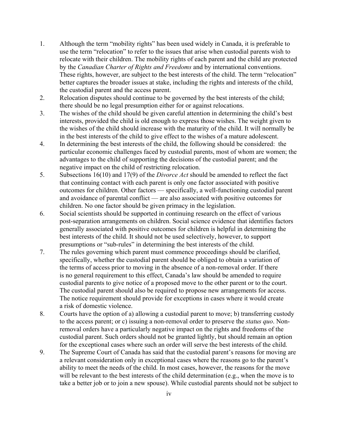- 1. Although the term "mobility rights" has been used widely in Canada, it is preferable to use the term "relocation" to refer to the issues that arise when custodial parents wish to relocate with their children. The mobility rights of each parent and the child are protected by the *Canadian Charter of Rights and Freedoms* and by international conventions. These rights, however, are subject to the best interests of the child. The term "relocation" better captures the broader issues at stake, including the rights and interests of the child, the custodial parent and the access parent.
- 2. Relocation disputes should continue to be governed by the best interests of the child; there should be no legal presumption either for or against relocations.
- 3. The wishes of the child should be given careful attention in determining the child's best interests, provided the child is old enough to express those wishes. The weight given to the wishes of the child should increase with the maturity of the child. It will normally be in the best interests of the child to give effect to the wishes of a mature adolescent.
- 4. In determining the best interests of the child, the following should be considered: the particular economic challenges faced by custodial parents, most of whom are women; the advantages to the child of supporting the decisions of the custodial parent; and the negative impact on the child of restricting relocation.
- 5. Subsections 16(10) and 17(9) of the *Divorce Act* should be amended to reflect the fact that continuing contact with each parent is only one factor associated with positive outcomes for children. Other factors — specifically, a well-functioning custodial parent and avoidance of parental conflict — are also associated with positive outcomes for children. No one factor should be given primacy in the legislation.
- 6. Social scientists should be supported in continuing research on the effect of various post-separation arrangements on children. Social science evidence that identifies factors generally associated with positive outcomes for children is helpful in determining the best interests of the child. It should not be used selectively, however, to support presumptions or "sub-rules" in determining the best interests of the child.
- 7. The rules governing which parent must commence proceedings should be clarified, specifically, whether the custodial parent should be obliged to obtain a variation of the terms of access prior to moving in the absence of a non-removal order. If there is no general requirement to this effect, Canada's law should be amended to require custodial parents to give notice of a proposed move to the other parent or to the court. The custodial parent should also be required to propose new arrangements for access. The notice requirement should provide for exceptions in cases where it would create a risk of domestic violence.
- 8. Courts have the option of a) allowing a custodial parent to move; b) transferring custody to the access parent; or c) issuing a non-removal order to preserve the *status quo*. Nonremoval orders have a particularly negative impact on the rights and freedoms of the custodial parent. Such orders should not be granted lightly, but should remain an option for the exceptional cases where such an order will serve the best interests of the child.
- 9. The Supreme Court of Canada has said that the custodial parent's reasons for moving are a relevant consideration only in exceptional cases where the reasons go to the parent's ability to meet the needs of the child. In most cases, however, the reasons for the move will be relevant to the best interests of the child determination (e.g., when the move is to take a better job or to join a new spouse). While custodial parents should not be subject to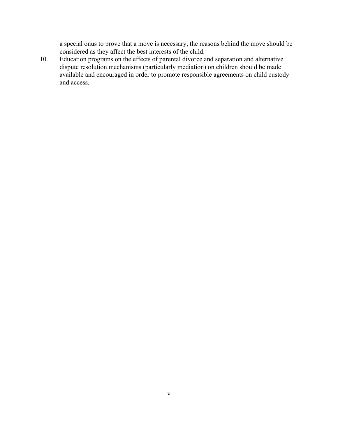a special onus to prove that a move is necessary, the reasons behind the move should be considered as they affect the best interests of the child.

10. Education programs on the effects of parental divorce and separation and alternative dispute resolution mechanisms (particularly mediation) on children should be made available and encouraged in order to promote responsible agreements on child custody and access.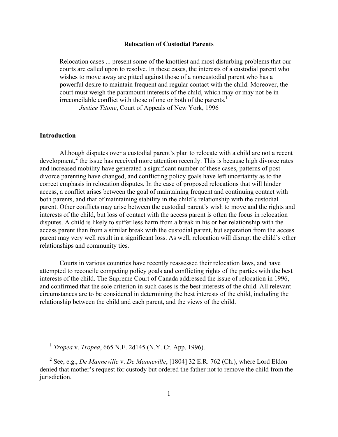### **Relocation of Custodial Parents**

Relocation cases ... present some of the knottiest and most disturbing problems that our courts are called upon to resolve. In these cases, the interests of a custodial parent who wishes to move away are pitted against those of a noncustodial parent who has a powerful desire to maintain frequent and regular contact with the child. Moreover, the court must weigh the paramount interests of the child, which may or may not be in irreconcilable conflict with those of one or both of the parents.<sup>1</sup>

*Justice Titone*, Court of Appeals of New York, 1996

# **Introduction**

 Although disputes over a custodial parent's plan to relocate with a child are not a recent development, $2\pi$  the issue has received more attention recently. This is because high divorce rates and increased mobility have generated a significant number of these cases, patterns of postdivorce parenting have changed, and conflicting policy goals have left uncertainty as to the correct emphasis in relocation disputes. In the case of proposed relocations that will hinder access, a conflict arises between the goal of maintaining frequent and continuing contact with both parents, and that of maintaining stability in the child's relationship with the custodial parent. Other conflicts may arise between the custodial parent's wish to move and the rights and interests of the child, but loss of contact with the access parent is often the focus in relocation disputes. A child is likely to suffer less harm from a break in his or her relationship with the access parent than from a similar break with the custodial parent, but separation from the access parent may very well result in a significant loss. As well, relocation will disrupt the child's other relationships and community ties.

 Courts in various countries have recently reassessed their relocation laws, and have attempted to reconcile competing policy goals and conflicting rights of the parties with the best interests of the child. The Supreme Court of Canada addressed the issue of relocation in 1996, and confirmed that the sole criterion in such cases is the best interests of the child. All relevant circumstances are to be considered in determining the best interests of the child, including the relationship between the child and each parent, and the views of the child.

 <sup>1</sup> *Tropea* v. *Tropea*, 665 N.E. 2d145 (N.Y. Ct. App. 1996).

<sup>2</sup> See, e.g., *De Manneville* v. *De Manneville*, [1804] 32 E.R. 762 (Ch.), where Lord Eldon denied that mother's request for custody but ordered the father not to remove the child from the jurisdiction.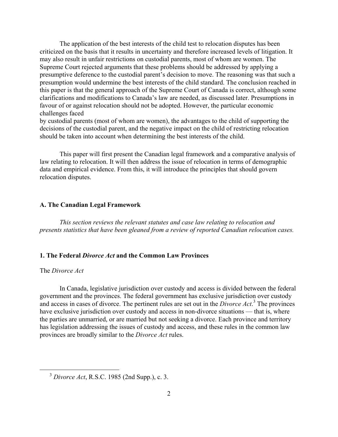The application of the best interests of the child test to relocation disputes has been criticized on the basis that it results in uncertainty and therefore increased levels of litigation. It may also result in unfair restrictions on custodial parents, most of whom are women. The Supreme Court rejected arguments that these problems should be addressed by applying a presumptive deference to the custodial parent's decision to move. The reasoning was that such a presumption would undermine the best interests of the child standard. The conclusion reached in this paper is that the general approach of the Supreme Court of Canada is correct, although some clarifications and modifications to Canada's law are needed, as discussed later. Presumptions in favour of or against relocation should not be adopted. However, the particular economic challenges faced

by custodial parents (most of whom are women), the advantages to the child of supporting the decisions of the custodial parent, and the negative impact on the child of restricting relocation should be taken into account when determining the best interests of the child.

 This paper will first present the Canadian legal framework and a comparative analysis of law relating to relocation. It will then address the issue of relocation in terms of demographic data and empirical evidence. From this, it will introduce the principles that should govern relocation disputes.

## **A. The Canadian Legal Framework**

 *This section reviews the relevant statutes and case law relating to relocation and presents statistics that have been gleaned from a review of reported Canadian relocation cases.* 

# **1. The Federal** *Divorce Act* **and the Common Law Provinces**

#### The *Divorce Act*

 In Canada, legislative jurisdiction over custody and access is divided between the federal government and the provinces. The federal government has exclusive jurisdiction over custody and access in cases of divorce. The pertinent rules are set out in the *Divorce Act*.<sup>3</sup> The provinces have exclusive jurisdiction over custody and access in non-divorce situations — that is, where the parties are unmarried, or are married but not seeking a divorce. Each province and territory has legislation addressing the issues of custody and access, and these rules in the common law provinces are broadly similar to the *Divorce Act* rules.

 <sup>3</sup> *Divorce Act*, R.S.C. 1985 (2nd Supp.), c. 3.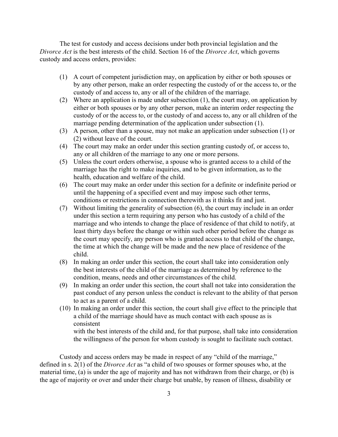The test for custody and access decisions under both provincial legislation and the *Divorce Act* is the best interests of the child. Section 16 of the *Divorce Act*, which governs custody and access orders, provides:

- (1) A court of competent jurisdiction may, on application by either or both spouses or by any other person, make an order respecting the custody of or the access to, or the custody of and access to, any or all of the children of the marriage.
- (2) Where an application is made under subsection (1), the court may, on application by either or both spouses or by any other person, make an interim order respecting the custody of or the access to, or the custody of and access to, any or all children of the marriage pending determination of the application under subsection (1).
- (3) A person, other than a spouse, may not make an application under subsection (1) or (2) without leave of the court.
- (4) The court may make an order under this section granting custody of, or access to, any or all children of the marriage to any one or more persons.
- (5) Unless the court orders otherwise, a spouse who is granted access to a child of the marriage has the right to make inquiries, and to be given information, as to the health, education and welfare of the child.
- (6) The court may make an order under this section for a definite or indefinite period or until the happening of a specified event and may impose such other terms, conditions or restrictions in connection therewith as it thinks fit and just.
- (7) Without limiting the generality of subsection (6), the court may include in an order under this section a term requiring any person who has custody of a child of the marriage and who intends to change the place of residence of that child to notify, at least thirty days before the change or within such other period before the change as the court may specify, any person who is granted access to that child of the change, the time at which the change will be made and the new place of residence of the child.
- (8) In making an order under this section, the court shall take into consideration only the best interests of the child of the marriage as determined by reference to the condition, means, needs and other circumstances of the child.
- (9) In making an order under this section, the court shall not take into consideration the past conduct of any person unless the conduct is relevant to the ability of that person to act as a parent of a child.
- (10) In making an order under this section, the court shall give effect to the principle that a child of the marriage should have as much contact with each spouse as is consistent

with the best interests of the child and, for that purpose, shall take into consideration the willingness of the person for whom custody is sought to facilitate such contact.

 Custody and access orders may be made in respect of any "child of the marriage," defined in s. 2(1) of the *Divorce Act* as "a child of two spouses or former spouses who, at the material time, (a) is under the age of majority and has not withdrawn from their charge, or (b) is the age of majority or over and under their charge but unable, by reason of illness, disability or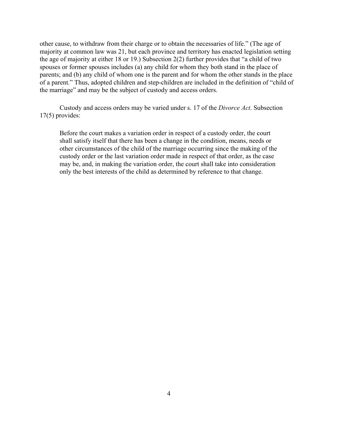other cause, to withdraw from their charge or to obtain the necessaries of life." (The age of majority at common law was 21, but each province and territory has enacted legislation setting the age of majority at either 18 or 19.) Subsection 2(2) further provides that "a child of two spouses or former spouses includes (a) any child for whom they both stand in the place of parents; and (b) any child of whom one is the parent and for whom the other stands in the place of a parent." Thus, adopted children and step-children are included in the definition of "child of the marriage" and may be the subject of custody and access orders.

 Custody and access orders may be varied under s. 17 of the *Divorce Act*. Subsection 17(5) provides:

Before the court makes a variation order in respect of a custody order, the court shall satisfy itself that there has been a change in the condition, means, needs or other circumstances of the child of the marriage occurring since the making of the custody order or the last variation order made in respect of that order, as the case may be, and, in making the variation order, the court shall take into consideration only the best interests of the child as determined by reference to that change.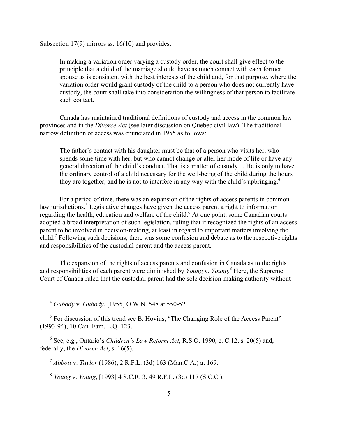Subsection 17(9) mirrors ss. 16(10) and provides:

In making a variation order varying a custody order, the court shall give effect to the principle that a child of the marriage should have as much contact with each former spouse as is consistent with the best interests of the child and, for that purpose, where the variation order would grant custody of the child to a person who does not currently have custody, the court shall take into consideration the willingness of that person to facilitate such contact.

 Canada has maintained traditional definitions of custody and access in the common law provinces and in the *Divorce Act* (see later discussion on Quebec civil law). The traditional narrow definition of access was enunciated in 1955 as follows:

The father's contact with his daughter must be that of a person who visits her, who spends some time with her, but who cannot change or alter her mode of life or have any general direction of the child's conduct. That is a matter of custody ... He is only to have the ordinary control of a child necessary for the well-being of the child during the hours they are together, and he is not to interfere in any way with the child's upbringing. $4$ 

 For a period of time, there was an expansion of the rights of access parents in common law jurisdictions.<sup>5</sup> Legislative changes have given the access parent a right to information regarding the health, education and welfare of the child.<sup>6</sup> At one point, some Canadian courts adopted a broad interpretation of such legislation, ruling that it recognized the rights of an access parent to be involved in decision-making, at least in regard to important matters involving the child.<sup>7</sup> Following such decisions, there was some confusion and debate as to the respective rights and responsibilities of the custodial parent and the access parent.

 The expansion of the rights of access parents and confusion in Canada as to the rights and responsibilities of each parent were diminished by *Young* v. *Young*. 8 Here, the Supreme Court of Canada ruled that the custodial parent had the sole decision-making authority without

4 *Gubody* v. *Gubody*, [1955] O.W.N. 548 at 550-52.

<sup>5</sup> For discussion of this trend see B. Hovius, "The Changing Role of the Access Parent" (1993-94), 10 Can. Fam. L.Q. 123.

6 See, e.g., Ontario's *Children's Law Reform Act*, R.S.O. 1990, c. C.12, s. 20(5) and, federally, the *Divorce Act*, s. 16(5).

<sup>7</sup> *Abbott* v. *Taylor* (1986), 2 R.F.L. (3d) 163 (Man.C.A.) at 169.

<sup>8</sup> *Young* v. *Young*, [1993] 4 S.C.R. 3, 49 R.F.L. (3d) 117 (S.C.C.).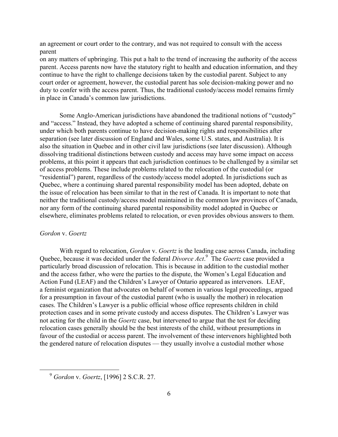an agreement or court order to the contrary, and was not required to consult with the access parent

on any matters of upbringing. This put a halt to the trend of increasing the authority of the access parent. Access parents now have the statutory right to health and education information, and they continue to have the right to challenge decisions taken by the custodial parent. Subject to any court order or agreement, however, the custodial parent has sole decision-making power and no duty to confer with the access parent. Thus, the traditional custody/access model remains firmly in place in Canada's common law jurisdictions.

 Some Anglo-American jurisdictions have abandoned the traditional notions of "custody" and "access." Instead, they have adopted a scheme of continuing shared parental responsibility, under which both parents continue to have decision-making rights and responsibilities after separation (see later discussion of England and Wales, some U.S. states, and Australia). It is also the situation in Quebec and in other civil law jurisdictions (see later discussion). Although dissolving traditional distinctions between custody and access may have some impact on access problems, at this point it appears that each jurisdiction continues to be challenged by a similar set of access problems. These include problems related to the relocation of the custodial (or "residential") parent, regardless of the custody/access model adopted. In jurisdictions such as Quebec, where a continuing shared parental responsibility model has been adopted, debate on the issue of relocation has been similar to that in the rest of Canada. It is important to note that neither the traditional custody/access model maintained in the common law provinces of Canada, nor any form of the continuing shared parental responsibility model adopted in Quebec or elsewhere, eliminates problems related to relocation, or even provides obvious answers to them.

#### *Gordon* v. *Goertz*

 With regard to relocation, *Gordon* v. *Goertz* is the leading case across Canada, including Quebec, because it was decided under the federal *Divorce Act*. 9 The *Goertz* case provided a particularly broad discussion of relocation. This is because in addition to the custodial mother and the access father, who were the parties to the dispute, the Women's Legal Education and Action Fund (LEAF) and the Children's Lawyer of Ontario appeared as intervenors. LEAF, a feminist organization that advocates on behalf of women in various legal proceedings, argued for a presumption in favour of the custodial parent (who is usually the mother) in relocation cases. The Children's Lawyer is a public official whose office represents children in child protection cases and in some private custody and access disputes. The Children's Lawyer was not acting for the child in the *Goertz* case, but intervened to argue that the test for deciding relocation cases generally should be the best interests of the child, without presumptions in favour of the custodial or access parent. The involvement of these intervenors highlighted both the gendered nature of relocation disputes — they usually involve a custodial mother whose

 <sup>9</sup> *Gordon* v. *Goertz*, [1996] 2 S.C.R. 27.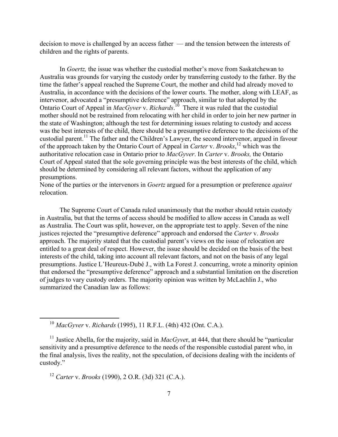decision to move is challenged by an access father — and the tension between the interests of children and the rights of parents.

 In *Goertz,* the issue was whether the custodial mother's move from Saskatchewan to Australia was grounds for varying the custody order by transferring custody to the father. By the time the father's appeal reached the Supreme Court, the mother and child had already moved to Australia, in accordance with the decisions of the lower courts. The mother, along with LEAF, as intervenor, advocated a "presumptive deference" approach, similar to that adopted by the Ontario Court of Appeal in *MacGyver* v. *Richards*. 10 There it was ruled that the custodial mother should not be restrained from relocating with her child in order to join her new partner in the state of Washington; although the test for determining issues relating to custody and access was the best interests of the child, there should be a presumptive deference to the decisions of the custodial parent.11 The father and the Children's Lawyer, the second intervenor, argued in favour of the approach taken by the Ontario Court of Appeal in *Carter* v. *Brooks*, 12 which was the authoritative relocation case in Ontario prior to *MacGyver*. In *Carter* v. *Brooks,* the Ontario Court of Appeal stated that the sole governing principle was the best interests of the child, which should be determined by considering all relevant factors, without the application of any presumptions.

None of the parties or the intervenors in *Goertz* argued for a presumption or preference *against* relocation.

 The Supreme Court of Canada ruled unanimously that the mother should retain custody in Australia, but that the terms of access should be modified to allow access in Canada as well as Australia. The Court was split, however, on the appropriate test to apply. Seven of the nine justices rejected the "presumptive deference" approach and endorsed the *Carter* v. *Brooks* approach. The majority stated that the custodial parent's views on the issue of relocation are entitled to a great deal of respect. However, the issue should be decided on the basis of the best interests of the child, taking into account all relevant factors, and not on the basis of any legal presumptions. Justice L'Heureux-Dubé J., with La Forest J. concurring, wrote a minority opinion that endorsed the "presumptive deference" approach and a substantial limitation on the discretion of judges to vary custody orders. The majority opinion was written by McLachlin J., who summarized the Canadian law as follows:

10 *MacGyver* v. *Richards* (1995), 11 R.F.L. (4th) 432 (Ont. C.A.).

<sup>12</sup> *Carter* v. *Brooks* (1990), 2 O.R. (3d) 321 (C.A.).

<sup>&</sup>lt;sup>11</sup> Justice Abella, for the majority, said in *MacGyver*, at 444, that there should be "particular" sensitivity and a presumptive deference to the needs of the responsible custodial parent who, in the final analysis, lives the reality, not the speculation, of decisions dealing with the incidents of custody."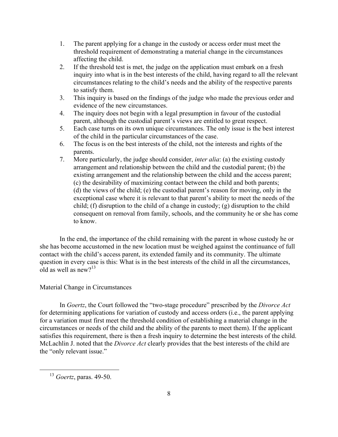- 1. The parent applying for a change in the custody or access order must meet the threshold requirement of demonstrating a material change in the circumstances affecting the child.
- 2. If the threshold test is met, the judge on the application must embark on a fresh inquiry into what is in the best interests of the child, having regard to all the relevant circumstances relating to the child's needs and the ability of the respective parents to satisfy them.
- 3. This inquiry is based on the findings of the judge who made the previous order and evidence of the new circumstances.
- 4. The inquiry does not begin with a legal presumption in favour of the custodial parent, although the custodial parent's views are entitled to great respect.
- 5. Each case turns on its own unique circumstances. The only issue is the best interest of the child in the particular circumstances of the case.
- 6. The focus is on the best interests of the child, not the interests and rights of the parents.
- 7. More particularly, the judge should consider, *inter alia*: (a) the existing custody arrangement and relationship between the child and the custodial parent; (b) the existing arrangement and the relationship between the child and the access parent; (c) the desirability of maximizing contact between the child and both parents; (d) the views of the child; (e) the custodial parent's reason for moving, only in the exceptional case where it is relevant to that parent's ability to meet the needs of the child; (f) disruption to the child of a change in custody; (g) disruption to the child consequent on removal from family, schools, and the community he or she has come to know.

 In the end, the importance of the child remaining with the parent in whose custody he or she has become accustomed in the new location must be weighed against the continuance of full contact with the child's access parent, its extended family and its community. The ultimate question in every case is this: What is in the best interests of the child in all the circumstances, old as well as  $new?$ <sup>13</sup>

# Material Change in Circumstances

 In *Goertz*, the Court followed the "two-stage procedure" prescribed by the *Divorce Act* for determining applications for variation of custody and access orders (i.e., the parent applying for a variation must first meet the threshold condition of establishing a material change in the circumstances or needs of the child and the ability of the parents to meet them). If the applicant satisfies this requirement, there is then a fresh inquiry to determine the best interests of the child. McLachlin J. noted that the *Divorce Act* clearly provides that the best interests of the child are the "only relevant issue."

 <sup>13</sup> *Goertz*, paras. 49-50.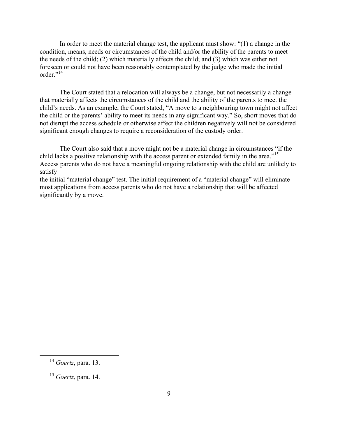In order to meet the material change test, the applicant must show: "(1) a change in the condition, means, needs or circumstances of the child and/or the ability of the parents to meet the needs of the child; (2) which materially affects the child; and (3) which was either not foreseen or could not have been reasonably contemplated by the judge who made the initial order."<sup>14</sup>

 The Court stated that a relocation will always be a change, but not necessarily a change that materially affects the circumstances of the child and the ability of the parents to meet the child's needs. As an example, the Court stated, "A move to a neighbouring town might not affect the child or the parents' ability to meet its needs in any significant way." So, short moves that do not disrupt the access schedule or otherwise affect the children negatively will not be considered significant enough changes to require a reconsideration of the custody order.

 The Court also said that a move might not be a material change in circumstances "if the child lacks a positive relationship with the access parent or extended family in the area."<sup>15</sup> Access parents who do not have a meaningful ongoing relationship with the child are unlikely to satisfy

the initial "material change" test. The initial requirement of a "material change" will eliminate most applications from access parents who do not have a relationship that will be affected significantly by a move.

 <sup>14</sup> *Goertz*, para. 13.

<sup>15</sup> *Goertz*, para. 14.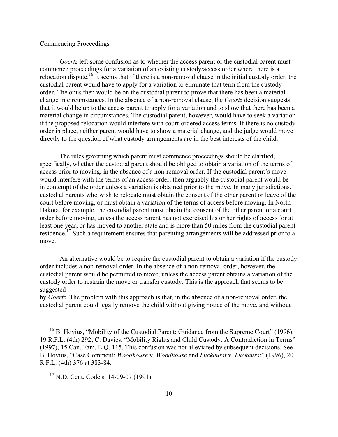# Commencing Proceedings

*Goertz* left some confusion as to whether the access parent or the custodial parent must commence proceedings for a variation of an existing custody/access order where there is a relocation dispute.16 It seems that if there is a non-removal clause in the initial custody order, the custodial parent would have to apply for a variation to eliminate that term from the custody order. The onus then would be on the custodial parent to prove that there has been a material change in circumstances. In the absence of a non-removal clause, the *Goertz* decision suggests that it would be up to the access parent to apply for a variation and to show that there has been a material change in circumstances. The custodial parent, however, would have to seek a variation if the proposed relocation would interfere with court-ordered access terms. If there is no custody order in place, neither parent would have to show a material change, and the judge would move directly to the question of what custody arrangements are in the best interests of the child.

 The rules governing which parent must commence proceedings should be clarified, specifically, whether the custodial parent should be obliged to obtain a variation of the terms of access prior to moving, in the absence of a non-removal order. If the custodial parent's move would interfere with the terms of an access order, then arguably the custodial parent would be in contempt of the order unless a variation is obtained prior to the move. In many jurisdictions, custodial parents who wish to relocate must obtain the consent of the other parent or leave of the court before moving, or must obtain a variation of the terms of access before moving. In North Dakota, for example, the custodial parent must obtain the consent of the other parent or a court order before moving, unless the access parent has not exercised his or her rights of access for at least one year, or has moved to another state and is more than 50 miles from the custodial parent residence.<sup>17</sup> Such a requirement ensures that parenting arrangements will be addressed prior to a move.

 An alternative would be to require the custodial parent to obtain a variation if the custody order includes a non-removal order. In the absence of a non-removal order, however, the custodial parent would be permitted to move, unless the access parent obtains a variation of the custody order to restrain the move or transfer custody. This is the approach that seems to be suggested

by *Goertz*. The problem with this approach is that, in the absence of a non-removal order, the custodial parent could legally remove the child without giving notice of the move, and without

 $16$  B. Hovius, "Mobility of the Custodial Parent: Guidance from the Supreme Court" (1996), 19 R.F.L. (4th) 292; C. Davies, "Mobility Rights and Child Custody: A Contradiction in Terms" (1997), 15 Can. Fam. L.Q. 115. This confusion was not alleviated by subsequent decisions. See B. Hovius, "Case Comment: *Woodhouse* v. *Woodhouse* and *Luckhurst* v*. Luckhurst*" (1996), 20 R.F.L. (4th) 376 at 383-84.

<sup>&</sup>lt;sup>17</sup> N.D. Cent. Code s. 14-09-07 (1991).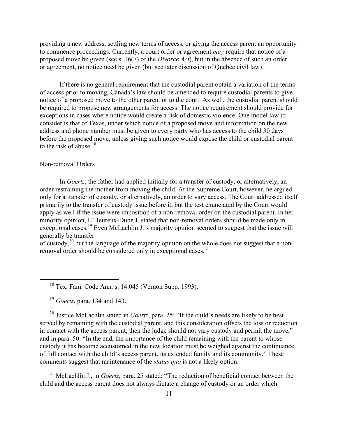providing a new address, settling new terms of access, or giving the access parent an opportunity to commence proceedings. Currently, a court order or agreement *may* require that notice of a proposed move be given (see s. 16(7) of the *Divorce Act*), but in the absence of such an order or agreement, no notice need be given (but see later discussion of Quebec civil law).

 If there is no general requirement that the custodial parent obtain a variation of the terms of access prior to moving, Canada's law should be amended to require custodial parents to give notice of a proposed move to the other parent or to the court. As well, the custodial parent should be required to propose new arrangements for access. The notice requirement should provide for exceptions in cases where notice would create a risk of domestic violence. One model law to consider is that of Texas, under which notice of a proposed move and information on the new address and phone number must be given to every party who has access to the child 30 days before the proposed move, unless giving such notice would expose the child or custodial parent to the risk of abuse.<sup>18</sup>

# Non-removal Orders

 In *Goertz*, the father had applied initially for a transfer of custody, or alternatively, an order restraining the mother from moving the child. At the Supreme Court, however, he argued only for a transfer of custody, or alternatively, an order to vary access. The Court addressed itself primarily to the transfer of custody issue before it, but the test enunciated by the Court would apply as well if the issue were imposition of a non-removal order on the custodial parent. In her minority opinion, L'Heureux-Dubé J. stated that non-removal orders should be made only in exceptional cases.<sup>19</sup> Even McLachlin J.'s majority opinion seemed to suggest that the issue will generally be transfer

of custody,<sup>20</sup> but the language of the majority opinion on the whole does not suggest that a nonremoval order should be considered only in exceptional cases.<sup>21</sup>

18 Tex. Fam. Code Ann. s. 14.045 (Vernon Supp. 1993).

<sup>19</sup> *Goertz*, para. 134 and 143.

<sup>20</sup> Justice McLachlin stated in *Goertz*, para. 25: "If the child's needs are likely to be best served by remaining with the custodial parent, and this consideration offsets the loss or reduction in contact with the access parent, then the judge should not vary custody and permit the move," and in para. 50: "In the end, the importance of the child remaining with the parent to whose custody it has become accustomed in the new location must be weighed against the continuance of full contact with the child's access parent, its extended family and its community." These comments suggest that maintenance of the *status quo* is not a likely option.

<sup>21</sup> McLachlin J., in *Goertz*, para. 25 stated: "The reduction of beneficial contact between the child and the access parent does not always dictate a change of custody or an order which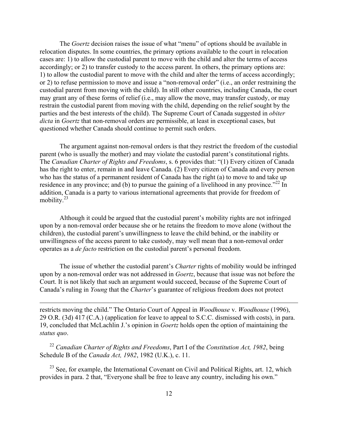The *Goertz* decision raises the issue of what "menu" of options should be available in relocation disputes. In some countries, the primary options available to the court in relocation cases are: 1) to allow the custodial parent to move with the child and alter the terms of access accordingly; or 2) to transfer custody to the access parent. In others, the primary options are: 1) to allow the custodial parent to move with the child and alter the terms of access accordingly; or 2) to refuse permission to move and issue a "non-removal order" (i.e., an order restraining the custodial parent from moving with the child). In still other countries, including Canada, the court may grant any of these forms of relief (i.e., may allow the move, may transfer custody, or may restrain the custodial parent from moving with the child, depending on the relief sought by the parties and the best interests of the child). The Supreme Court of Canada suggested in *obiter dicta* in *Goertz* that non-removal orders are permissible, at least in exceptional cases, but questioned whether Canada should continue to permit such orders.

 The argument against non-removal orders is that they restrict the freedom of the custodial parent (who is usually the mother) and may violate the custodial parent's constitutional rights. The *Canadian Charter of Rights and Freedoms*, s. 6 provides that: "(1) Every citizen of Canada has the right to enter, remain in and leave Canada. (2) Every citizen of Canada and every person who has the status of a permanent resident of Canada has the right (a) to move to and take up residence in any province; and (b) to pursue the gaining of a livelihood in any province."<sup>22</sup> In addition, Canada is a party to various international agreements that provide for freedom of mobility. $23$ 

 Although it could be argued that the custodial parent's mobility rights are not infringed upon by a non-removal order because she or he retains the freedom to move alone (without the children), the custodial parent's unwillingness to leave the child behind, or the inability or unwillingness of the access parent to take custody, may well mean that a non-removal order operates as a *de facto* restriction on the custodial parent's personal freedom.

 The issue of whether the custodial parent's *Charter* rights of mobility would be infringed upon by a non-removal order was not addressed in *Goertz*, because that issue was not before the Court. It is not likely that such an argument would succeed, because of the Supreme Court of Canada's ruling in *Young* that the *Charter*'s guarantee of religious freedom does not protect

restricts moving the child." The Ontario Court of Appeal in *Woodhouse* v. *Woodhouse* (1996), 29 O.R. (3d) 417 (C.A.) (application for leave to appeal to S.C.C. dismissed with costs), in para. 19, concluded that McLachlin J.'s opinion in *Goertz* holds open the option of maintaining the *status quo*.

 $\overline{a}$ 

<sup>22</sup> *Canadian Charter of Rights and Freedoms*, Part I of the *Constitution Act, 1982*, being Schedule B of the *Canada Act, 1982*, 1982 (U.K.), c. 11.

 $23$  See, for example, the International Covenant on Civil and Political Rights, art. 12, which provides in para. 2 that, "Everyone shall be free to leave any country, including his own."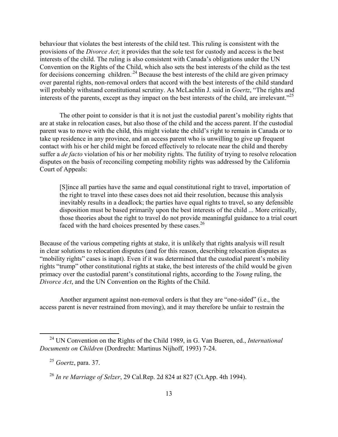behaviour that violates the best interests of the child test. This ruling is consistent with the provisions of the *Divorce Act*; it provides that the sole test for custody and access is the best interests of the child. The ruling is also consistent with Canada's obligations under the UN Convention on the Rights of the Child, which also sets the best interests of the child as the test for decisions concerning children.<sup>24</sup> Because the best interests of the child are given primacy over parental rights, non-removal orders that accord with the best interests of the child standard will probably withstand constitutional scrutiny. As McLachlin J. said in *Goertz*, "The rights and interests of the parents, except as they impact on the best interests of the child, are irrelevant."<sup>25</sup>

 The other point to consider is that it is not just the custodial parent's mobility rights that are at stake in relocation cases, but also those of the child and the access parent. If the custodial parent was to move with the child, this might violate the child's right to remain in Canada or to take up residence in any province, and an access parent who is unwilling to give up frequent contact with his or her child might be forced effectively to relocate near the child and thereby suffer a *de facto* violation of his or her mobility rights. The futility of trying to resolve relocation disputes on the basis of reconciling competing mobility rights was addressed by the California Court of Appeals:

[S]ince all parties have the same and equal constitutional right to travel, importation of the right to travel into these cases does not aid their resolution, because this analysis inevitably results in a deadlock; the parties have equal rights to travel, so any defensible disposition must be based primarily upon the best interests of the child ... More critically, those theories about the right to travel do not provide meaningful guidance to a trial court faced with the hard choices presented by these cases.<sup>26</sup>

Because of the various competing rights at stake, it is unlikely that rights analysis will result in clear solutions to relocation disputes (and for this reason, describing relocation disputes as "mobility rights" cases is inapt). Even if it was determined that the custodial parent's mobility rights "trump" other constitutional rights at stake, the best interests of the child would be given primacy over the custodial parent's constitutional rights, according to the *Young* ruling, the *Divorce Act*, and the UN Convention on the Rights of the Child.

 Another argument against non-removal orders is that they are "one-sided" (i.e., the access parent is never restrained from moving), and it may therefore be unfair to restrain the

 <sup>24</sup> UN Convention on the Rights of the Child 1989, in G. Van Bueren, ed., *International Documents on Children* (Dordrecht: Martinus Nijhoff, 1993) 7-24.

<sup>25</sup> *Goertz*, para. 37.

<sup>26</sup> *In re Marriage of Selzer*, 29 Cal.Rep. 2d 824 at 827 (Ct.App. 4th 1994).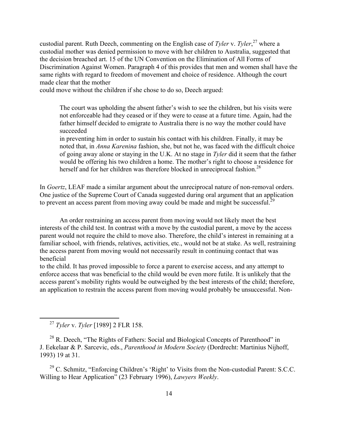custodial parent. Ruth Deech, commenting on the English case of *Tyler* v. *Tyler*, 27 where a custodial mother was denied permission to move with her children to Australia, suggested that the decision breached art. 15 of the UN Convention on the Elimination of All Forms of Discrimination Against Women. Paragraph 4 of this provides that men and women shall have the same rights with regard to freedom of movement and choice of residence. Although the court made clear that the mother

could move without the children if she chose to do so, Deech argued:

The court was upholding the absent father's wish to see the children, but his visits were not enforceable had they ceased or if they were to cease at a future time. Again, had the father himself decided to emigrate to Australia there is no way the mother could have succeeded

in preventing him in order to sustain his contact with his children. Finally, it may be noted that, in *Anna Karenina* fashion, she, but not he, was faced with the difficult choice of going away alone or staying in the U.K. At no stage in *Tyler* did it seem that the father would be offering his two children a home. The mother's right to choose a residence for herself and for her children was therefore blocked in unreciprocal fashion.<sup>28</sup>

In *Goertz*, LEAF made a similar argument about the unreciprocal nature of non-removal orders. One justice of the Supreme Court of Canada suggested during oral argument that an application to prevent an access parent from moving away could be made and might be successful.<sup>29</sup>

 An order restraining an access parent from moving would not likely meet the best interests of the child test. In contrast with a move by the custodial parent, a move by the access parent would not require the child to move also. Therefore, the child's interest in remaining at a familiar school, with friends, relatives, activities, etc., would not be at stake. As well, restraining the access parent from moving would not necessarily result in continuing contact that was beneficial

to the child. It has proved impossible to force a parent to exercise access, and any attempt to enforce access that was beneficial to the child would be even more futile. It is unlikely that the access parent's mobility rights would be outweighed by the best interests of the child; therefore, an application to restrain the access parent from moving would probably be unsuccessful. Non-

27 *Tyler* v. *Tyler* [1989] 2 FLR 158.

<sup>28</sup> R. Deech, "The Rights of Fathers: Social and Biological Concepts of Parenthood" in J. Eekelaar & P. Sarcevic, eds., *Parenthood in Modern Society* (Dordrecht: Martinius Nijhoff, 1993) 19 at 31.

 $29$  C. Schmitz, "Enforcing Children's 'Right' to Visits from the Non-custodial Parent: S.C.C. Willing to Hear Application" (23 February 1996), *Lawyers Weekly*.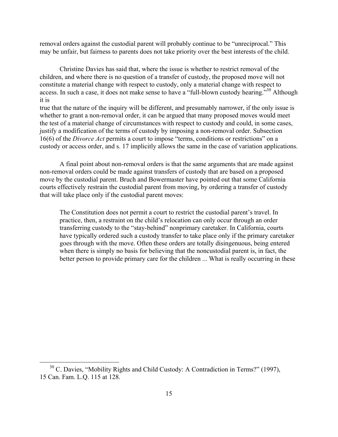removal orders against the custodial parent will probably continue to be "unreciprocal." This may be unfair, but fairness to parents does not take priority over the best interests of the child.

 Christine Davies has said that, where the issue is whether to restrict removal of the children, and where there is no question of a transfer of custody, the proposed move will not constitute a material change with respect to custody, only a material change with respect to access. In such a case, it does not make sense to have a "full-blown custody hearing."<sup>30</sup> Although it is

true that the nature of the inquiry will be different, and presumably narrower, if the only issue is whether to grant a non-removal order, it can be argued that many proposed moves would meet the test of a material change of circumstances with respect to custody and could, in some cases, justify a modification of the terms of custody by imposing a non-removal order. Subsection 16(6) of the *Divorce Act* permits a court to impose "terms, conditions or restrictions" on a custody or access order, and s. 17 implicitly allows the same in the case of variation applications.

 A final point about non-removal orders is that the same arguments that are made against non-removal orders could be made against transfers of custody that are based on a proposed move by the custodial parent. Bruch and Bowermaster have pointed out that some California courts effectively restrain the custodial parent from moving, by ordering a transfer of custody that will take place only if the custodial parent moves:

The Constitution does not permit a court to restrict the custodial parent's travel. In practice, then, a restraint on the child's relocation can only occur through an order transferring custody to the "stay-behind" nonprimary caretaker. In California, courts have typically ordered such a custody transfer to take place only if the primary caretaker goes through with the move. Often these orders are totally disingenuous, being entered when there is simply no basis for believing that the noncustodial parent is, in fact, the better person to provide primary care for the children ... What is really occurring in these

 <sup>30</sup> C. Davies, "Mobility Rights and Child Custody: A Contradiction in Terms?" (1997), 15 Can. Fam. L.Q. 115 at 128.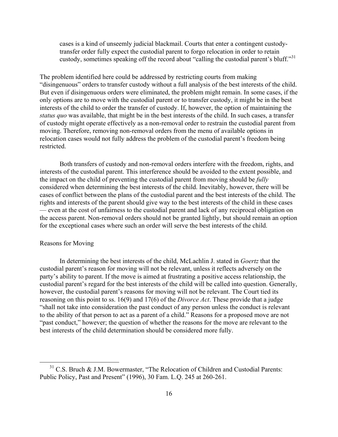cases is a kind of unseemly judicial blackmail. Courts that enter a contingent custodytransfer order fully expect the custodial parent to forgo relocation in order to retain custody, sometimes speaking off the record about "calling the custodial parent's bluff."<sup>31</sup>

The problem identified here could be addressed by restricting courts from making "disingenuous" orders to transfer custody without a full analysis of the best interests of the child. But even if disingenuous orders were eliminated, the problem might remain. In some cases, if the only options are to move with the custodial parent or to transfer custody, it might be in the best interests of the child to order the transfer of custody. If, however, the option of maintaining the *status quo* was available, that might be in the best interests of the child. In such cases, a transfer of custody might operate effectively as a non-removal order to restrain the custodial parent from moving. Therefore, removing non-removal orders from the menu of available options in relocation cases would not fully address the problem of the custodial parent's freedom being restricted.

 Both transfers of custody and non-removal orders interfere with the freedom, rights, and interests of the custodial parent. This interference should be avoided to the extent possible, and the impact on the child of preventing the custodial parent from moving should be *fully* considered when determining the best interests of the child. Inevitably, however, there will be cases of conflict between the plans of the custodial parent and the best interests of the child. The rights and interests of the parent should give way to the best interests of the child in these cases — even at the cost of unfairness to the custodial parent and lack of any reciprocal obligation on the access parent. Non-removal orders should not be granted lightly, but should remain an option for the exceptional cases where such an order will serve the best interests of the child.

#### Reasons for Moving

 In determining the best interests of the child, McLachlin J. stated in *Goertz* that the custodial parent's reason for moving will not be relevant, unless it reflects adversely on the party's ability to parent. If the move is aimed at frustrating a positive access relationship, the custodial parent's regard for the best interests of the child will be called into question. Generally, however, the custodial parent's reasons for moving will not be relevant. The Court tied its reasoning on this point to ss. 16(9) and 17(6) of the *Divorce Act*. These provide that a judge "shall not take into consideration the past conduct of any person unless the conduct is relevant to the ability of that person to act as a parent of a child." Reasons for a proposed move are not "past conduct," however; the question of whether the reasons for the move are relevant to the best interests of the child determination should be considered more fully.

<sup>&</sup>lt;sup>31</sup> C.S. Bruch & J.M. Bowermaster, "The Relocation of Children and Custodial Parents: Public Policy, Past and Present" (1996), 30 Fam. L.Q. 245 at 260-261.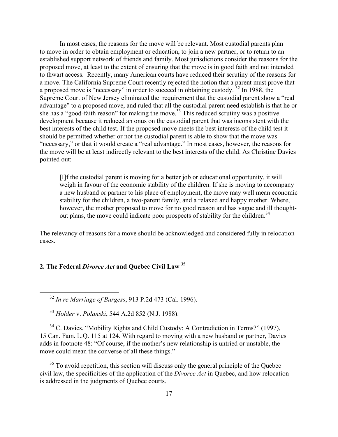In most cases, the reasons for the move will be relevant. Most custodial parents plan to move in order to obtain employment or education, to join a new partner, or to return to an established support network of friends and family. Most jurisdictions consider the reasons for the proposed move, at least to the extent of ensuring that the move is in good faith and not intended to thwart access. Recently, many American courts have reduced their scrutiny of the reasons for a move. The California Supreme Court recently rejected the notion that a parent must prove that a proposed move is "necessary" in order to succeed in obtaining custody. 32 In 1988, the Supreme Court of New Jersey eliminated the requirement that the custodial parent show a "real advantage" to a proposed move, and ruled that all the custodial parent need establish is that he or she has a "good-faith reason" for making the move.<sup>33</sup> This reduced scrutiny was a positive development because it reduced an onus on the custodial parent that was inconsistent with the best interests of the child test. If the proposed move meets the best interests of the child test it should be permitted whether or not the custodial parent is able to show that the move was "necessary," or that it would create a "real advantage." In most cases, however, the reasons for the move will be at least indirectly relevant to the best interests of the child. As Christine Davies pointed out:

[I]f the custodial parent is moving for a better job or educational opportunity, it will weigh in favour of the economic stability of the children. If she is moving to accompany a new husband or partner to his place of employment, the move may well mean economic stability for the children, a two-parent family, and a relaxed and happy mother. Where, however, the mother proposed to move for no good reason and has vague and ill thoughtout plans, the move could indicate poor prospects of stability for the children.<sup>34</sup>

The relevancy of reasons for a move should be acknowledged and considered fully in relocation cases.

# **2. The Federal** *Divorce Act* **and Quebec Civil Law 35**

32 *In re Marriage of Burgess*, 913 P.2d 473 (Cal. 1996).

<sup>33</sup> *Holder* v. *Polanski*, 544 A.2d 852 (N.J. 1988).

 $34$  C. Davies, "Mobility Rights and Child Custody: A Contradiction in Terms?" (1997), 15 Can. Fam. L.Q. 115 at 124. With regard to moving with a new husband or partner, Davies adds in footnote 48: "Of course, if the mother's new relationship is untried or unstable, the move could mean the converse of all these things."

<sup>35</sup> To avoid repetition, this section will discuss only the general principle of the Quebec civil law, the specificities of the application of the *Divorce Act* in Quebec, and how relocation is addressed in the judgments of Quebec courts.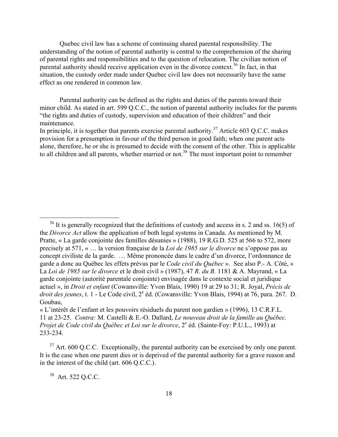Quebec civil law has a scheme of continuing shared parental responsibility. The understanding of the notion of parental authority is central to the comprehension of the sharing of parental rights and responsibilities and to the question of relocation. The civilian notion of parental authority should receive application even in the divorce context.<sup>36</sup> In fact, in that situation, the custody order made under Quebec civil law does not necessarily have the same effect as one rendered in common law.

 Parental authority can be defined as the rights and duties of the parents toward their minor child. As stated in art. 599 Q.C.C., the notion of parental authority includes for the parents "the rights and duties of custody, supervision and education of their children" and their maintenance.

In principle, it is together that parents exercise parental authority.<sup>37</sup> Article 603 Q.C.C. makes provision for a presumption in favour of the third person in good faith; when one parent acts alone, therefore, he or she is presumed to decide with the consent of the other. This is applicable to all children and all parents, whether married or not.<sup>38</sup> The most important point to remember

 $37$  Art. 600 Q.C.C. Exceptionally, the parental authority can be exercised by only one parent. It is the case when one parent dies or is deprived of the parental authority for a grave reason and in the interest of the child (art. 606 Q.C.C.).

<sup>38</sup> Art. 522 Q.C.C.

<sup>&</sup>lt;sup>36</sup> It is generally recognized that the definitions of custody and access in s. 2 and ss. 16(5) of the *Divorce Act* allow the application of both legal systems in Canada. As mentioned by M. Pratte, « La garde conjointe des familles désunies » (1988), 19 R.G.D. 525 at 566 to 572, more precisely at 571, « … la version française de la *Loi de 1985 sur le divorce* ne s'oppose pas au concept civiliste de la garde. … Même prononcée dans le cadre d'un divorce, l'ordonnance de garde a donc au Québec les effets prévus par le *Code civil du Québec* ». See also P.- A. Côté, « La *Loi de 1985 sur le divorce* et le droit civil » (1987), 47 *R. du B.* 1181 & A. Mayrand, « La garde conjointe (autorité parentale conjointe) envisagée dans le contexte social et juridique actuel », in *Droit et enfant* (Cowansville: Yvon Blais, 1990) 19 at 29 to 31; R. Joyal, *Précis de*  droit des jeunes, t. 1 - Le Code civil, 2<sup>e</sup> éd. (Cowansville: Yvon Blais, 1994) at 76, para. 267. D. Goubau,

<sup>«</sup> L'intérêt de l'enfant et les pouvoirs résiduels du parent non gardien » (1996), 13 C.R.F.L. 11 at 23-25. *Contra:* M. Castelli & E.-O. Dallard, *Le nouveau droit de la famille au Québec.*  Projet de Code civil du Québec et Loi sur le divorce, 2<sup>e</sup> éd. (Sainte-Foy: P.U.L., 1993) at 233-234.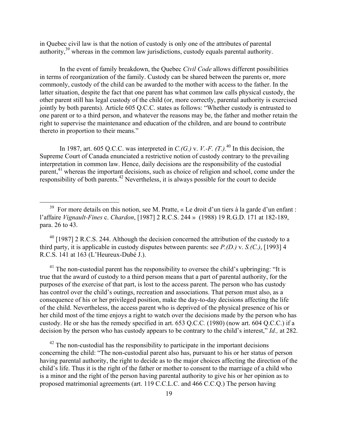in Quebec civil law is that the notion of custody is only one of the attributes of parental authority,39 whereas in the common law jurisdictions, custody equals parental authority.

 In the event of family breakdown, the Quebec *Civil Code* allows different possibilities in terms of reorganization of the family. Custody can be shared between the parents or, more commonly, custody of the child can be awarded to the mother with access to the father. In the latter situation, despite the fact that one parent has what common law calls physical custody, the other parent still has legal custody of the child (or, more correctly, parental authority is exercised jointly by both parents). Article 605 Q.C.C. states as follows: "Whether custody is entrusted to one parent or to a third person, and whatever the reasons may be, the father and mother retain the right to supervise the maintenance and education of the children, and are bound to contribute thereto in proportion to their means."

In 1987, art. 605 Q.C.C. was interpreted in  $C(G)$  v. *V.-F.*  $(T)$ .<sup>40</sup> In this decision, the Supreme Court of Canada enunciated a restrictive notion of custody contrary to the prevailing interpretation in common law. Hence, daily decisions are the responsibility of the custodial parent,<sup>41</sup> whereas the important decisions, such as choice of religion and school, come under the responsibility of both parents.42 Nevertheless, it is always possible for the court to decide

<sup>40</sup> [1987] 2 R.C.S. 244. Although the decision concerned the attribution of the custody to a third party, it is applicable in custody disputes between parents: see *P.(D.)* v. *S.(C.)*, [1993] 4 R.C.S. 141 at 163 (L'Heureux-Dubé J.).

 $41$  The non-custodial parent has the responsibility to oversee the child's upbringing: "It is true that the award of custody to a third person means that a part of parental authority, for the purposes of the exercise of that part, is lost to the access parent. The person who has custody has control over the child's outings, recreation and associations. That person must also, as a consequence of his or her privileged position, make the day-to-day decisions affecting the life of the child. Nevertheless, the access parent who is deprived of the physical presence of his or her child most of the time enjoys a right to watch over the decisions made by the person who has custody. He or she has the remedy specified in art. 653 Q.C.C*.* (1980) (now art. 604 Q.C.C.) if a decision by the person who has custody appears to be contrary to the child's interest," *Id.,* at 282.

 $42$  The non-custodial has the responsibility to participate in the important decisions concerning the child: "The non-custodial parent also has, pursuant to his or her status of person having parental authority, the right to decide as to the major choices affecting the direction of the child's life. Thus it is the right of the father or mother to consent to the marriage of a child who is a minor and the right of the person having parental authority to give his or her opinion as to proposed matrimonial agreements (art. 119 C.C.L.C. and 466 C.C.Q.) The person having

<sup>&</sup>lt;sup>39</sup> For more details on this notion, see M. Pratte, « Le droit d'un tiers à la garde d'un enfant : l'affaire *Vignault-Fines* c. *Chardon*, [1987] 2 R.C.S. 244 » (1988) 19 R.G.D. 171 at 182-189, para. 26 to 43.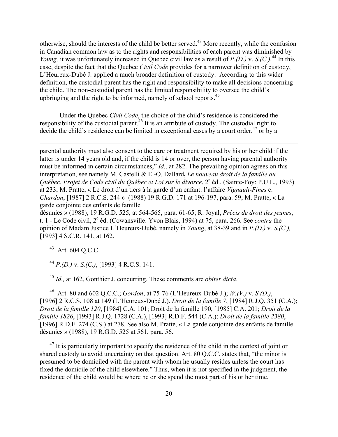otherwise, should the interests of the child be better served.43 More recently, while the confusion in Canadian common law as to the rights and responsibilities of each parent was diminished by *Young,* it was unfortunately increased in Quebec civil law as a result of *P.(D.)* v. *S.(C.).*44 In this case, despite the fact that the Quebec *Civil Code* provides for a narrower definition of custody, L'Heureux-Dubé J. applied a much broader definition of custody. According to this wider definition, the custodial parent has the right and responsibility to make all decisions concerning the child. The non-custodial parent has the limited responsibility to oversee the child's upbringing and the right to be informed, namely of school reports.<sup>45</sup>

 Under the Quebec *Civil Code*, the choice of the child's residence is considered the responsibility of the custodial parent.<sup>46</sup> It is an attribute of custody. The custodial right to decide the child's residence can be limited in exceptional cases by a court order,<sup>47</sup> or by a

parental authority must also consent to the care or treatment required by his or her child if the latter is under 14 years old and, if the child is 14 or over, the person having parental authority must be informed in certain circumstances," *Id.*, at 282. The prevailing opinion agrees on this interpretation, see namely M. Castelli & E.-O. Dallard**,** *Le nouveau droit de la famille au*  Québec. Projet de Code civil du Québec et Loi sur le divorce, 2<sup>e</sup> éd., (Sainte-Foy: P.U.L., 1993) at 233; M. Pratte, « Le droit d'un tiers à la garde d'un enfant: l'affaire *Vignault-Fines* c. *Chardon*, [1987] 2 R.C.S. 244 » (1988) 19 R.G.D. 171 at 196-197, para. 59; M. Pratte, « La garde conjointe des enfants de famille

désunies » (1988), 19 R.G.D. 525, at 564-565, para. 61-65; R. Joyal, *Précis de droit des jeunes*, t. 1 - Le Code civil, 2<sup>e</sup> éd. (Cowansville: Yvon Blais, 1994) at 75, para. 266. See *contra* the opinion of Madam Justice L'Heureux-Dubé, namely in *Young*, at 38-39 and in *P.(D.)* v*. S.(C.),*  [1993] 4 S.C.R. 141, at 162.

43 Art. 604 Q.C.C.

 $\overline{a}$ 

<sup>44</sup> *P.(D.)* v. *S.(C.)*, [1993] 4 R.C.S. 141.

<sup>45</sup> *Id.,* at 162, Gonthier J. concurring. These comments are *obiter dicta*.

46 Art. 80 and 602 Q.C.C.; *Gordon*, at 75-76 (L'Heureux-Dubé J.); *W.(V.)* v. *S.(D.)*, [1996] 2 R.C.S. 108 at 149 (L'Heureux-Dubé J.). *Droit de la famille 7*, [1984] R.J.Q. 351 (C.A.); *Droit de la famille 120*, [1984] C.A. 101; Droit de la famille 190, [1985] C.A. 201; *Droit de la famille 1826*, [1993] R.J.Q. 1728 (C.A.), [1993] R.D.F. 544 (C.A.); *Droit de la famille 2380*, [1996] R.D.F. 274 (C.S.) at 278. See also M. Pratte, « La garde conjointe des enfants de famille désunies » (1988), 19 R.G.D. 525 at 561, para. 56.

 $47$  It is particularly important to specify the residence of the child in the context of joint or shared custody to avoid uncertainty on that question. Art. 80 Q.C.C. states that, "the minor is presumed to be domiciled with the parent with whom he usually resides unless the court has fixed the domicile of the child elsewhere." Thus, when it is not specified in the judgment, the residence of the child would be where he or she spend the most part of his or her time.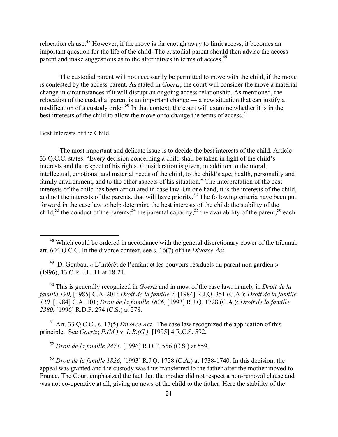relocation clause.48 However, if the move is far enough away to limit access, it becomes an important question for the life of the child. The custodial parent should then advise the access parent and make suggestions as to the alternatives in terms of access.<sup>49</sup>

 The custodial parent will not necessarily be permitted to move with the child, if the move is contested by the access parent. As stated in *Goertz*, the court will consider the move a material change in circumstances if it will disrupt an ongoing access relationship. As mentioned, the relocation of the custodial parent is an important change — a new situation that can justify a modification of a custody order.<sup>50</sup> In that context, the court will examine whether it is in the best interests of the child to allow the move or to change the terms of access.<sup>51</sup>

#### Best Interests of the Child

 The most important and delicate issue is to decide the best interests of the child. Article 33 Q.C.C. states: "Every decision concerning a child shall be taken in light of the child's interests and the respect of his rights. Consideration is given, in addition to the moral, intellectual, emotional and material needs of the child, to the child's age, health, personality and family environment, and to the other aspects of his situation." The interpretation of the best interests of the child has been articulated in case law. On one hand, it is the interests of the child, and not the interests of the parents, that will have priority.<sup>52</sup> The following criteria have been put forward in the case law to help determine the best interests of the child: the stability of the child;<sup>53</sup> the conduct of the parents;<sup>54</sup> the parental capacity;<sup>55</sup> the availability of the parent;<sup>56</sup> each

 $^{49}$  D. Goubau, « L'intérêt de l'enfant et les pouvoirs résiduels du parent non gardien » (1996), 13 C.R.F.L. 11 at 18-21.

50 This is generally recognized in *Goertz* and in most of the case law, namely in *Droit de la famille 190,* [1985] C.A. 201*; Droit de la famille 7,* [1984] R.J.Q. 351 (C.A.); *Droit de la famille 120,* [1984] C.A. 101; *Droit de la famille 1826,* [1993] R.J.Q. 1728 (C.A.); *Droit de la famille 2380*, [1996] R.D.F. 274 (C.S.) at 278.

51 Art. 33 Q.C.C., s. 17(5) *Divorce Act.* The case law recognized the application of this principle. See *Goertz*; *P.(M.)* v. *L.B.(G.)*, [1995] 4 R.C.S. 592.

<sup>52</sup> *Droit de la famille 2471*, [1996] R.D.F. 556 (C.S.) at 559.

<sup>53</sup> *Droit de la famille 1826*, [1993] R.J.Q. 1728 (C.A.) at 1738-1740. In this decision, the appeal was granted and the custody was thus transferred to the father after the mother moved to France. The Court emphasized the fact that the mother did not respect a non-removal clause and was not co-operative at all, giving no news of the child to the father. Here the stability of the

<sup>&</sup>lt;sup>48</sup> Which could be ordered in accordance with the general discretionary power of the tribunal, art. 604 Q.C.C. In the divorce context, see s. 16(7) of the *Divorce Act*.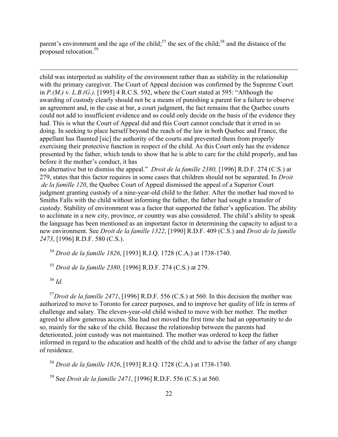parent's environment and the age of the child;<sup>57</sup> the sex of the child;<sup>58</sup> and the distance of the proposed relocation.<sup>59</sup>

child was interpreted as stability of the environment rather than as stability in the relationship with the primary caregiver. The Court of Appeal decision was confirmed by the Supreme Court in *P.(M.)* v. *L.B.(G.),* [1995] 4 R.C.S. 592, where the Court stated at 595: "Although the awarding of custody clearly should not be a means of punishing a parent for a failure to observe an agreement and, in the case at bar, a court judgment, the fact remains that the Quebec courts could not add to insufficient evidence and so could only decide on the basis of the evidence they had. This is what the Court of Appeal did and this Court cannot conclude that it erred in so doing. In seeking to place herself beyond the reach of the law in both Quebec and France, the appellant has flaunted [sic] the authority of the courts and prevented them from properly exercising their protective function in respect of the child. As this Court only has the evidence presented by the father, which tends to show that he is able to care for the child properly, and has before it the mother's conduct, it has

no alternative but to dismiss the appeal." *Droit de la famille 2380,* [1996] R.D.F. 274 (C.S.) at 279, states that this factor requires in some cases that children should not be separated. In *Droit de la famille 120*, the Quebec Court of Appeal dismissed the appeal of a Superior Court judgment granting custody of a nine-year-old child to the father. After the mother had moved to Smiths Falls with the child without informing the father, the father had sought a transfer of custody. Stability of environment was a factor that supported the father's application. The ability to acclimate in a new city, province, or country was also considered. The child's ability to speak the language has been mentioned as an important factor in determining the capacity to adjust to a new environment. See *Droit de la famille 1322*, [1990] R.D.F. 409 (C.S.) and *Droit de la famille 2473*, [1996] R.D.F. 580 (C.S.).

<sup>54</sup> *Droit de la famille 1826*, [1993] R.J.Q. 1728 (C.A.) at 1738-1740.

<sup>55</sup> *Droit de la famille 2380,* [1996] R.D.F. 274 (C.S.) at 279.

<sup>56</sup> *Id.*

1

<sup>57</sup>*Droit de la famille 2471*, [1996] R.D.F. 556 (C.S.) at 560. In this decision the mother was authorized to move to Toronto for career purposes, and to improve her quality of life in terms of challenge and salary. The eleven-year-old child wished to move with her mother. The mother agreed to allow generous access. She had not moved the first time she had an opportunity to do so, mainly for the sake of the child. Because the relationship between the parents had deteriorated, joint custody was not maintained. The mother was ordered to keep the father informed in regard to the education and health of the child and to advise the father of any change of residence.

<sup>58</sup> *Droit de la famille 1826*, [1993] R.J.Q. 1728 (C.A.) at 1738-1740.

59 See *Droit de la famille 2471*, [1996] R.D.F. 556 (C.S.) at 560.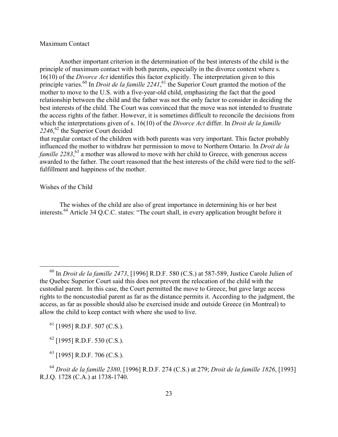### Maximum Contact

 Another important criterion in the determination of the best interests of the child is the principle of maximum contact with both parents, especially in the divorce context where s. 16(10) of the *Divorce Act* identifies this factor explicitly. The interpretation given to this principle varies.<sup>60</sup> In *Droit de la famille 2241*, <sup>61</sup> the Superior Court granted the motion of the mother to move to the U.S. with a five-year-old child, emphasizing the fact that the good relationship between the child and the father was not the only factor to consider in deciding the best interests of the child. The Court was convinced that the move was not intended to frustrate the access rights of the father. However, it is sometimes difficult to reconcile the decisions from which the interpretations given of s. 16(10) of the *Divorce Act* differ. In *Droit de la famille*  2246,<sup>62</sup> the Superior Court decided

that regular contact of the children with both parents was very important. This factor probably influenced the mother to withdraw her permission to move to Northern Ontario. In *Droit de la*  famille 2283,<sup>63</sup> a mother was allowed to move with her child to Greece, with generous access awarded to the father. The court reasoned that the best interests of the child were tied to the selffulfillment and happiness of the mother.

#### Wishes of the Child

 The wishes of the child are also of great importance in determining his or her best interests.64 Article 34 Q.C.C. states: "The court shall, in every application brought before it

- $^{61}$  [1995] R.D.F. 507 (C.S.).
- $62$  [1995] R.D.F. 530 (C.S.).
- 63 [1995] R.D.F. 706 (C.S.).

 <sup>60</sup> In *Droit de la famille 2473*, [1996] R.D.F. 580 (C.S.) at 587-589, Justice Carole Julien of the Quebec Superior Court said this does not prevent the relocation of the child with the custodial parent. In this case, the Court permitted the move to Greece, but gave large access rights to the noncustodial parent as far as the distance permits it. According to the judgment, the access, as far as possible should also be exercised inside and outside Greece (in Montreal) to allow the child to keep contact with where she used to live.

<sup>64</sup> *Droit de la famille 2380,* [1996] R.D.F. 274 (C.S.) at 279; *Droit de la famille 1826*, [1993] R.J.Q. 1728 (C.A.) at 1738-1740.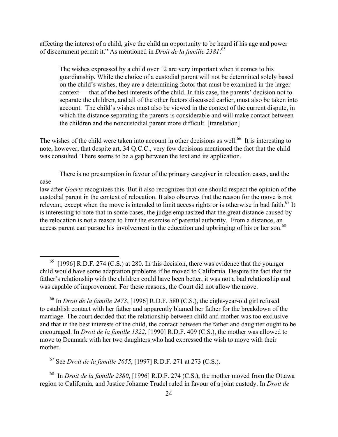affecting the interest of a child, give the child an opportunity to be heard if his age and power of discernment permit it." As mentioned in *Droit de la famille 2381*: 65

The wishes expressed by a child over 12 are very important when it comes to his guardianship. While the choice of a custodial parent will not be determined solely based on the child's wishes, they are a determining factor that must be examined in the larger context — that of the best interests of the child. In this case, the parents' decision not to separate the children, and all of the other factors discussed earlier, must also be taken into account. The child's wishes must also be viewed in the context of the current dispute, in which the distance separating the parents is considerable and will make contact between the children and the noncustodial parent more difficult. [translation]

The wishes of the child were taken into account in other decisions as well.<sup>66</sup> It is interesting to note, however, that despite art. 34 Q.C.C., very few decisions mentioned the fact that the child was consulted. There seems to be a gap between the text and its application.

 There is no presumption in favour of the primary caregiver in relocation cases, and the case

law after *Goertz* recognizes this. But it also recognizes that one should respect the opinion of the custodial parent in the context of relocation. It also observes that the reason for the move is not relevant, except when the move is intended to limit access rights or is otherwise in bad faith.<sup>67</sup> It is interesting to note that in some cases, the judge emphasized that the great distance caused by the relocation is not a reason to limit the exercise of parental authority. From a distance, an access parent can pursue his involvement in the education and upbringing of his or her son.<sup>68</sup>

67 See *Droit de la famille 2655*, [1997] R.D.F. 271 at 273 (C.S.).

68 In *Droit de la famille 2380*, [1996] R.D.F. 274 (C.S.), the mother moved from the Ottawa region to California, and Justice Johanne Trudel ruled in favour of a joint custody. In *Droit de* 

 $65$  [1996] R.D.F. 274 (C.S.) at 280. In this decision, there was evidence that the younger child would have some adaptation problems if he moved to California. Despite the fact that the father's relationship with the children could have been better, it was not a bad relationship and was capable of improvement. For these reasons, the Court did not allow the move.

<sup>66</sup> In *Droit de la famille 2473*, [1996] R.D.F. 580 (C.S.), the eight-year-old girl refused to establish contact with her father and apparently blamed her father for the breakdown of the marriage. The court decided that the relationship between child and mother was too exclusive and that in the best interests of the child, the contact between the father and daughter ought to be encouraged. In *Droit de la famille 1322*, [1990] R.D.F. 409 (C.S.), the mother was allowed to move to Denmark with her two daughters who had expressed the wish to move with their mother.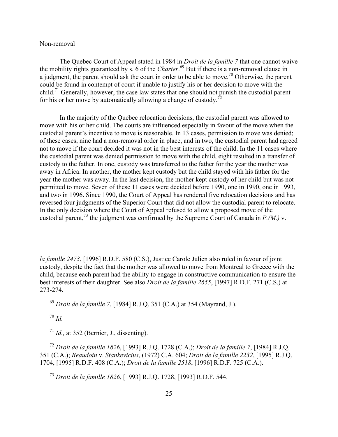### Non-removal

 The Quebec Court of Appeal stated in 1984 in *Droit de la famille 7* that one cannot waive the mobility rights guaranteed by s. 6 of the *Charter*. 69 But if there is a non-removal clause in a judgment, the parent should ask the court in order to be able to move.<sup>70</sup> Otherwise, the parent could be found in contempt of court if unable to justify his or her decision to move with the child.<sup>71</sup> Generally, however, the case law states that one should not punish the custodial parent for his or her move by automatically allowing a change of custody.<sup>72</sup>

 In the majority of the Quebec relocation decisions, the custodial parent was allowed to move with his or her child. The courts are influenced especially in favour of the move when the custodial parent's incentive to move is reasonable. In 13 cases, permission to move was denied; of these cases, nine had a non-removal order in place, and in two, the custodial parent had agreed not to move if the court decided it was not in the best interests of the child. In the 11 cases where the custodial parent was denied permission to move with the child, eight resulted in a transfer of custody to the father. In one, custody was transferred to the father for the year the mother was away in Africa. In another, the mother kept custody but the child stayed with his father for the year the mother was away. In the last decision, the mother kept custody of her child but was not permitted to move. Seven of these 11 cases were decided before 1990, one in 1990, one in 1993, and two in 1996. Since 1990, the Court of Appeal has rendered five relocation decisions and has reversed four judgments of the Superior Court that did not allow the custodial parent to relocate. In the only decision where the Court of Appeal refused to allow a proposed move of the custodial parent,73 the judgment was confirmed by the Supreme Court of Canada in *P.(M.)* v.

*la famille 2473*, [1996] R.D.F. 580 (C.S.), Justice Carole Julien also ruled in favour of joint custody, despite the fact that the mother was allowed to move from Montreal to Greece with the child, because each parent had the ability to engage in constructive communication to ensure the best interests of their daughter. See also *Droit de la famille 2655*, [1997] R.D.F. 271 (C.S.) at 273-274.

<sup>69</sup> *Droit de la famille 7*, [1984] R.J.Q. 351 (C.A.) at 354 (Mayrand, J.).

<sup>70</sup> *Id.*

1

 $^{71}$  *Id.*, at 352 (Bernier, J., dissenting).

<sup>72</sup> *Droit de la famille 1826*, [1993] R.J.Q. 1728 (C.A.); *Droit de la famille 7*, [1984] R.J.Q. 351 (C.A.); *Beaudoin* v. *Stankevicius*, (1972) C.A. 604; *Droit de la famille 2232*, [1995] R.J.Q. 1704, [1995] R.D.F. 408 (C.A.); *Droit de la famille 2518*, [1996] R.D.F. 725 (C.A.).

<sup>73</sup> *Droit de la famille 1826*, [1993] R.J.Q. 1728, [1993] R.D.F. 544.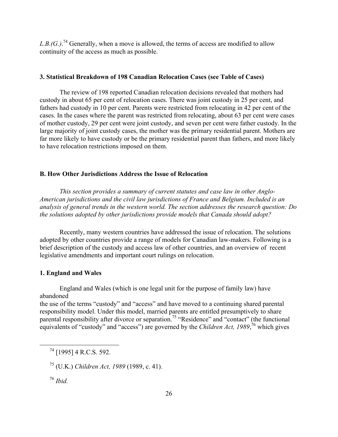*L.B.(G.)*<sup>74</sup> Generally, when a move is allowed, the terms of access are modified to allow continuity of the access as much as possible.

# **3. Statistical Breakdown of 198 Canadian Relocation Cases (see Table of Cases)**

 The review of 198 reported Canadian relocation decisions revealed that mothers had custody in about 65 per cent of relocation cases. There was joint custody in 25 per cent, and fathers had custody in 10 per cent. Parents were restricted from relocating in 42 per cent of the cases. In the cases where the parent was restricted from relocating, about 63 per cent were cases of mother custody, 29 per cent were joint custody, and seven per cent were father custody. In the large majority of joint custody cases, the mother was the primary residential parent. Mothers are far more likely to have custody or be the primary residential parent than fathers, and more likely to have relocation restrictions imposed on them.

# **B. How Other Jurisdictions Address the Issue of Relocation**

 *This section provides a summary of current statutes and case law in other Anglo-American jurisdictions and the civil law jurisdictions of France and Belgium. Included is an analysis of general trends in the western world. The section addresses the research question: Do the solutions adopted by other jurisdictions provide models that Canada should adopt?* 

 Recently, many western countries have addressed the issue of relocation. The solutions adopted by other countries provide a range of models for Canadian law-makers. Following is a brief description of the custody and access law of other countries, and an overview of recent legislative amendments and important court rulings on relocation.

# **1. England and Wales**

 England and Wales (which is one legal unit for the purpose of family law) have abandoned

the use of the terms "custody" and "access" and have moved to a continuing shared parental responsibility model. Under this model, married parents are entitled presumptively to share parental responsibility after divorce or separation.75 "Residence" and "contact" (the functional equivalents of "custody" and "access") are governed by the *Children Act, 1989*, 76 which gives

<sup>76</sup> *Ibid.*

 <sup>74 [1995] 4</sup> R.C.S. 592.

<sup>75 (</sup>U.K.) *Children Act, 1989* (1989, c. 41).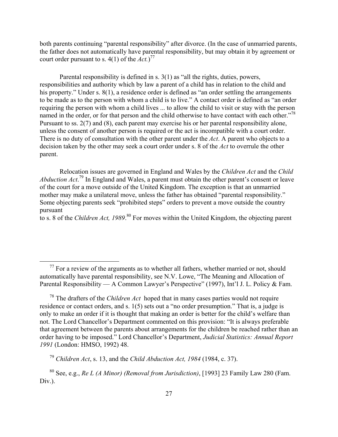both parents continuing "parental responsibility" after divorce. (In the case of unmarried parents, the father does not automatically have parental responsibility, but may obtain it by agreement or court order pursuant to s.  $4(1)$  of the  $Act$ .)<sup>77</sup>

 Parental responsibility is defined in s. 3(1) as "all the rights, duties, powers, responsibilities and authority which by law a parent of a child has in relation to the child and his property." Under s. 8(1), a residence order is defined as "an order settling the arrangements to be made as to the person with whom a child is to live." A contact order is defined as "an order requiring the person with whom a child lives ... to allow the child to visit or stay with the person named in the order, or for that person and the child otherwise to have contact with each other."<sup>78</sup> Pursuant to ss. 2(7) and (8), each parent may exercise his or her parental responsibility alone, unless the consent of another person is required or the act is incompatible with a court order. There is no duty of consultation with the other parent under the *Act*. A parent who objects to a decision taken by the other may seek a court order under s. 8 of the *Act* to overrule the other parent.

 Relocation issues are governed in England and Wales by the *Children Act* and the *Child Abduction Act*. 79 In England and Wales, a parent must obtain the other parent's consent or leave of the court for a move outside of the United Kingdom. The exception is that an unmarried mother may make a unilateral move, unless the father has obtained "parental responsibility." Some objecting parents seek "prohibited steps" orders to prevent a move outside the country pursuant

to s. 8 of the *Children Act, 1989*.<sup>80</sup> For moves within the United Kingdom, the objecting parent

 $77$  For a review of the arguments as to whether all fathers, whether married or not, should automatically have parental responsibility, see N.V. Lowe, "The Meaning and Allocation of Parental Responsibility — A Common Lawyer's Perspective" (1997), Int'l J. L. Policy & Fam.

<sup>78</sup> The drafters of the *Children Act* hoped that in many cases parties would not require residence or contact orders, and s. 1(5) sets out a "no order presumption." That is, a judge is only to make an order if it is thought that making an order is better for the child's welfare than not. The Lord Chancellor's Department commented on this provision: "It is always preferable that agreement between the parents about arrangements for the children be reached rather than an order having to be imposed." Lord Chancellor's Department, *Judicial Statistics: Annual Report 1991* (London: HMSO, 1992) 48.

<sup>79</sup> *Children Act*, s. 13, and the *Child Abduction Act, 1984* (1984, c. 37).

<sup>80</sup> See, e.g., *Re L (A Minor) (Removal from Jurisdiction)*, [1993] 23 Family Law 280 (Fam. Div.).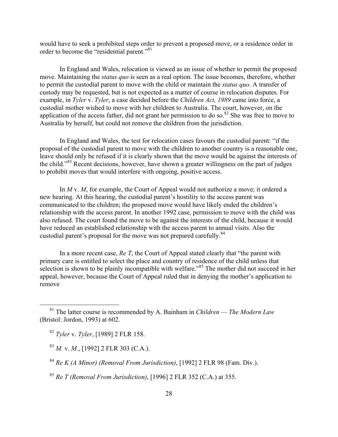would have to seek a prohibited steps order to prevent a proposed move, or a residence order in order to become the "residential parent."81

 In England and Wales, relocation is viewed as an issue of whether to permit the proposed move. Maintaining the *status quo* is seen as a real option. The issue becomes, therefore, whether to permit the custodial parent to move with the child or maintain the *status quo*. A transfer of custody may be requested, but is not expected as a matter of course in relocation disputes. For example, in *Tyler* v. *Tyler*, a case decided before the *Children Act, 1989* came into force, a custodial mother wished to move with her children to Australia. The court, however, on the application of the access father, did not grant her permission to do so. $82$  She was free to move to Australia by herself, but could not remove the children from the jurisdiction.

 In England and Wales, the test for relocation cases favours the custodial parent: "if the proposal of the custodial parent to move with the children to another country is a reasonable one, leave should only be refused if it is clearly shown that the move would be against the interests of the child."<sup>83</sup> Recent decisions, however, have shown a greater willingness on the part of judges to prohibit moves that would interfere with ongoing, positive access.

 In *M* v. *M*, for example, the Court of Appeal would not authorize a move; it ordered a new hearing. At this hearing, the custodial parent's hostility to the access parent was communicated to the children; the proposed move would have likely ended the children's relationship with the access parent. In another 1992 case, permission to move with the child was also refused. The court found the move to be against the interests of the child, because it would have reduced an established relationship with the access parent to annual visits. Also the custodial parent's proposal for the move was not prepared carefully.<sup>84</sup>

 In a more recent case, *Re T*, the Court of Appeal stated clearly that "the parent with primary care is entitled to select the place and country of residence of the child unless that selection is shown to be plainly incompatible with welfare.<sup>85</sup> The mother did not succeed in her appeal, however, because the Court of Appeal ruled that in denying the mother's application to remove

<sup>82</sup> *Tyler* v. *Tyler*, [1989] 2 FLR 158.

<sup>83</sup> *M.* v. *M.*, [1992] 2 FLR 303 (C.A.).

 <sup>81</sup> The latter course is recommended by A. Bainham in *Children — The Modern Law* (Bristol: Jordon, 1993) at 602.

<sup>84</sup> *Re K (A Minor) (Removal From Jurisdiction)*, [1992] 2 FLR 98 (Fam. Div.).

<sup>85</sup> *Re T (Removal From Jurisdiction)*, [1996] 2 FLR 352 (C.A.) at 355.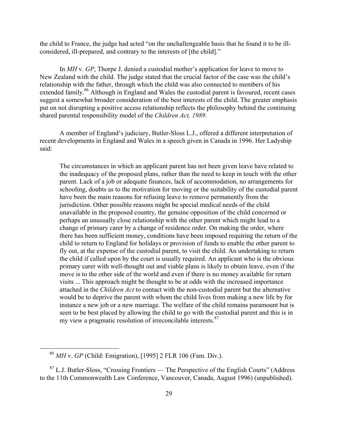the child to France, the judge had acted "on the unchallengeable basis that he found it to be illconsidered, ill-prepared, and contrary to the interests of [the child]."

 In *MH* v. *GP*, Thorpe J. denied a custodial mother's application for leave to move to New Zealand with the child. The judge stated that the crucial factor of the case was the child's relationship with the father, through which the child was also connected to members of his extended family.<sup>86</sup> Although in England and Wales the custodial parent is favoured, recent cases suggest a somewhat broader consideration of the best interests of the child. The greater emphasis put on not disrupting a positive access relationship reflects the philosophy behind the continuing shared parental responsibility model of the *Children Act, 1989*.

 A member of England's judiciary, Butler-Sloss L.J., offered a different interpretation of recent developments in England and Wales in a speech given in Canada in 1996. Her Ladyship said:

The circumstances in which an applicant parent has not been given leave have related to the inadequacy of the proposed plans, rather than the need to keep in touch with the other parent. Lack of a job or adequate finances, lack of accommodation, no arrangements for schooling, doubts as to the motivation for moving or the suitability of the custodial parent have been the main reasons for refusing leave to remove permanently from the jurisdiction. Other possible reasons might be special medical needs of the child unavailable in the proposed country, the genuine opposition of the child concerned or perhaps an unusually close relationship with the other parent which might lead to a change of primary carer by a change of residence order. On making the order, where there has been sufficient money, conditions have been imposed requiring the return of the child to return to England for holidays or provision of funds to enable the other parent to fly out, at the expense of the custodial parent, to visit the child. An undertaking to return the child if called upon by the court is usually required. An applicant who is the obvious primary carer with well-thought out and viable plans is likely to obtain leave, even if the move is to the other side of the world and even if there is no money available for return visits ... This approach might be thought to be at odds with the increased importance attached in the *Children Act* to contact with the non-custodial parent but the alternative would be to deprive the parent with whom the child lives from making a new life by for instance a new job or a new marriage. The welfare of the child remains paramount but is seen to be best placed by allowing the child to go with the custodial parent and this is in my view a pragmatic resolution of irreconcilable interests.<sup>87</sup>

 <sup>86</sup> *MH* v. *GP* (Child: Emigration), [1995] 2 FLR 106 (Fam. Div.).

 $87$  L.J. Butler-Sloss, "Crossing Frontiers — The Perspective of the English Courts" (Address to the 11th Commonwealth Law Conference, Vancouver, Canada, August 1996) (unpublished).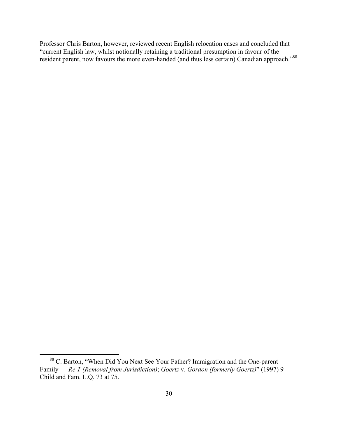Professor Chris Barton, however, reviewed recent English relocation cases and concluded that "current English law, whilst notionally retaining a traditional presumption in favour of the resident parent, now favours the more even-handed (and thus less certain) Canadian approach."<sup>88</sup>

 <sup>88</sup> C. Barton, "When Did You Next See Your Father? Immigration and the One-parent Family — *Re T (Removal from Jurisdiction)*; *Goertz* v. *Gordon (formerly Goertz)*" (1997) 9 Child and Fam. L.Q. 73 at 75.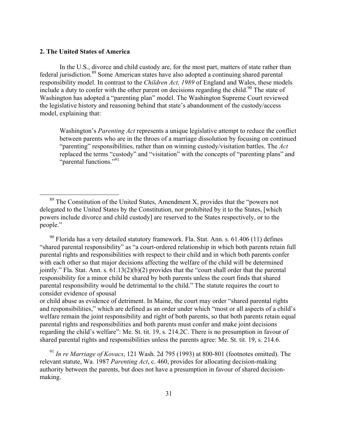### **2. The United States of America**

 In the U.S., divorce and child custody are, for the most part, matters of state rather than federal jurisdiction.89 Some American states have also adopted a continuing shared parental responsibility model. In contrast to the *Children Act, 1989* of England and Wales, these models include a duty to confer with the other parent on decisions regarding the child.<sup>90</sup> The state of Washington has adopted a "parenting plan" model. The Washington Supreme Court reviewed the legislative history and reasoning behind that state's abandonment of the custody/access model, explaining that:

Washington's *Parenting Act* represents a unique legislative attempt to reduce the conflict between parents who are in the throes of a marriage dissolution by focusing on continued "parenting" responsibilities, rather than on winning custody/visitation battles. The *Act* replaced the terms "custody" and "visitation" with the concepts of "parenting plans" and "parental functions."<sup>91</sup>

or child abuse as evidence of detriment. In Maine, the court may order "shared parental rights and responsibilities," which are defined as an order under which "most or all aspects of a child's welfare remain the joint responsibility and right of both parents, so that both parents retain equal parental rights and responsibilities and both parents must confer and make joint decisions regarding the child's welfare": Me. St. tit. 19, s. 214.2C. There is no presumption in favour of shared parental rights and responsibilities unless the parents agree: Me. St. tit. 19, s. 214.6.

<sup>91</sup> *In re Marriage of Kovacs*, 121 Wash. 2d 795 (1993) at 800-801 (footnotes omitted). The relevant statute, Wa. 1987 *Parenting Act*, c. 460, provides for allocating decision-making authority between the parents, but does not have a presumption in favour of shared decisionmaking.

 $89$  The Constitution of the United States, Amendment X, provides that the "powers not delegated to the United States by the Constitution, nor prohibited by it to the States, [which powers include divorce and child custody] are reserved to the States respectively, or to the people."

 $90$  Florida has a very detailed statutory framework. Fla. Stat. Ann. s. 61.406 (11) defines "shared parental responsibility" as "a court-ordered relationship in which both parents retain full parental rights and responsibilities with respect to their child and in which both parents confer with each other so that major decisions affecting the welfare of the child will be determined jointly." Fla. Stat. Ann. s. 61.13(2)(b)(2) provides that the "court shall order that the parental responsibility for a minor child be shared by both parents unless the court finds that shared parental responsibility would be detrimental to the child." The statute requires the court to consider evidence of spousal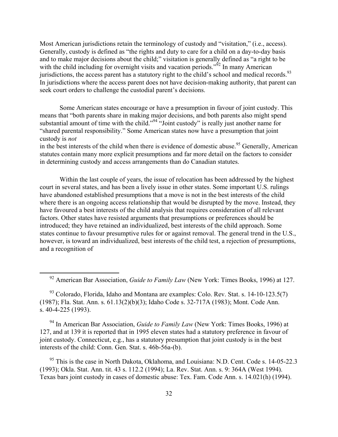Most American jurisdictions retain the terminology of custody and "visitation," (i.e., access). Generally, custody is defined as "the rights and duty to care for a child on a day-to-day basis and to make major decisions about the child;" visitation is generally defined as "a right to be with the child including for overnight visits and vacation periods.<sup> $\frac{5}{2}$ </sup> In many American jurisdictions, the access parent has a statutory right to the child's school and medical records.<sup>93</sup> In jurisdictions where the access parent does not have decision-making authority, that parent can seek court orders to challenge the custodial parent's decisions.

 Some American states encourage or have a presumption in favour of joint custody. This means that "both parents share in making major decisions, and both parents also might spend substantial amount of time with the child."<sup>94</sup> "Joint custody" is really just another name for "shared parental responsibility." Some American states now have a presumption that joint custody is *not*

in the best interests of the child when there is evidence of domestic abuse.<sup>95</sup> Generally, American statutes contain many more explicit presumptions and far more detail on the factors to consider in determining custody and access arrangements than do Canadian statutes.

 Within the last couple of years, the issue of relocation has been addressed by the highest court in several states, and has been a lively issue in other states. Some important U.S. rulings have abandoned established presumptions that a move is not in the best interests of the child where there is an ongoing access relationship that would be disrupted by the move. Instead, they have favoured a best interests of the child analysis that requires consideration of all relevant factors. Other states have resisted arguments that presumptions or preferences should be introduced; they have retained an individualized, best interests of the child approach. Some states continue to favour presumptive rules for or against removal. The general trend in the U.S., however, is toward an individualized, best interests of the child test, a rejection of presumptions, and a recognition of

94 In American Bar Association, *Guide to Family Law* (New York: Times Books, 1996) at 127, and at 139 it is reported that in 1995 eleven states had a statutory preference in favour of joint custody. Connecticut, e.g., has a statutory presumption that joint custody is in the best interests of the child: Conn. Gen. Stat. s. 46b-56a-(b).

 $95$  This is the case in North Dakota, Oklahoma, and Louisiana: N.D. Cent. Code s. 14-05-22.3 (1993); Okla. Stat. Ann. tit. 43 s. 112.2 (1994); La. Rev. Stat. Ann. s. 9: 364A (West 1994). Texas bars joint custody in cases of domestic abuse: Tex. Fam. Code Ann. s. 14.021(h) (1994).

 <sup>92</sup> American Bar Association, *Guide to Family Law* (New York: Times Books, 1996) at 127.

<sup>&</sup>lt;sup>93</sup> Colorado, Florida, Idaho and Montana are examples: Colo. Rev. Stat. s. 14-10-123.5(7) (1987); Fla. Stat. Ann. s. 61.13(2)(b)(3); Idaho Code s. 32-717A (1983); Mont. Code Ann. s. 40-4-225 (1993).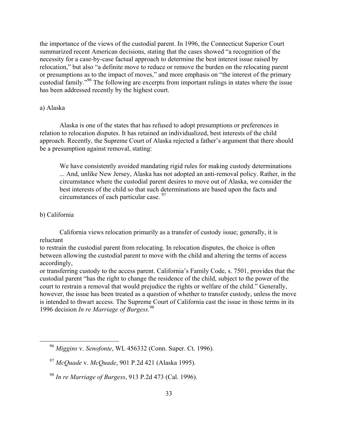the importance of the views of the custodial parent. In 1996, the Connecticut Superior Court summarized recent American decisions, stating that the cases showed "a recognition of the necessity for a case-by-case factual approach to determine the best interest issue raised by relocation," but also "a definite move to reduce or remove the burden on the relocating parent or presumptions as to the impact of moves," and more emphasis on "the interest of the primary custodial family."96 The following are excerpts from important rulings in states where the issue has been addressed recently by the highest court.

#### a) Alaska

 Alaska is one of the states that has refused to adopt presumptions or preferences in relation to relocation disputes. It has retained an individualized, best interests of the child approach. Recently, the Supreme Court of Alaska rejected a father's argument that there should be a presumption against removal, stating:

We have consistently avoided mandating rigid rules for making custody determinations ... And, unlike New Jersey, Alaska has not adopted an anti-removal policy. Rather, in the circumstance where the custodial parent desires to move out of Alaska, we consider the best interests of the child so that such determinations are based upon the facts and circumstances of each particular case. <sup>97</sup>

# b) California

 California views relocation primarily as a transfer of custody issue; generally, it is reluctant

to restrain the custodial parent from relocating. In relocation disputes, the choice is often between allowing the custodial parent to move with the child and altering the terms of access accordingly,

or transferring custody to the access parent. California's Family Code, s. 7501, provides that the custodial parent "has the right to change the residence of the child, subject to the power of the court to restrain a removal that would prejudice the rights or welfare of the child." Generally, however, the issue has been treated as a question of whether to transfer custody, unless the move is intended to thwart access. The Supreme Court of California cast the issue in those terms in its 1996 decision *In re Marriage of Burgess.*<sup>98</sup>

 <sup>96</sup> *Miggins* v. *Senofonte*, WL 456332 (Conn. Super. Ct. 1996).

<sup>97</sup> *McQuade* v. *McQuade*, 901 P.2d 421 (Alaska 1995).

<sup>98</sup> *In re Marriage of Burgess*, 913 P.2d 473 (Cal. 1996).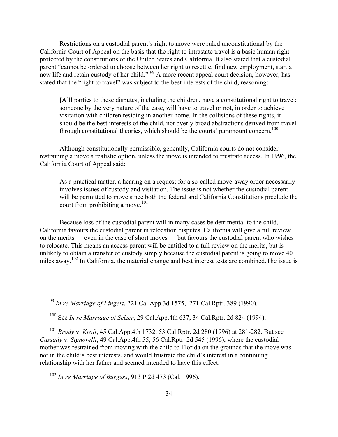Restrictions on a custodial parent's right to move were ruled unconstitutional by the California Court of Appeal on the basis that the right to intrastate travel is a basic human right protected by the constitutions of the United States and California. It also stated that a custodial parent "cannot be ordered to choose between her right to resettle, find new employment, start a new life and retain custody of her child." <sup>99</sup> A more recent appeal court decision, however, has stated that the "right to travel" was subject to the best interests of the child, reasoning:

[A]ll parties to these disputes, including the children, have a constitutional right to travel; someone by the very nature of the case, will have to travel or not, in order to achieve visitation with children residing in another home. In the collisions of these rights, it should be the best interests of the child, not overly broad abstractions derived from travel through constitutional theories, which should be the courts' paramount concern.<sup>100</sup>

 Although constitutionally permissible, generally, California courts do not consider restraining a move a realistic option, unless the move is intended to frustrate access. In 1996, the California Court of Appeal said:

As a practical matter, a hearing on a request for a so-called move-away order necessarily involves issues of custody and visitation. The issue is not whether the custodial parent will be permitted to move since both the federal and California Constitutions preclude the court from prohibiting a move.<sup>101</sup>

 Because loss of the custodial parent will in many cases be detrimental to the child, California favours the custodial parent in relocation disputes. California will give a full review on the merits — even in the case of short moves — but favours the custodial parent who wishes to relocate. This means an access parent will be entitled to a full review on the merits, but is unlikely to obtain a transfer of custody simply because the custodial parent is going to move 40 miles away.<sup>102</sup> In California, the material change and best interest tests are combined. The issue is

100 See *In re Marriage of Selzer*, 29 Cal.App.4th 637, 34 Cal.Rptr. 2d 824 (1994).

<sup>101</sup> *Brody* v. *Kroll*, 45 Cal.App.4th 1732, 53 Cal.Rptr. 2d 280 (1996) at 281-282. But see *Cassady* v. *Signorelli*, 49 Cal.App.4th 55, 56 Cal.Rptr. 2d 545 (1996), where the custodial mother was restrained from moving with the child to Florida on the grounds that the move was not in the child's best interests, and would frustrate the child's interest in a continuing relationship with her father and seemed intended to have this effect.

<sup>102</sup> *In re Marriage of Burgess*, 913 P.2d 473 (Cal. 1996).

 <sup>99</sup> *In re Marriage of Fingert*, 221 Cal.App.3d 1575, 271 Cal.Rptr. 389 (1990).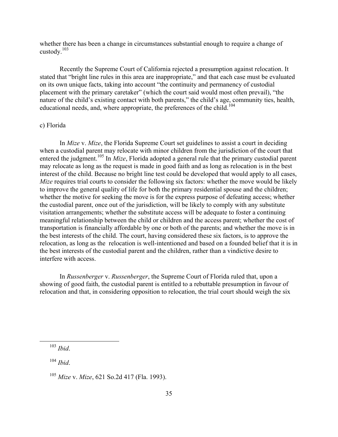whether there has been a change in circumstances substantial enough to require a change of custody.<sup>103</sup>

 Recently the Supreme Court of California rejected a presumption against relocation. It stated that "bright line rules in this area are inappropriate," and that each case must be evaluated on its own unique facts, taking into account "the continuity and permanency of custodial placement with the primary caretaker" (which the court said would most often prevail), "the nature of the child's existing contact with both parents," the child's age, community ties, health, educational needs, and, where appropriate, the preferences of the child.<sup>104</sup>

### c) Florida

 In *Mize* v. *Mize*, the Florida Supreme Court set guidelines to assist a court in deciding when a custodial parent may relocate with minor children from the jurisdiction of the court that entered the judgment.<sup>105</sup> In *Mize*, Florida adopted a general rule that the primary custodial parent may relocate as long as the request is made in good faith and as long as relocation is in the best interest of the child. Because no bright line test could be developed that would apply to all cases, *Mize* requires trial courts to consider the following six factors: whether the move would be likely to improve the general quality of life for both the primary residential spouse and the children; whether the motive for seeking the move is for the express purpose of defeating access; whether the custodial parent, once out of the jurisdiction, will be likely to comply with any substitute visitation arrangements; whether the substitute access will be adequate to foster a continuing meaningful relationship between the child or children and the access parent; whether the cost of transportation is financially affordable by one or both of the parents; and whether the move is in the best interests of the child. The court, having considered these six factors, is to approve the relocation, as long as the relocation is well-intentioned and based on a founded belief that it is in the best interests of the custodial parent and the children, rather than a vindictive desire to interfere with access.

 In *Russenberger* v. *Russenberger*, the Supreme Court of Florida ruled that, upon a showing of good faith, the custodial parent is entitled to a rebuttable presumption in favour of relocation and that, in considering opposition to relocation, the trial court should weigh the six

103 *Ibid*.

<sup>104</sup> *Ibid*.

<sup>105</sup> *Mize* v. *Mize*, 621 So.2d 417 (Fla. 1993).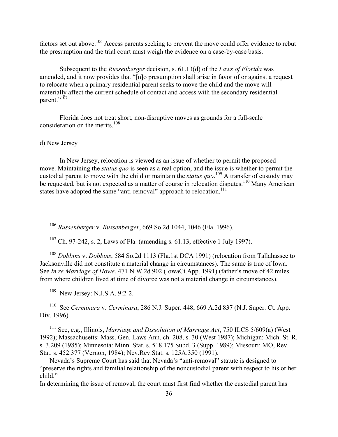factors set out above.<sup>106</sup> Access parents seeking to prevent the move could offer evidence to rebut the presumption and the trial court must weigh the evidence on a case-by-case basis.

 Subsequent to the *Russenberger* decision, s. 61.13(d) of the *Laws of Florida* was amended, and it now provides that "[n]o presumption shall arise in favor of or against a request to relocate when a primary residential parent seeks to move the child and the move will materially affect the current schedule of contact and access with the secondary residential parent."<sup>107</sup>

 Florida does not treat short, non-disruptive moves as grounds for a full-scale consideration on the merits  $^{108}$ 

# d) New Jersey

 In New Jersey, relocation is viewed as an issue of whether to permit the proposed move. Maintaining the *status quo* is seen as a real option, and the issue is whether to permit the custodial parent to move with the child or maintain the *status quo*. 109 A transfer of custody may be requested, but is not expected as a matter of course in relocation disputes.<sup>110</sup> Many American states have adopted the same "anti-removal" approach to relocation.<sup>111</sup>

106 *Russenberger* v. *Russenberger*, 669 So.2d 1044, 1046 (Fla. 1996).

 $107$  Ch. 97-242, s. 2, Laws of Fla. (amending s. 61.13, effective 1 July 1997).

<sup>108</sup> *Dobbins* v. *Dobbins*, 584 So.2d 1113 (Fla.1st DCA 1991) (relocation from Tallahassee to Jacksonville did not constitute a material change in circumstances). The same is true of Iowa. See *In re Marriage of Howe*, 471 N.W.2d 902 (IowaCt.App. 1991) (father's move of 42 miles from where children lived at time of divorce was not a material change in circumstances).

109 New Jersey: N.J.S.A. 9:2-2.

110 See *Cerminara* v. *Cerminara*, 286 N.J. Super. 448, 669 A.2d 837 (N.J. Super. Ct. App. Div. 1996).

111 See, e.g., Illinois, *Marriage and Dissolution of Marriage Act*, 750 ILCS 5/609(a) (West 1992); Massachusetts: Mass. Gen. Laws Ann. ch. 208, s. 30 (West 1987); Michigan: Mich. St. R. s. 3.209 (1985); Minnesota: Minn. Stat. s. 518.175 Subd. 3 (Supp. 1989); Missouri: MO, Rev. Stat. s. 452.377 (Vernon, 1984); Nev.Rev.Stat. s. 125A.350 (1991).

 Nevada's Supreme Court has said that Nevada's "anti-removal" statute is designed to "preserve the rights and familial relationship of the noncustodial parent with respect to his or her child."

In determining the issue of removal, the court must first find whether the custodial parent has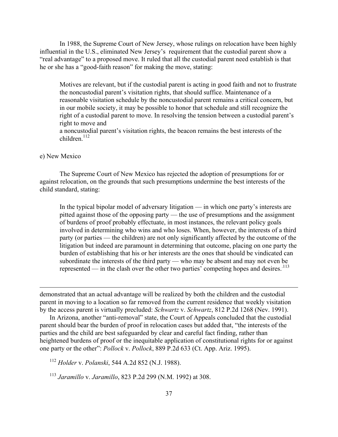In 1988, the Supreme Court of New Jersey, whose rulings on relocation have been highly influential in the U.S., eliminated New Jersey's requirement that the custodial parent show a "real advantage" to a proposed move. It ruled that all the custodial parent need establish is that he or she has a "good-faith reason" for making the move, stating:

Motives are relevant, but if the custodial parent is acting in good faith and not to frustrate the noncustodial parent's visitation rights, that should suffice. Maintenance of a reasonable visitation schedule by the noncustodial parent remains a critical concern, but in our mobile society, it may be possible to honor that schedule and still recognize the right of a custodial parent to move. In resolving the tension between a custodial parent's right to move and

a noncustodial parent's visitation rights, the beacon remains the best interests of the children $112$ 

### e) New Mexico

 $\overline{a}$ 

 The Supreme Court of New Mexico has rejected the adoption of presumptions for or against relocation, on the grounds that such presumptions undermine the best interests of the child standard, stating:

In the typical bipolar model of adversary litigation — in which one party's interests are pitted against those of the opposing party — the use of presumptions and the assignment of burdens of proof probably effectuate, in most instances, the relevant policy goals involved in determining who wins and who loses. When, however, the interests of a third party (or parties — the children) are not only significantly affected by the outcome of the litigation but indeed are paramount in determining that outcome, placing on one party the burden of establishing that his or her interests are the ones that should be vindicated can subordinate the interests of the third party — who may be absent and may not even be represented — in the clash over the other two parties' competing hopes and desires.<sup>113</sup>

demonstrated that an actual advantage will be realized by both the children and the custodial parent in moving to a location so far removed from the current residence that weekly visitation by the access parent is virtually precluded: *Schwartz* v. *Schwartz*, 812 P.2d 1268 (Nev. 1991).

 In Arizona, another "anti-removal" state, the Court of Appeals concluded that the custodial parent should bear the burden of proof in relocation cases but added that, "the interests of the parties and the child are best safeguarded by clear and careful fact finding, rather than heightened burdens of proof or the inequitable application of constitutional rights for or against one party or the other": *Pollock* v. *Pollock*, 889 P.2d 633 (Ct. App. Ariz. 1995).

<sup>112</sup> *Holder* v. *Polanski*, 544 A.2d 852 (N.J. 1988).

<sup>113</sup> *Jaramillo* v. *Jaramillo*, 823 P.2d 299 (N.M. 1992) at 308.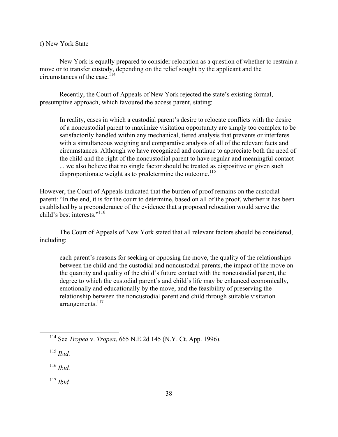### f) New York State

 New York is equally prepared to consider relocation as a question of whether to restrain a move or to transfer custody, depending on the relief sought by the applicant and the circumstances of the case.<sup> $114$ </sup>

 Recently, the Court of Appeals of New York rejected the state's existing formal, presumptive approach, which favoured the access parent, stating:

In reality, cases in which a custodial parent's desire to relocate conflicts with the desire of a noncustodial parent to maximize visitation opportunity are simply too complex to be satisfactorily handled within any mechanical, tiered analysis that prevents or interferes with a simultaneous weighing and comparative analysis of all of the relevant facts and circumstances. Although we have recognized and continue to appreciate both the need of the child and the right of the noncustodial parent to have regular and meaningful contact ... we also believe that no single factor should be treated as dispositive or given such disproportionate weight as to predetermine the outcome.<sup>115</sup>

However, the Court of Appeals indicated that the burden of proof remains on the custodial parent: "In the end, it is for the court to determine, based on all of the proof, whether it has been established by a preponderance of the evidence that a proposed relocation would serve the child's best interests."<sup>116</sup>

 The Court of Appeals of New York stated that all relevant factors should be considered, including:

each parent's reasons for seeking or opposing the move, the quality of the relationships between the child and the custodial and noncustodial parents, the impact of the move on the quantity and quality of the child's future contact with the noncustodial parent, the degree to which the custodial parent's and child's life may be enhanced economically, emotionally and educationally by the move, and the feasibility of preserving the relationship between the noncustodial parent and child through suitable visitation arrangements.<sup>117</sup>

<sup>115</sup> *Ibid.*

<sup>116</sup> *Ibid.*

<sup>117</sup> *Ibid.*

 <sup>114</sup> See *Tropea* v. *Tropea*, 665 N.E.2d 145 (N.Y. Ct. App. 1996).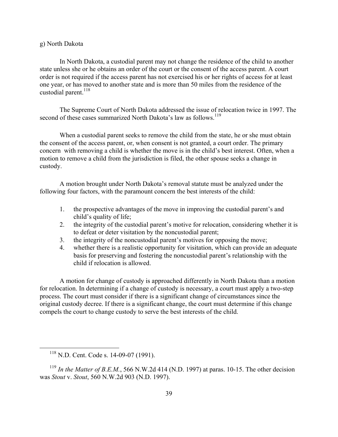#### g) North Dakota

 In North Dakota, a custodial parent may not change the residence of the child to another state unless she or he obtains an order of the court or the consent of the access parent. A court order is not required if the access parent has not exercised his or her rights of access for at least one year, or has moved to another state and is more than 50 miles from the residence of the custodial parent.<sup>118</sup>

 The Supreme Court of North Dakota addressed the issue of relocation twice in 1997. The second of these cases summarized North Dakota's law as follows.<sup>119</sup>

When a custodial parent seeks to remove the child from the state, he or she must obtain the consent of the access parent, or, when consent is not granted, a court order. The primary concern with removing a child is whether the move is in the child's best interest. Often, when a motion to remove a child from the jurisdiction is filed, the other spouse seeks a change in custody.

 A motion brought under North Dakota's removal statute must be analyzed under the following four factors, with the paramount concern the best interests of the child:

- 1. the prospective advantages of the move in improving the custodial parent's and child's quality of life;
- 2. the integrity of the custodial parent's motive for relocation, considering whether it is to defeat or deter visitation by the noncustodial parent;
- 3. the integrity of the noncustodial parent's motives for opposing the move;
- 4. whether there is a realistic opportunity for visitation, which can provide an adequate basis for preserving and fostering the noncustodial parent's relationship with the child if relocation is allowed.

 A motion for change of custody is approached differently in North Dakota than a motion for relocation. In determining if a change of custody is necessary, a court must apply a two-step process. The court must consider if there is a significant change of circumstances since the original custody decree. If there is a significant change, the court must determine if this change compels the court to change custody to serve the best interests of the child.

 <sup>118</sup> N.D. Cent. Code s. 14-09-07 (1991).

<sup>&</sup>lt;sup>119</sup> In the Matter of B.E.M., 566 N.W.2d 414 (N.D. 1997) at paras. 10-15. The other decision was *Stout* v. *Stout*, 560 N.W.2d 903 (N.D. 1997).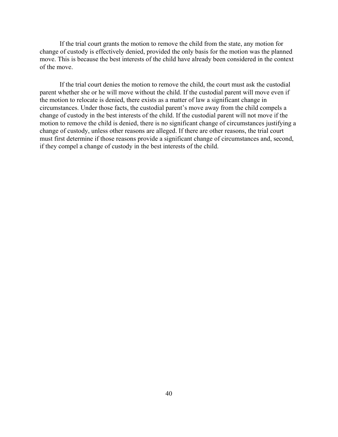If the trial court grants the motion to remove the child from the state, any motion for change of custody is effectively denied, provided the only basis for the motion was the planned move. This is because the best interests of the child have already been considered in the context of the move.

 If the trial court denies the motion to remove the child, the court must ask the custodial parent whether she or he will move without the child. If the custodial parent will move even if the motion to relocate is denied, there exists as a matter of law a significant change in circumstances. Under those facts, the custodial parent's move away from the child compels a change of custody in the best interests of the child. If the custodial parent will not move if the motion to remove the child is denied, there is no significant change of circumstances justifying a change of custody, unless other reasons are alleged. If there are other reasons, the trial court must first determine if those reasons provide a significant change of circumstances and, second, if they compel a change of custody in the best interests of the child.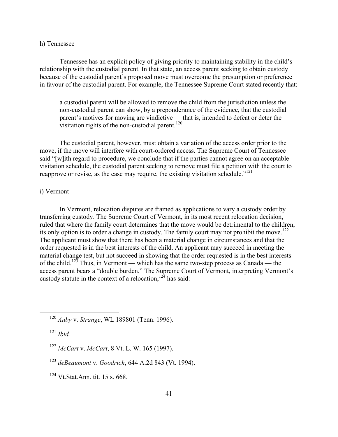### h) Tennessee

 Tennessee has an explicit policy of giving priority to maintaining stability in the child's relationship with the custodial parent. In that state, an access parent seeking to obtain custody because of the custodial parent's proposed move must overcome the presumption or preference in favour of the custodial parent. For example, the Tennessee Supreme Court stated recently that:

a custodial parent will be allowed to remove the child from the jurisdiction unless the non-custodial parent can show, by a preponderance of the evidence, that the custodial parent's motives for moving are vindictive — that is, intended to defeat or deter the visitation rights of the non-custodial parent.<sup>120</sup>

 The custodial parent, however, must obtain a variation of the access order prior to the move, if the move will interfere with court-ordered access. The Supreme Court of Tennessee said "[w]ith regard to procedure, we conclude that if the parties cannot agree on an acceptable visitation schedule, the custodial parent seeking to remove must file a petition with the court to reapprove or revise, as the case may require, the existing visitation schedule."<sup>121</sup>

# i) Vermont

 In Vermont, relocation disputes are framed as applications to vary a custody order by transferring custody. The Supreme Court of Vermont, in its most recent relocation decision, ruled that where the family court determines that the move would be detrimental to the children, its only option is to order a change in custody. The family court may not prohibit the move.<sup>122</sup> The applicant must show that there has been a material change in circumstances and that the order requested is in the best interests of the child. An applicant may succeed in meeting the material change test, but not succeed in showing that the order requested is in the best interests of the child.<sup>123</sup> Thus, in Vermont — which has the same two-step process as Canada — the access parent bears a "double burden." The Supreme Court of Vermont, interpreting Vermont's custody statute in the context of a relocation,  $124$  has said:

120 *Auby* v. *Strange*, WL 189801 (Tenn. 1996).

<sup>121</sup> *Ibid.*

<sup>122</sup> *McCart* v. *McCart*, 8 Vt. L. W. 165 (1997).

<sup>123</sup> *deBeaumont* v. *Goodrich*, 644 A.2d 843 (Vt. 1994).

124 Vt.Stat.Ann. tit. 15 s. 668.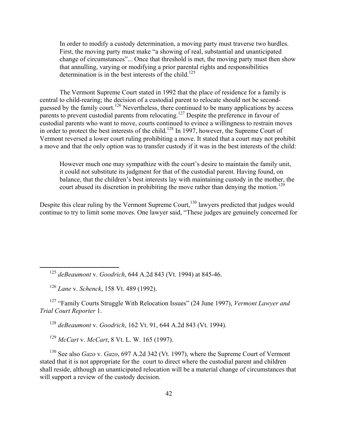In order to modify a custody determination, a moving party must traverse two hurdles. First, the moving party must make "a showing of real, substantial and unanticipated change of circumstances"... Once that threshold is met, the moving party must then show that annulling, varying or modifying a prior parental rights and responsibilities determination is in the best interests of the child.<sup>125</sup>

 The Vermont Supreme Court stated in 1992 that the place of residence for a family is central to child-rearing; the decision of a custodial parent to relocate should not be secondguessed by the family court.<sup>126</sup> Nevertheless, there continued to be many applications by access parents to prevent custodial parents from relocating.<sup>127</sup> Despite the preference in favour of custodial parents who want to move, courts continued to evince a willingness to restrain moves in order to protect the best interests of the child.<sup>128</sup> In 1997, however, the Supreme Court of Vermont reversed a lower court ruling prohibiting a move. It stated that a court may not prohibit a move and that the only option was to transfer custody if it was in the best interests of the child:

However much one may sympathize with the court's desire to maintain the family unit, it could not substitute its judgment for that of the custodial parent. Having found, on balance, that the children's best interests lay with maintaining custody in the mother, the court abused its discretion in prohibiting the move rather than denying the motion.<sup>129</sup>

Despite this clear ruling by the Vermont Supreme Court,<sup>130</sup> lawyers predicted that judges would continue to try to limit some moves. One lawyer said, "These judges are genuinely concerned for

<sup>126</sup> *Lane* v. *Schenck*, 158 Vt. 489 (1992).

127 "Family Courts Struggle With Relocation Issues" (24 June 1997), *Vermont Lawyer and Trial Court Reporter* 1.

<sup>128</sup> *deBeaumont* v. *Goodrich*, 162 Vt. 91, 644 A.2d 843 (Vt. 1994).

<sup>129</sup> *McCart* v. *McCart*, 8 Vt. L. W. 165 (1997).

130 See also *Gazo* v. *Gazo*, 697 A.2d 342 (Vt. 1997), where the Supreme Court of Vermont stated that it is not appropriate for the court to direct where the custodial parent and children shall reside, although an unanticipated relocation will be a material change of circumstances that will support a review of the custody decision.

 <sup>125</sup> *deBeaumont* v. *Goodrich*, 644 A.2d 843 (Vt. 1994) at 845-46.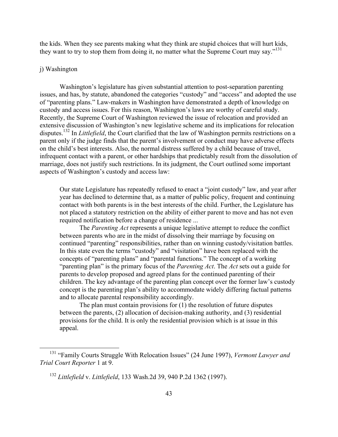the kids. When they see parents making what they think are stupid choices that will hurt kids, they want to try to stop them from doing it, no matter what the Supreme Court may say."<sup>131</sup>

# j) Washington

 Washington's legislature has given substantial attention to post-separation parenting issues, and has, by statute, abandoned the categories "custody" and "access" and adopted the use of "parenting plans." Law-makers in Washington have demonstrated a depth of knowledge on custody and access issues. For this reason, Washington's laws are worthy of careful study. Recently, the Supreme Court of Washington reviewed the issue of relocation and provided an extensive discussion of Washington's new legislative scheme and its implications for relocation disputes.<sup>132</sup> In *Littlefield*, the Court clarified that the law of Washington permits restrictions on a parent only if the judge finds that the parent's involvement or conduct may have adverse effects on the child's best interests. Also, the normal distress suffered by a child because of travel, infrequent contact with a parent, or other hardships that predictably result from the dissolution of marriage, does not justify such restrictions. In its judgment, the Court outlined some important aspects of Washington's custody and access law:

Our state Legislature has repeatedly refused to enact a "joint custody" law, and year after year has declined to determine that, as a matter of public policy, frequent and continuing contact with both parents is in the best interests of the child. Further, the Legislature has not placed a statutory restriction on the ability of either parent to move and has not even required notification before a change of residence ...

 The *Parenting Act* represents a unique legislative attempt to reduce the conflict between parents who are in the midst of dissolving their marriage by focusing on continued "parenting" responsibilities, rather than on winning custody/visitation battles. In this state even the terms "custody" and "visitation" have been replaced with the concepts of "parenting plans" and "parental functions." The concept of a working "parenting plan" is the primary focus of the *Parenting Act*. The *Act* sets out a guide for parents to develop proposed and agreed plans for the continued parenting of their children. The key advantage of the parenting plan concept over the former law's custody concept is the parenting plan's ability to accommodate widely differing factual patterns and to allocate parental responsibility accordingly.

 The plan must contain provisions for (1) the resolution of future disputes between the parents, (2) allocation of decision-making authority, and (3) residential provisions for the child. It is only the residential provision which is at issue in this appeal.

 <sup>131 &</sup>quot;Family Courts Struggle With Relocation Issues" (24 June 1997), *Vermont Lawyer and Trial Court Reporter* 1 at 9.

<sup>132</sup> *Littlefield* v. *Littlefield*, 133 Wash.2d 39, 940 P.2d 1362 (1997).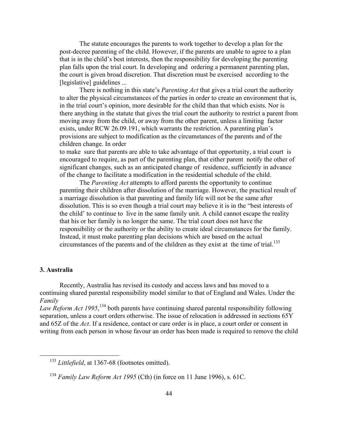The statute encourages the parents to work together to develop a plan for the post-decree parenting of the child. However, if the parents are unable to agree to a plan that is in the child's best interests, then the responsibility for developing the parenting plan falls upon the trial court. In developing and ordering a permanent parenting plan, the court is given broad discretion. That discretion must be exercised according to the [legislative] guidelines ...

 There is nothing in this state's *Parenting Act* that gives a trial court the authority to alter the physical circumstances of the parties in order to create an environment that is, in the trial court's opinion, more desirable for the child than that which exists. Nor is there anything in the statute that gives the trial court the authority to restrict a parent from moving away from the child, or away from the other parent, unless a limiting factor exists, under RCW 26.09.191, which warrants the restriction. A parenting plan's provisions are subject to modification as the circumstances of the parents and of the children change. In order

to make sure that parents are able to take advantage of that opportunity, a trial court is encouraged to require, as part of the parenting plan, that either parent notify the other of significant changes, such as an anticipated change of residence, sufficiently in advance of the change to facilitate a modification in the residential schedule of the child.

 The *Parenting Act* attempts to afford parents the opportunity to continue parenting their children after dissolution of the marriage. However, the practical result of a marriage dissolution is that parenting and family life will not be the same after dissolution. This is so even though a trial court may believe it is in the "best interests of the child' to continue to live in the same family unit. A child cannot escape the reality that his or her family is no longer the same. The trial court does not have the responsibility or the authority or the ability to create ideal circumstances for the family. Instead, it must make parenting plan decisions which are based on the actual circumstances of the parents and of the children as they exist at the time of trial.<sup>133</sup>

# **3. Australia**

 Recently, Australia has revised its custody and access laws and has moved to a continuing shared parental responsibility model similar to that of England and Wales. Under the *Family* 

Law Reform Act 1995,<sup>134</sup> both parents have continuing shared parental responsibility following separation, unless a court orders otherwise. The issue of relocation is addressed in sections 65Y and 65Z of the *Act*. If a residence, contact or care order is in place, a court order or consent in writing from each person in whose favour an order has been made is required to remove the child

<sup>&</sup>lt;sup>133</sup> *Littlefield*, at 1367-68 (footnotes omitted).

<sup>134</sup> *Family Law Reform Act 1995* (Cth) (in force on 11 June 1996), s. 61C.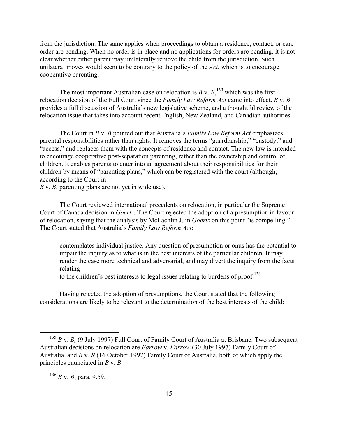from the jurisdiction. The same applies when proceedings to obtain a residence, contact, or care order are pending. When no order is in place and no applications for orders are pending, it is not clear whether either parent may unilaterally remove the child from the jurisdiction. Such unilateral moves would seem to be contrary to the policy of the *Act*, which is to encourage cooperative parenting.

The most important Australian case on relocation is  $B \, v \, B$ ,  $B$ <sup>135</sup>, which was the first relocation decision of the Full Court since the *Family Law Reform Act* came into effect. *B* v. *B* provides a full discussion of Australia's new legislative scheme, and a thoughtful review of the relocation issue that takes into account recent English, New Zealand, and Canadian authorities.

 The Court in *B* v. *B* pointed out that Australia's *Family Law Reform Act* emphasizes parental responsibilities rather than rights. It removes the terms "guardianship," "custody," and "access," and replaces them with the concepts of residence and contact. The new law is intended to encourage cooperative post-separation parenting, rather than the ownership and control of children. It enables parents to enter into an agreement about their responsibilities for their children by means of "parenting plans," which can be registered with the court (although, according to the Court in

*B* v. *B*, parenting plans are not yet in wide use).

 The Court reviewed international precedents on relocation, in particular the Supreme Court of Canada decision in *Goertz*. The Court rejected the adoption of a presumption in favour of relocation, saying that the analysis by McLachlin J. in *Goertz* on this point "is compelling." The Court stated that Australia's *Family Law Reform Act*:

contemplates individual justice. Any question of presumption or onus has the potential to impair the inquiry as to what is in the best interests of the particular children. It may render the case more technical and adversarial, and may divert the inquiry from the facts relating

to the children's best interests to legal issues relating to burdens of proof.<sup>136</sup>

 Having rejected the adoption of presumptions, the Court stated that the following considerations are likely to be relevant to the determination of the best interests of the child:

<sup>&</sup>lt;sup>135</sup> *B* v. *B*, (9 July 1997) Full Court of Family Court of Australia at Brisbane. Two subsequent Australian decisions on relocation are *Farrow* v. *Farrow* (30 July 1997) Family Court of Australia, and *R* v. *R* (16 October 1997) Family Court of Australia, both of which apply the principles enunciated in *B* v. *B*.

<sup>136</sup> *B* v. *B*, para. 9.59.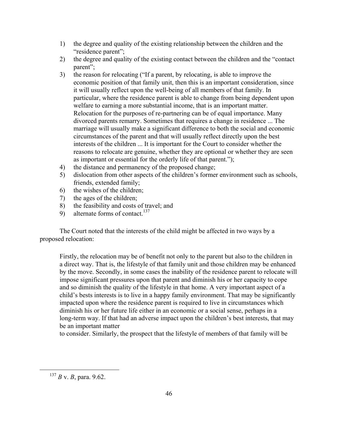- 1) the degree and quality of the existing relationship between the children and the "residence parent";
- 2) the degree and quality of the existing contact between the children and the "contact parent";
- 3) the reason for relocating ("If a parent, by relocating, is able to improve the economic position of that family unit, then this is an important consideration, since it will usually reflect upon the well-being of all members of that family. In particular, where the residence parent is able to change from being dependent upon welfare to earning a more substantial income, that is an important matter. Relocation for the purposes of re-partnering can be of equal importance. Many divorced parents remarry. Sometimes that requires a change in residence ... The marriage will usually make a significant difference to both the social and economic circumstances of the parent and that will usually reflect directly upon the best interests of the children ... It is important for the Court to consider whether the reasons to relocate are genuine, whether they are optional or whether they are seen as important or essential for the orderly life of that parent.");
- 4) the distance and permanency of the proposed change;
- 5) dislocation from other aspects of the children's former environment such as schools, friends, extended family;
- 6) the wishes of the children;
- 7) the ages of the children;
- 8) the feasibility and costs of travel; and
- 9) alternate forms of contact.<sup>137</sup>

 The Court noted that the interests of the child might be affected in two ways by a proposed relocation:

Firstly, the relocation may be of benefit not only to the parent but also to the children in a direct way. That is, the lifestyle of that family unit and those children may be enhanced by the move. Secondly, in some cases the inability of the residence parent to relocate will impose significant pressures upon that parent and diminish his or her capacity to cope and so diminish the quality of the lifestyle in that home. A very important aspect of a child's bests interests is to live in a happy family environment. That may be significantly impacted upon where the residence parent is required to live in circumstances which diminish his or her future life either in an economic or a social sense, perhaps in a long-term way. If that had an adverse impact upon the children's best interests, that may be an important matter

to consider. Similarly, the prospect that the lifestyle of members of that family will be

 $^{137}$  *B* v. *B*, para. 9.62.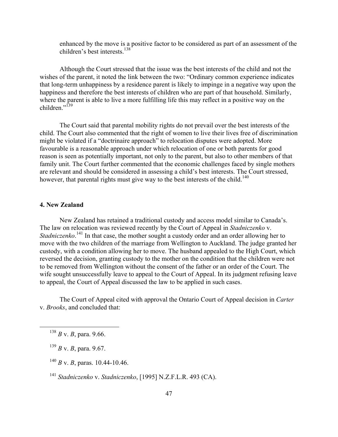enhanced by the move is a positive factor to be considered as part of an assessment of the children's best interests.<sup>138</sup>

 Although the Court stressed that the issue was the best interests of the child and not the wishes of the parent, it noted the link between the two: "Ordinary common experience indicates that long-term unhappiness by a residence parent is likely to impinge in a negative way upon the happiness and therefore the best interests of children who are part of that household. Similarly, where the parent is able to live a more fulfilling life this may reflect in a positive way on the children."<sup>139</sup>

 The Court said that parental mobility rights do not prevail over the best interests of the child. The Court also commented that the right of women to live their lives free of discrimination might be violated if a "doctrinaire approach" to relocation disputes were adopted. More favourable is a reasonable approach under which relocation of one or both parents for good reason is seen as potentially important, not only to the parent, but also to other members of that family unit. The Court further commented that the economic challenges faced by single mothers are relevant and should be considered in assessing a child's best interests. The Court stressed, however, that parental rights must give way to the best interests of the child.<sup>140</sup>

### **4. New Zealand**

 New Zealand has retained a traditional custody and access model similar to Canada's. The law on relocation was reviewed recently by the Court of Appeal in *Stadniczenko* v. Stadniczenko.<sup>141</sup> In that case, the mother sought a custody order and an order allowing her to move with the two children of the marriage from Wellington to Auckland. The judge granted her custody, with a condition allowing her to move. The husband appealed to the High Court, which reversed the decision, granting custody to the mother on the condition that the children were not to be removed from Wellington without the consent of the father or an order of the Court. The wife sought unsuccessfully leave to appeal to the Court of Appeal. In its judgment refusing leave to appeal, the Court of Appeal discussed the law to be applied in such cases.

 The Court of Appeal cited with approval the Ontario Court of Appeal decision in *Carter* v. *Brooks*, and concluded that:

<sup>140</sup> *B* v. *B*, paras. 10.44-10.46.

 $138 B$  v. *B*, para. 9.66.

<sup>139</sup> *B* v. *B*, para. 9.67.

<sup>141</sup> *Stadniczenko* v. *Stadniczenko*, [1995] N.Z.F.L.R. 493 (CA).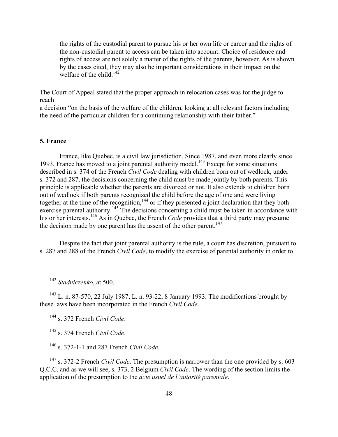the rights of the custodial parent to pursue his or her own life or career and the rights of the non-custodial parent to access can be taken into account. Choice of residence and rights of access are not solely a matter of the rights of the parents, however. As is shown by the cases cited, they may also be important considerations in their impact on the welfare of the child.<sup>142</sup>

The Court of Appeal stated that the proper approach in relocation cases was for the judge to reach

a decision "on the basis of the welfare of the children, looking at all relevant factors including the need of the particular children for a continuing relationship with their father."

# **5. France**

 France, like Quebec, is a civil law jurisdiction. Since 1987, and even more clearly since 1993, France has moved to a joint parental authority model.<sup>143</sup> Except for some situations described in s. 374 of the French *Civil Code* dealing with children born out of wedlock, under s. 372 and 287, the decisions concerning the child must be made jointly by both parents. This principle is applicable whether the parents are divorced or not. It also extends to children born out of wedlock if both parents recognized the child before the age of one and were living together at the time of the recognition,<sup>144</sup> or if they presented a joint declaration that they both exercise parental authority.<sup>145</sup> The decisions concerning a child must be taken in accordance with his or her interests.146 As in Quebec, the French *Code* provides that a third party may presume the decision made by one parent has the assent of the other parent.<sup>147</sup>

 Despite the fact that joint parental authority is the rule, a court has discretion, pursuant to s. 287 and 288 of the French *Civil Code*, to modify the exercise of parental authority in order to

142 *Stadniczenko*, at 500.

143 L. n. 87-570, 22 July 1987; L. n. 93-22, 8 January 1993. The modifications brought by these laws have been incorporated in the French *Civil Code*.

144 s. 372 French *Civil Code*.

145 s. 374 French *Civil Code*.

146 s. 372-1-1 and 287 French *Civil Code*.

147 s. 372-2 French *Civil Code*. The presumption is narrower than the one provided by s. 603 Q.C.C. and as we will see, s. 373, 2 Belgium *Civil Code*. The wording of the section limits the application of the presumption to the *acte usuel de l'autorité parentale*.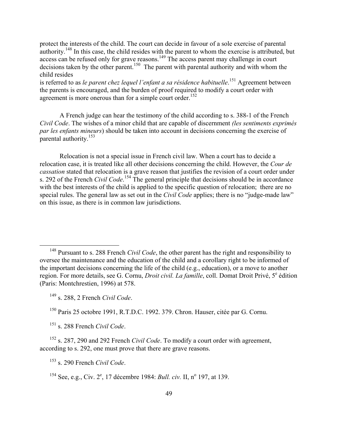protect the interests of the child. The court can decide in favour of a sole exercise of parental authority.<sup>148</sup> In this case, the child resides with the parent to whom the exercise is attributed, but access can be refused only for grave reasons.<sup>149</sup> The access parent may challenge in court decisions taken by the other parent.<sup>150</sup> The parent with parental authority and with whom the child resides

is referred to as *le parent chez lequel l'enfant a sa résidence habituelle*.<sup>151</sup> Agreement between the parents is encouraged, and the burden of proof required to modify a court order with agreement is more onerous than for a simple court order.<sup>152</sup>

 A French judge can hear the testimony of the child according to s. 388-1 of the French *Civil Code*. The wishes of a minor child that are capable of discernment *(les sentiments exprimés par les enfants mineurs*) should be taken into account in decisions concerning the exercise of parental authority.<sup>153</sup>

 Relocation is not a special issue in French civil law. When a court has to decide a relocation case, it is treated like all other decisions concerning the child. However, the *Cour de cassation* stated that relocation is a grave reason that justifies the revision of a court order under s. 292 of the French *Civil Code*. 154 The general principle that decisions should be in accordance with the best interests of the child is applied to the specific question of relocation; there are no special rules. The general law as set out in the *Civil Code* applies; there is no "judge-made law" on this issue, as there is in common law jurisdictions.

151 s. 288 French *Civil Code*.

152 s. 287, 290 and 292 French *Civil Code*. To modify a court order with agreement, according to s. 292, one must prove that there are grave reasons.

153 s. 290 French *Civil Code*.

<sup>154</sup> See, e.g., Civ. 2<sup>e</sup>, 17 décembre 1984: *Bull. civ.* II, n<sup>o</sup> 197, at 139.

 <sup>148</sup> Pursuant to s. 288 French *Civil Code*, the other parent has the right and responsibility to oversee the maintenance and the education of the child and a corollary right to be informed of the important decisions concerning the life of the child (e.g., education), or a move to another region. For more details, see G. Cornu, *Droit civil. La famille*, coll. Domat Droit Privé, 5<sup>e</sup> édition (Paris: Montchrestien, 1996) at 578.

<sup>149</sup> s. 288, 2 French *Civil Code*.

<sup>150</sup> Paris 25 octobre 1991, R.T.D.C. 1992. 379. Chron. Hauser, citée par G. Cornu.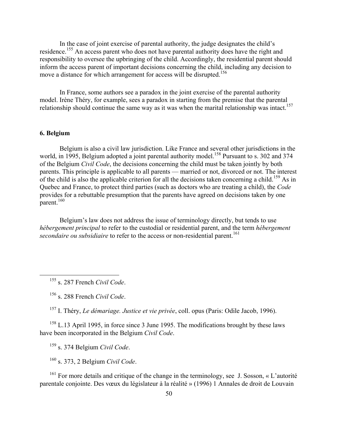In the case of joint exercise of parental authority, the judge designates the child's residence.<sup>155</sup> An access parent who does not have parental authority does have the right and responsibility to oversee the upbringing of the child. Accordingly, the residential parent should inform the access parent of important decisions concerning the child, including any decision to move a distance for which arrangement for access will be disrupted.<sup>156</sup>

 In France, some authors see a paradox in the joint exercise of the parental authority model. Irène Théry, for example, sees a paradox in starting from the premise that the parental relationship should continue the same way as it was when the marital relationship was intact.<sup>157</sup>

# **6. Belgium**

 Belgium is also a civil law jurisdiction. Like France and several other jurisdictions in the world, in 1995, Belgium adopted a joint parental authority model.<sup>158</sup> Pursuant to s. 302 and 374 of the Belgium *Civil Code*, the decisions concerning the child must be taken jointly by both parents. This principle is applicable to all parents — married or not, divorced or not. The interest of the child is also the applicable criterion for all the decisions taken concerning a child.<sup>159</sup> As in Quebec and France, to protect third parties (such as doctors who are treating a child), the *Code* provides for a rebuttable presumption that the parents have agreed on decisions taken by one parent.<sup>160</sup>

 Belgium's law does not address the issue of terminology directly, but tends to use *hébergement principal* to refer to the custodial or residential parent, and the term *hébergement secondaire ou subsidiaire* to refer to the access or non-residential parent.<sup>161</sup>

155 s. 287 French *Civil Code*.

156 s. 288 French *Civil Code*.

157 I. Théry, *Le démariage. Justice et vie privée*, coll. opus (Paris: Odile Jacob, 1996).

<sup>158</sup> L.13 April 1995, in force since 3 June 1995. The modifications brought by these laws have been incorporated in the Belgium *Civil Code*.

159 s. 374 Belgium *Civil Code*.

160 s. 373, 2 Belgium *Civil Code*.

<sup>161</sup> For more details and critique of the change in the terminology, see J. Sosson, « L'autorité parentale conjointe. Des vœux du législateur à la réalité » (1996) 1 Annales de droit de Louvain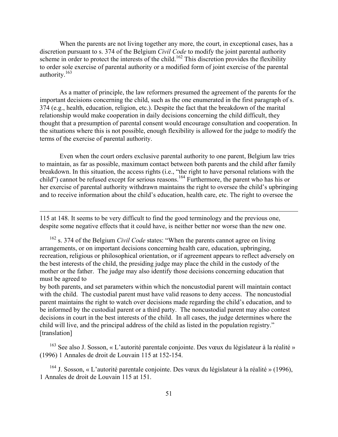When the parents are not living together any more, the court, in exceptional cases, has a discretion pursuant to s. 374 of the Belgium *Civil Code* to modify the joint parental authority scheme in order to protect the interests of the child.<sup>162</sup> This discretion provides the flexibility to order sole exercise of parental authority or a modified form of joint exercise of the parental authority.163

 As a matter of principle, the law reformers presumed the agreement of the parents for the important decisions concerning the child, such as the one enumerated in the first paragraph of s. 374 (e.g., health, education, religion, etc.). Despite the fact that the breakdown of the marital relationship would make cooperation in daily decisions concerning the child difficult, they thought that a presumption of parental consent would encourage consultation and cooperation. In the situations where this is not possible, enough flexibility is allowed for the judge to modify the terms of the exercise of parental authority.

 Even when the court orders exclusive parental authority to one parent, Belgium law tries to maintain, as far as possible, maximum contact between both parents and the child after family breakdown. In this situation, the access rights (i.e., "the right to have personal relations with the child") cannot be refused except for serious reasons.<sup>164</sup> Furthermore, the parent who has his or her exercise of parental authority withdrawn maintains the right to oversee the child's upbringing and to receive information about the child's education, health care, etc. The right to oversee the

115 at 148. It seems to be very difficult to find the good terminology and the previous one, despite some negative effects that it could have, is neither better nor worse than the new one.

 $\overline{a}$ 

<sup>162</sup> s. 374 of the Belgium *Civil Code* states: "When the parents cannot agree on living arrangements, or on important decisions concerning health care, education, upbringing, recreation, religious or philosophical orientation, or if agreement appears to reflect adversely on the best interests of the child, the presiding judge may place the child in the custody of the mother or the father. The judge may also identify those decisions concerning education that must be agreed to

by both parents, and set parameters within which the noncustodial parent will maintain contact with the child. The custodial parent must have valid reasons to deny access. The noncustodial parent maintains the right to watch over decisions made regarding the child's education, and to be informed by the custodial parent or a third party. The noncustodial parent may also contest decisions in court in the best interests of the child. In all cases, the judge determines where the child will live, and the principal address of the child as listed in the population registry." [translation]

<sup>163</sup> See also J. Sosson, « L'autorité parentale conjointe. Des vœux du législateur à la réalité » (1996) 1 Annales de droit de Louvain 115 at 152-154.

<sup>164</sup> J. Sosson, « L'autorité parentale conjointe. Des vœux du législateur à la réalité » (1996), 1 Annales de droit de Louvain 115 at 151.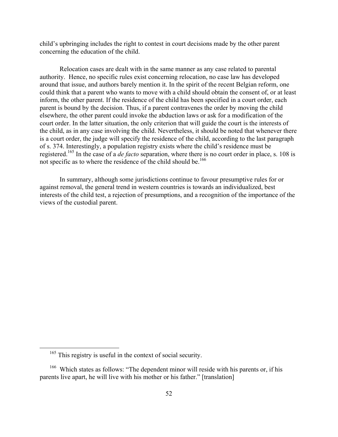child's upbringing includes the right to contest in court decisions made by the other parent concerning the education of the child.

 Relocation cases are dealt with in the same manner as any case related to parental authority. Hence, no specific rules exist concerning relocation, no case law has developed around that issue, and authors barely mention it. In the spirit of the recent Belgian reform, one could think that a parent who wants to move with a child should obtain the consent of, or at least inform, the other parent. If the residence of the child has been specified in a court order, each parent is bound by the decision. Thus, if a parent contravenes the order by moving the child elsewhere, the other parent could invoke the abduction laws or ask for a modification of the court order. In the latter situation, the only criterion that will guide the court is the interests of the child, as in any case involving the child. Nevertheless, it should be noted that whenever there is a court order, the judge will specify the residence of the child, according to the last paragraph of s. 374. Interestingly, a population registry exists where the child's residence must be registered.165 In the case of a *de facto* separation, where there is no court order in place, s. 108 is not specific as to where the residence of the child should be.<sup>166</sup>

 In summary, although some jurisdictions continue to favour presumptive rules for or against removal, the general trend in western countries is towards an individualized, best interests of the child test, a rejection of presumptions, and a recognition of the importance of the views of the custodial parent.

<sup>&</sup>lt;sup>165</sup> This registry is useful in the context of social security.

<sup>&</sup>lt;sup>166</sup> Which states as follows: "The dependent minor will reside with his parents or, if his parents live apart, he will live with his mother or his father." [translation]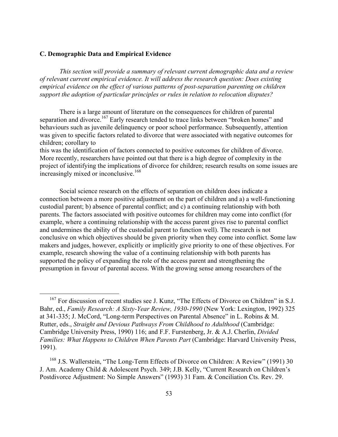### **C. Demographic Data and Empirical Evidence**

 *This section will provide a summary of relevant current demographic data and a review of relevant current empirical evidence. It will address the research question: Does existing empirical evidence on the effect of various patterns of post-separation parenting on children support the adoption of particular principles or rules in relation to relocation disputes?* 

 There is a large amount of literature on the consequences for children of parental separation and divorce.<sup>167</sup> Early research tended to trace links between "broken homes" and behaviours such as juvenile delinquency or poor school performance. Subsequently, attention was given to specific factors related to divorce that were associated with negative outcomes for children; corollary to

this was the identification of factors connected to positive outcomes for children of divorce. More recently, researchers have pointed out that there is a high degree of complexity in the project of identifying the implications of divorce for children; research results on some issues are increasingly mixed or inconclusive.<sup>168</sup>

 Social science research on the effects of separation on children does indicate a connection between a more positive adjustment on the part of children and a) a well-functioning custodial parent; b) absence of parental conflict; and c) a continuing relationship with both parents. The factors associated with positive outcomes for children may come into conflict (for example, where a continuing relationship with the access parent gives rise to parental conflict and undermines the ability of the custodial parent to function well). The research is not conclusive on which objectives should be given priority when they come into conflict. Some law makers and judges, however, explicitly or implicitly give priority to one of these objectives. For example, research showing the value of a continuing relationship with both parents has supported the policy of expanding the role of the access parent and strengthening the presumption in favour of parental access. With the growing sense among researchers of the

<sup>&</sup>lt;sup>167</sup> For discussion of recent studies see J. Kunz, "The Effects of Divorce on Children" in S.J. Bahr, ed., *Family Research: A Sixty-Year Review, 1930-1990* (New York: Lexington, 1992) 325 at 341-335; J. McCord, "Long-term Perspectives on Parental Absence" in L. Robins & M. Rutter, eds., *Straight and Devious Pathways From Childhood to Adulthood* (Cambridge: Cambridge University Press, 1990) 116; and F.F. Furstenberg, Jr. & A.J. Cherlin, *Divided Families: What Happens to Children When Parents Part* (Cambridge: Harvard University Press, 1991).

<sup>&</sup>lt;sup>168</sup> J.S. Wallerstein, "The Long-Term Effects of Divorce on Children: A Review" (1991) 30 J. Am. Academy Child & Adolescent Psych. 349; J.B. Kelly, "Current Research on Children's Postdivorce Adjustment: No Simple Answers" (1993) 31 Fam. & Conciliation Cts. Rev. 29.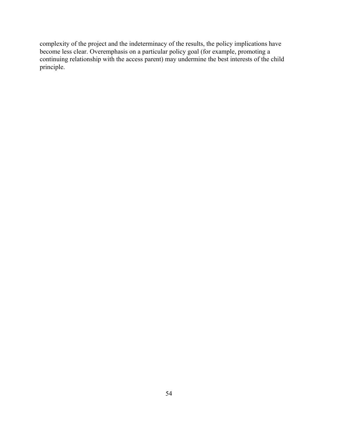complexity of the project and the indeterminacy of the results, the policy implications have become less clear. Overemphasis on a particular policy goal (for example, promoting a continuing relationship with the access parent) may undermine the best interests of the child principle.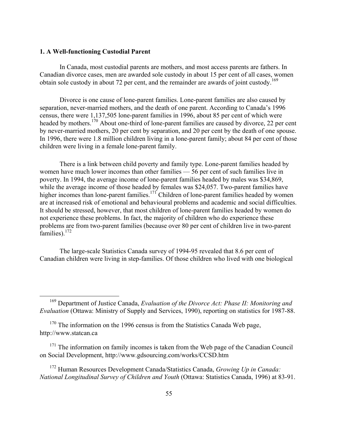### **1. A Well-functioning Custodial Parent**

 In Canada, most custodial parents are mothers, and most access parents are fathers. In Canadian divorce cases, men are awarded sole custody in about 15 per cent of all cases, women obtain sole custody in about 72 per cent, and the remainder are awards of joint custody.<sup>169</sup>

 Divorce is one cause of lone-parent families. Lone-parent families are also caused by separation, never-married mothers, and the death of one parent. According to Canada's 1996 census, there were 1,137,505 lone-parent families in 1996, about 85 per cent of which were headed by mothers.<sup>170</sup> About one-third of lone-parent families are caused by divorce, 22 per cent by never-married mothers, 20 per cent by separation, and 20 per cent by the death of one spouse. In 1996, there were 1.8 million children living in a lone-parent family; about 84 per cent of those children were living in a female lone-parent family.

 There is a link between child poverty and family type. Lone-parent families headed by women have much lower incomes than other families — 56 per cent of such families live in poverty. In 1994, the average income of lone-parent families headed by males was \$34,869, while the average income of those headed by females was \$24,057. Two-parent families have higher incomes than lone-parent families.<sup>171</sup> Children of lone-parent families headed by women are at increased risk of emotional and behavioural problems and academic and social difficulties. It should be stressed, however, that most children of lone-parent families headed by women do not experience these problems. In fact, the majority of children who do experience these problems are from two-parent families (because over 80 per cent of children live in two-parent families).<sup>172</sup>

 The large-scale Statistics Canada survey of 1994-95 revealed that 8.6 per cent of Canadian children were living in step-families. Of those children who lived with one biological

 <sup>169</sup> Department of Justice Canada, *Evaluation of the Divorce Act: Phase II: Monitoring and Evaluation* (Ottawa: Ministry of Supply and Services, 1990), reporting on statistics for 1987-88.

<sup>&</sup>lt;sup>170</sup> The information on the 1996 census is from the Statistics Canada Web page, http://www.statcan.ca

 $171$  The information on family incomes is taken from the Web page of the Canadian Council on Social Development, http://www.gdsourcing.com/works/CCSD.htm

<sup>172</sup> Human Resources Development Canada/Statistics Canada, *Growing Up in Canada: National Longitudinal Survey of Children and Youth* (Ottawa: Statistics Canada, 1996) at 83-91.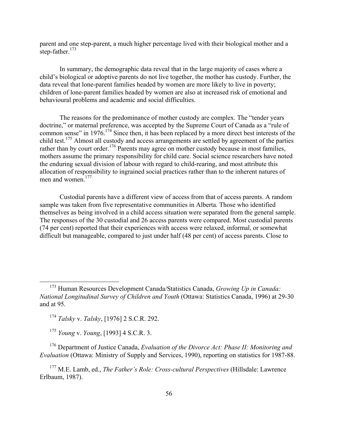parent and one step-parent, a much higher percentage lived with their biological mother and a step-father.<sup>173</sup>

 In summary, the demographic data reveal that in the large majority of cases where a child's biological or adoptive parents do not live together, the mother has custody. Further, the data reveal that lone-parent families headed by women are more likely to live in poverty; children of lone-parent families headed by women are also at increased risk of emotional and behavioural problems and academic and social difficulties.

 The reasons for the predominance of mother custody are complex. The "tender years doctrine," or maternal preference, was accepted by the Supreme Court of Canada as a "rule of common sense" in 1976.<sup>174</sup> Since then, it has been replaced by a more direct best interests of the comments at <sup>175</sup> Almost all custody and access arrangements are settled by agreement of the parties rather than by court order.<sup>176</sup> Parents may agree on mother custody because in most families, mothers assume the primary responsibility for child care. Social science researchers have noted the enduring sexual division of labour with regard to child-rearing, and most attribute this allocation of responsibility to ingrained social practices rather than to the inherent natures of men and women.<sup>177</sup>

 Custodial parents have a different view of access from that of access parents. A random sample was taken from five representative communities in Alberta. Those who identified themselves as being involved in a child access situation were separated from the general sample. The responses of the 30 custodial and 26 access parents were compared. Most custodial parents (74 per cent) reported that their experiences with access were relaxed, informal, or somewhat difficult but manageable, compared to just under half (48 per cent) of access parents. Close to

<sup>174</sup> *Talsky* v. *Talsky*, [1976] 2 S.C.R. 292.

<sup>175</sup> *Young* v. *Young*, [1993] 4 S.C.R. 3.

176 Department of Justice Canada, *Evaluation of the Divorce Act: Phase II: Monitoring and Evaluation* (Ottawa: Ministry of Supply and Services, 1990), reporting on statistics for 1987-88.

177 M.E. Lamb, ed., *The Father's Role: Cross-cultural Perspectives* (Hillsdale: Lawrence Erlbaum, 1987).

 <sup>173</sup> Human Resources Development Canada/Statistics Canada, *Growing Up in Canada: National Longitudinal Survey of Children and Youth* (Ottawa: Statistics Canada, 1996) at 29-30 and at 95.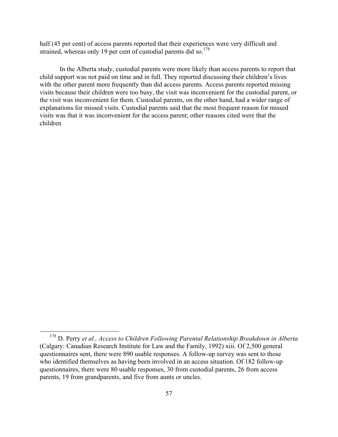half (45 per cent) of access parents reported that their experiences were very difficult and strained, whereas only 19 per cent of custodial parents did so.<sup>178</sup>

 In the Alberta study, custodial parents were more likely than access parents to report that child support was not paid on time and in full. They reported discussing their children's lives with the other parent more frequently than did access parents. Access parents reported missing visits because their children were too busy, the visit was inconvenient for the custodial parent, or the visit was inconvenient for them. Custodial parents, on the other hand, had a wider range of explanations for missed visits. Custodial parents said that the most frequent reason for missed visits was that it was inconvenient for the access parent; other reasons cited were that the children

 <sup>178</sup> D. Perry *et al., Access to Children Following Parental Relationship Breakdown in Alberta* (Calgary: Canadian Research Institute for Law and the Family, 1992) xiii. Of 2,500 general questionnaires sent, there were 890 usable responses. A follow-up survey was sent to those who identified themselves as having been involved in an access situation. Of 182 follow-up questionnaires, there were 80 usable responses, 30 from custodial parents, 26 from access parents, 19 from grandparents, and five from aunts or uncles.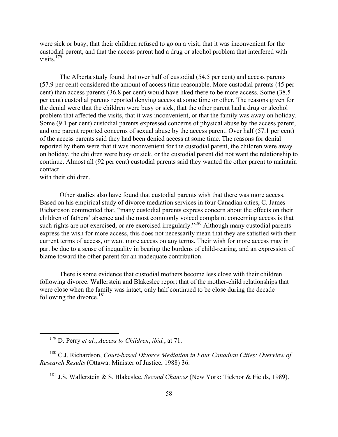were sick or busy, that their children refused to go on a visit, that it was inconvenient for the custodial parent, and that the access parent had a drug or alcohol problem that interfered with visits $179$ 

 The Alberta study found that over half of custodial (54.5 per cent) and access parents (57.9 per cent) considered the amount of access time reasonable. More custodial parents (45 per cent) than access parents (36.8 per cent) would have liked there to be more access. Some (38.5 per cent) custodial parents reported denying access at some time or other. The reasons given for the denial were that the children were busy or sick, that the other parent had a drug or alcohol problem that affected the visits, that it was inconvenient, or that the family was away on holiday. Some (9.1 per cent) custodial parents expressed concerns of physical abuse by the access parent, and one parent reported concerns of sexual abuse by the access parent. Over half (57.1 per cent) of the access parents said they had been denied access at some time. The reasons for denial reported by them were that it was inconvenient for the custodial parent, the children were away on holiday, the children were busy or sick, or the custodial parent did not want the relationship to continue. Almost all (92 per cent) custodial parents said they wanted the other parent to maintain contact

with their children

 Other studies also have found that custodial parents wish that there was more access. Based on his empirical study of divorce mediation services in four Canadian cities, C. James Richardson commented that, "many custodial parents express concern about the effects on their children of fathers' absence and the most commonly voiced complaint concerning access is that such rights are not exercised, or are exercised irregularly.<sup>"180</sup> Although many custodial parents express the wish for more access, this does not necessarily mean that they are satisfied with their current terms of access, or want more access on any terms. Their wish for more access may in part be due to a sense of inequality in bearing the burdens of child-rearing, and an expression of blame toward the other parent for an inadequate contribution.

 There is some evidence that custodial mothers become less close with their children following divorce. Wallerstein and Blakeslee report that of the mother-child relationships that were close when the family was intact, only half continued to be close during the decade following the divorce. $^{181}$ 

 <sup>179</sup> D. Perry *et al.*, *Access to Children*, *ibid.*, at 71.

<sup>180</sup> C.J. Richardson, *Court-based Divorce Mediation in Four Canadian Cities: Overview of Research Results* (Ottawa: Minister of Justice, 1988) 36.

<sup>181</sup> J.S. Wallerstein & S. Blakeslee, *Second Chances* (New York: Ticknor & Fields, 1989).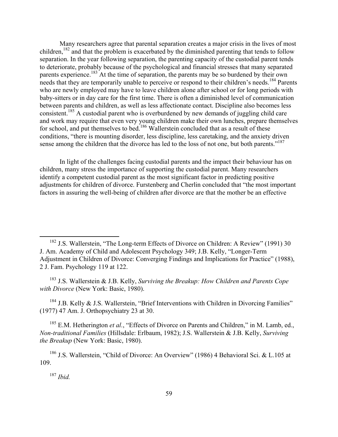Many researchers agree that parental separation creates a major crisis in the lives of most children,<sup>182</sup> and that the problem is exacerbated by the diminished parenting that tends to follow separation. In the year following separation, the parenting capacity of the custodial parent tends to deteriorate, probably because of the psychological and financial stresses that many separated parents experience.<sup>183</sup> At the time of separation, the parents may be so burdened by their own needs that they are temporarily unable to perceive or respond to their children's needs.<sup>184</sup> Parents who are newly employed may have to leave children alone after school or for long periods with baby-sitters or in day care for the first time. There is often a diminished level of communication between parents and children, as well as less affectionate contact. Discipline also becomes less consistent.185 A custodial parent who is overburdened by new demands of juggling child care and work may require that even very young children make their own lunches, prepare themselves for school, and put themselves to bed.<sup>186</sup> Wallerstein concluded that as a result of these conditions, "there is mounting disorder, less discipline, less caretaking, and the anxiety driven sense among the children that the divorce has led to the loss of not one, but both parents."<sup>187</sup>

 In light of the challenges facing custodial parents and the impact their behaviour has on children, many stress the importance of supporting the custodial parent. Many researchers identify a competent custodial parent as the most significant factor in predicting positive adjustments for children of divorce. Furstenberg and Cherlin concluded that "the most important factors in assuring the well-being of children after divorce are that the mother be an effective

<sup>184</sup> J.B. Kelly & J.S. Wallerstein, "Brief Interventions with Children in Divorcing Families" (1977) 47 Am. J. Orthopsychiatry 23 at 30.

<sup>185</sup> E.M. Hetherington *et al.*, "Effects of Divorce on Parents and Children," in M. Lamb, ed., *Non-traditional Families* (Hillsdale: Erlbaum, 1982); J.S. Wallerstein & J.B. Kelly, *Surviving the Breakup* (New York: Basic, 1980).

<sup>187</sup> *Ibid.*

<sup>&</sup>lt;sup>182</sup> J.S. Wallerstein, "The Long-term Effects of Divorce on Children: A Review" (1991) 30 J. Am. Academy of Child and Adolescent Psychology 349; J.B. Kelly, "Longer-Term Adjustment in Children of Divorce: Converging Findings and Implications for Practice" (1988), 2 J. Fam. Psychology 119 at 122.

<sup>183</sup> J.S. Wallerstein & J.B. Kelly, *Surviving the Breakup: How Children and Parents Cope with Divorce* (New York: Basic, 1980).

<sup>&</sup>lt;sup>186</sup> J.S. Wallerstein, "Child of Divorce: An Overview" (1986) 4 Behavioral Sci. & L.105 at 109.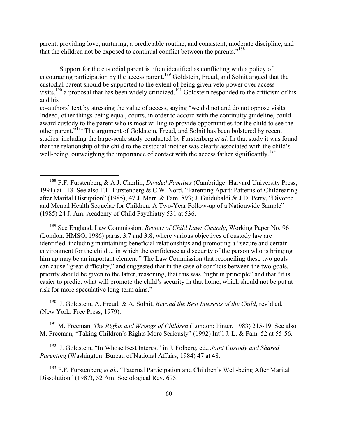parent, providing love, nurturing, a predictable routine, and consistent, moderate discipline, and that the children not be exposed to continual conflict between the parents."188

 Support for the custodial parent is often identified as conflicting with a policy of encouraging participation by the access parent.189 Goldstein, Freud, and Solnit argued that the custodial parent should be supported to the extent of being given veto power over access visits,  $190$  a proposal that has been widely criticized.<sup>191</sup> Goldstein responded to the criticism of his and his

co-authors' text by stressing the value of access, saying "we did not and do not oppose visits. Indeed, other things being equal, courts, in order to accord with the continuity guideline, could award custody to the parent who is most willing to provide opportunities for the child to see the other parent."<sup>192</sup> The argument of Goldstein, Freud, and Solnit has been bolstered by recent studies, including the large-scale study conducted by Furstenberg *et al.* In that study it was found that the relationship of the child to the custodial mother was clearly associated with the child's well-being, outweighing the importance of contact with the access father significantly.<sup>193</sup>

189 See England, Law Commission, *Review of Child Law: Custody*, Working Paper No. 96 (London: HMSO, 1986) paras. 3.7 and 3.8, where various objectives of custody law are identified, including maintaining beneficial relationships and promoting a "secure and certain environment for the child ... in which the confidence and security of the person who is bringing him up may be an important element." The Law Commission that reconciling these two goals can cause "great difficulty," and suggested that in the case of conflicts between the two goals, priority should be given to the latter, reasoning, that this was "right in principle" and that "it is easier to predict what will promote the child's security in that home, which should not be put at risk for more speculative long-term aims."

<sup>190</sup> J. Goldstein, A. Freud, & A. Solnit, *Beyond the Best Interests of the Child*, rev'd ed. (New York: Free Press, 1979).

191 M. Freeman, *The Rights and Wrongs of Children* (London: Pinter, 1983) 215-19. See also M. Freeman, "Taking Children's Rights More Seriously" (1992) Int'l J. L. & Fam. 52 at 55-56.

192 J. Goldstein, "In Whose Best Interest" in J. Folberg, ed., *Joint Custody and Shared Parenting* (Washington: Bureau of National Affairs, 1984) 47 at 48.

193 F.F. Furstenberg *et al.*, "Paternal Participation and Children's Well-being After Marital Dissolution" (1987), 52 Am. Sociological Rev. 695.

 <sup>188</sup> F.F. Furstenberg & A.J. Cherlin, *Divided Families* (Cambridge: Harvard University Press, 1991) at 118. See also F.F. Furstenberg & C.W. Nord, "Parenting Apart: Patterns of Childrearing after Marital Disruption" (1985), 47 J. Marr. & Fam. 893; J. Guidubaldi & J.D. Perry, "Divorce and Mental Health Sequelae for Children: A Two-Year Follow-up of a Nationwide Sample" (1985) 24 J. Am. Academy of Child Psychiatry 531 at 536.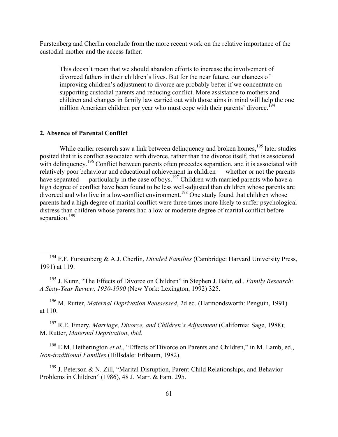Furstenberg and Cherlin conclude from the more recent work on the relative importance of the custodial mother and the access father:

This doesn't mean that we should abandon efforts to increase the involvement of divorced fathers in their children's lives. But for the near future, our chances of improving children's adjustment to divorce are probably better if we concentrate on supporting custodial parents and reducing conflict. More assistance to mothers and children and changes in family law carried out with those aims in mind will help the one million American children per year who must cope with their parents' divorce.<sup>194</sup>

### **2. Absence of Parental Conflict**

While earlier research saw a link between delinquency and broken homes,<sup>195</sup> later studies posited that it is conflict associated with divorce, rather than the divorce itself, that is associated with delinquency.<sup>196</sup> Conflict between parents often precedes separation, and it is associated with relatively poor behaviour and educational achievement in children — whether or not the parents have separated — particularly in the case of boys.<sup>197</sup> Children with married parents who have a high degree of conflict have been found to be less well-adjusted than children whose parents are divorced and who live in a low-conflict environment.<sup>198</sup> One study found that children whose parents had a high degree of marital conflict were three times more likely to suffer psychological distress than children whose parents had a low or moderate degree of marital conflict before separation.<sup>199</sup>

196 M. Rutter, *Maternal Deprivation Reassessed*, 2d ed. (Harmondsworth: Penguin, 1991) at 110.

197 R.E. Emery, *Marriage, Divorce, and Children's Adjustment* (California: Sage, 1988); M. Rutter, *Maternal Deprivation*, *ibid*.

<sup>198</sup> E.M. Hetherington *et al.*, "Effects of Divorce on Parents and Children," in M. Lamb, ed., *Non-traditional Families* (Hillsdale: Erlbaum, 1982).

<sup>199</sup> J. Peterson & N. Zill, "Marital Disruption, Parent-Child Relationships, and Behavior Problems in Children" (1986), 48 J. Marr. & Fam. 295.

 <sup>194</sup> F.F. Furstenberg & A.J. Cherlin, *Divided Families* (Cambridge: Harvard University Press, 1991) at 119.

<sup>195</sup> J. Kunz, "The Effects of Divorce on Children" in Stephen J. Bahr, ed., *Family Research: A Sixty-Year Review, 1930-1990* (New York: Lexington, 1992) 325.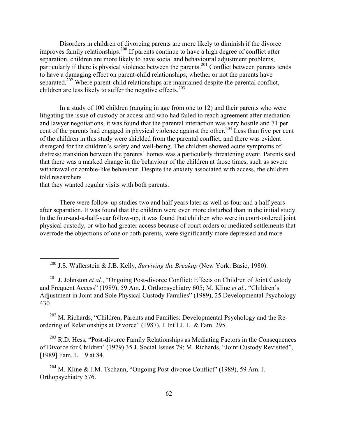Disorders in children of divorcing parents are more likely to diminish if the divorce improves family relationships.<sup>200</sup> If parents continue to have a high degree of conflict after separation, children are more likely to have social and behavioural adjustment problems, particularly if there is physical violence between the parents.<sup>201</sup> Conflict between parents tends to have a damaging effect on parent-child relationships, whether or not the parents have separated.<sup>202</sup> Where parent-child relationships are maintained despite the parental conflict, children are less likely to suffer the negative effects.<sup>203</sup>

 In a study of 100 children (ranging in age from one to 12) and their parents who were litigating the issue of custody or access and who had failed to reach agreement after mediation and lawyer negotiations, it was found that the parental interaction was very hostile and 71 per cent of the parents had engaged in physical violence against the other.<sup>204</sup> Less than five per cent of the children in this study were shielded from the parental conflict, and there was evident disregard for the children's safety and well-being. The children showed acute symptoms of distress; transition between the parents' homes was a particularly threatening event. Parents said that there was a marked change in the behaviour of the children at those times, such as severe withdrawal or zombie-like behaviour. Despite the anxiety associated with access, the children told researchers

that they wanted regular visits with both parents.

 There were follow-up studies two and half years later as well as four and a half years after separation. It was found that the children were even more disturbed than in the initial study. In the four-and-a-half-year follow-up, it was found that children who were in court-ordered joint physical custody, or who had greater access because of court orders or mediated settlements that overrode the objections of one or both parents, were significantly more depressed and more

<sup>202</sup> M. Richards, "Children, Parents and Families: Developmental Psychology and the Reordering of Relationships at Divorce" (1987), 1 Int'l J. L. & Fam. 295.

<sup>203</sup> R.D. Hess, "Post-divorce Family Relationships as Mediating Factors in the Consequences of Divorce for Children' (1979) 35 J. Social Issues 79; M. Richards, "Joint Custody Revisited", [1989] Fam. L. 19 at 84.

204 M. Kline & J.M. Tschann, "Ongoing Post-divorce Conflict" (1989), 59 Am. J. Orthopsychiatry 576.

 <sup>200</sup> J.S. Wallerstein & J.B. Kelly, *Surviving the Breakup* (New York: Basic, 1980).

<sup>&</sup>lt;sup>201</sup> J. Johnston *et al.*, "Ongoing Post-divorce Conflict: Effects on Children of Joint Custody and Frequent Access" (1989), 59 Am. J. Orthopsychiatry 605; M. Kline *et al.*, "Children's Adjustment in Joint and Sole Physical Custody Families" (1989), 25 Developmental Psychology 430.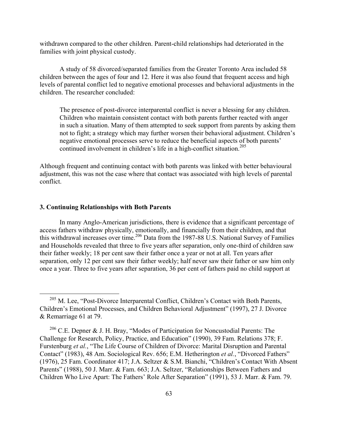withdrawn compared to the other children. Parent-child relationships had deteriorated in the families with joint physical custody.

 A study of 58 divorced/separated families from the Greater Toronto Area included 58 children between the ages of four and 12. Here it was also found that frequent access and high levels of parental conflict led to negative emotional processes and behavioral adjustments in the children. The researcher concluded:

The presence of post-divorce interparental conflict is never a blessing for any children. Children who maintain consistent contact with both parents further reacted with anger in such a situation. Many of them attempted to seek support from parents by asking them not to fight; a strategy which may further worsen their behavioral adjustment. Children's negative emotional processes serve to reduce the beneficial aspects of both parents' continued involvement in children's life in a high-conflict situation.<sup>205</sup>

Although frequent and continuing contact with both parents was linked with better behavioural adjustment, this was not the case where that contact was associated with high levels of parental conflict.

### **3. Continuing Relationships with Both Parents**

 In many Anglo-American jurisdictions, there is evidence that a significant percentage of access fathers withdraw physically, emotionally, and financially from their children, and that this withdrawal increases over time.<sup>206</sup> Data from the 1987-88 U.S. National Survey of Families and Households revealed that three to five years after separation, only one-third of children saw their father weekly; 18 per cent saw their father once a year or not at all. Ten years after separation, only 12 per cent saw their father weekly; half never saw their father or saw him only once a year. Three to five years after separation, 36 per cent of fathers paid no child support at

 <sup>205</sup> M. Lee, "Post-Divorce Interparental Conflict, Children's Contact with Both Parents, Children's Emotional Processes, and Children Behavioral Adjustment" (1997), 27 J. Divorce & Remarriage 61 at 79.

<sup>206</sup> C.E. Depner & J. H. Bray, "Modes of Participation for Noncustodial Parents: The Challenge for Research, Policy, Practice, and Education" (1990), 39 Fam. Relations 378; F. Furstenburg *et al.*, "The Life Course of Children of Divorce: Marital Disruption and Parental Contact" (1983), 48 Am. Sociological Rev. 656; E.M. Hetherington *et al.*, "Divorced Fathers" (1976), 25 Fam. Coordinator 417; J.A. Seltzer & S.M. Bianchi, "Children's Contact With Absent Parents" (1988), 50 J. Marr. & Fam. 663; J.A. Seltzer, "Relationships Between Fathers and Children Who Live Apart: The Fathers' Role After Separation" (1991), 53 J. Marr. & Fam. 79.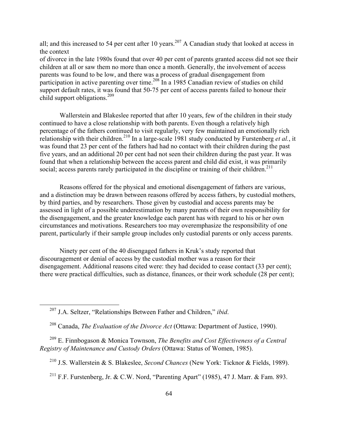all; and this increased to 54 per cent after 10 years.  $207$  A Canadian study that looked at access in the context

of divorce in the late 1980s found that over 40 per cent of parents granted access did not see their children at all or saw them no more than once a month. Generally, the involvement of access parents was found to be low, and there was a process of gradual disengagement from participation in active parenting over time.<sup>208</sup> In a 1985 Canadian review of studies on child support default rates, it was found that 50-75 per cent of access parents failed to honour their child support obligations.<sup>209</sup>

 Wallerstein and Blakeslee reported that after 10 years, few of the children in their study continued to have a close relationship with both parents. Even though a relatively high percentage of the fathers continued to visit regularly, very few maintained an emotionally rich relationship with their children.<sup>210</sup> In a large-scale 1981 study conducted by Furstenberg *et al.*, it was found that 23 per cent of the fathers had had no contact with their children during the past five years, and an additional 20 per cent had not seen their children during the past year. It was found that when a relationship between the access parent and child did exist, it was primarily social; access parents rarely participated in the discipline or training of their children.<sup>211</sup>

 Reasons offered for the physical and emotional disengagement of fathers are various, and a distinction may be drawn between reasons offered by access fathers, by custodial mothers, by third parties, and by researchers. Those given by custodial and access parents may be assessed in light of a possible underestimation by many parents of their own responsibility for the disengagement, and the greater knowledge each parent has with regard to his or her own circumstances and motivations. Researchers too may overemphasize the responsibility of one parent, particularly if their sample group includes only custodial parents or only access parents.

 Ninety per cent of the 40 disengaged fathers in Kruk's study reported that discouragement or denial of access by the custodial mother was a reason for their disengagement. Additional reasons cited were: they had decided to cease contact (33 per cent); there were practical difficulties, such as distance, finances, or their work schedule (28 per cent);

209 E. Finnbogason & Monica Townson, *The Benefits and Cost Effectiveness of a Central Registry of Maintenance and Custody Orders* (Ottawa: Status of Women, 1985).

 <sup>207</sup> J.A. Seltzer, "Relationships Between Father and Children," *ibid*.

<sup>208</sup> Canada, *The Evaluation of the Divorce Act* (Ottawa: Department of Justice, 1990).

<sup>210</sup> J.S. Wallerstein & S. Blakeslee, *Second Chances* (New York: Ticknor & Fields, 1989).

<sup>&</sup>lt;sup>211</sup> F.F. Furstenberg, Jr. & C.W. Nord, "Parenting Apart" (1985), 47 J. Marr. & Fam. 893.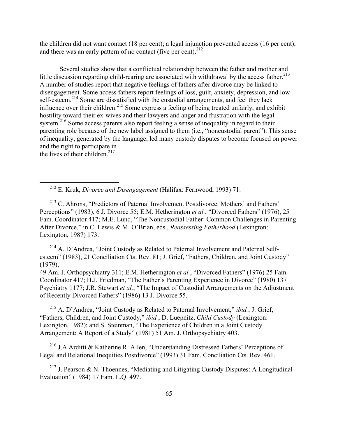the children did not want contact (18 per cent); a legal injunction prevented access (16 per cent); and there was an early pattern of no contact (five per cent). $^{212}$ 

 Several studies show that a conflictual relationship between the father and mother and little discussion regarding child-rearing are associated with withdrawal by the access father. $213$ A number of studies report that negative feelings of fathers after divorce may be linked to disengagement. Some access fathers report feelings of loss, guilt, anxiety, depression, and low self-esteem.<sup>214</sup> Some are dissatisfied with the custodial arrangements, and feel they lack influence over their children.<sup>215</sup> Some express a feeling of being treated unfairly, and exhibit hostility toward their ex-wives and their lawyers and anger and frustration with the legal system<sup>.216</sup> Some access parents also report feeling a sense of inequality in regard to their parenting role because of the new label assigned to them (i.e., "noncustodial parent"). This sense of inequality, generated by the language, led many custody disputes to become focused on power and the right to participate in the lives of their children.<sup>217</sup>

212 E. Kruk, *Divorce and Disengagement* (Halifax: Fernwood, 1993) 71.

213 C. Ahrons, "Predictors of Paternal Involvement Postdivorce: Mothers' and Fathers' Perceptions" (1983), 6 J. Divorce 55; E.M. Hetherington *et al.*, "Divorced Fathers" (1976), 25 Fam. Coordinator 417; M.E. Lund, "The Noncustodial Father: Common Challenges in Parenting After Divorce," in C. Lewis & M. O'Brian, eds., *Reassessing Fatherhood* (Lexington: Lexington, 1987) 173.

214 A. D'Andrea, "Joint Custody as Related to Paternal Involvement and Paternal Selfesteem" (1983), 21 Conciliation Cts. Rev. 81; J. Grief, "Fathers, Children, and Joint Custody" (1979),

49 Am. J. Orthopsychiatry 311; E.M. Hetherington *et al.*, "Divorced Fathers" (1976) 25 Fam. Coordinator 417; H.J. Friedman, "The Father's Parenting Experience in Divorce" (1980) 137 Psychiatry 1177; J.R. Stewart *et al.*, "The Impact of Custodial Arrangements on the Adjustment of Recently Divorced Fathers" (1986) 13 J. Divorce 55.

215 A. D'Andrea, "Joint Custody as Related to Paternal Involvement," *ibid.*; J. Grief, "Fathers, Children, and Joint Custody," *ibid.*; D. Luepnitz, *Child Custody* (Lexington: Lexington, 1982); and S. Steinman, "The Experience of Children in a Joint Custody Arrangement: A Report of a Study" (1981) 51 Am. J. Orthopsychiatry 403.

216 J.A Arditti & Katherine R. Allen, "Understanding Distressed Fathers' Perceptions of Legal and Relational Inequities Postdivorce" (1993) 31 Fam. Conciliation Cts. Rev. 461.

<sup>217</sup> J. Pearson & N. Thoennes, "Mediating and Litigating Custody Disputes: A Longitudinal Evaluation" (1984) 17 Fam. L.Q. 497.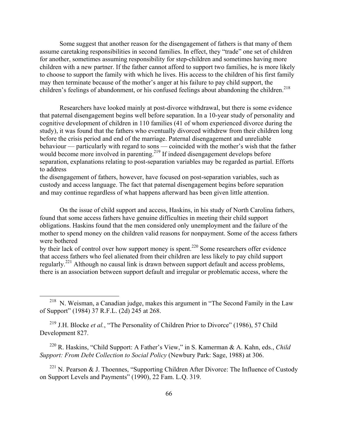Some suggest that another reason for the disengagement of fathers is that many of them assume caretaking responsibilities in second families. In effect, they "trade" one set of children for another, sometimes assuming responsibility for step-children and sometimes having more children with a new partner. If the father cannot afford to support two families, he is more likely to choose to support the family with which he lives. His access to the children of his first family may then terminate because of the mother's anger at his failure to pay child support, the children's feelings of abandonment, or his confused feelings about abandoning the children.<sup>218</sup>

 Researchers have looked mainly at post-divorce withdrawal, but there is some evidence that paternal disengagement begins well before separation. In a 10-year study of personality and cognitive development of children in 110 families (41 of whom experienced divorce during the study), it was found that the fathers who eventually divorced withdrew from their children long before the crisis period and end of the marriage. Paternal disengagement and unreliable behaviour — particularly with regard to sons — coincided with the mother's wish that the father would become more involved in parenting.<sup>219</sup> If indeed disengagement develops before separation, explanations relating to post-separation variables may be regarded as partial. Efforts to address

the disengagement of fathers, however, have focused on post-separation variables, such as custody and access language. The fact that paternal disengagement begins before separation and may continue regardless of what happens afterward has been given little attention.

 On the issue of child support and access, Haskins, in his study of North Carolina fathers, found that some access fathers have genuine difficulties in meeting their child support obligations. Haskins found that the men considered only unemployment and the failure of the mother to spend money on the children valid reasons for nonpayment. Some of the access fathers were bothered

by their lack of control over how support money is spent.<sup>220</sup> Some researchers offer evidence that access fathers who feel alienated from their children are less likely to pay child support regularly.221 Although no causal link is drawn between support default and access problems, there is an association between support default and irregular or problematic access, where the

220 R. Haskins, "Child Support: A Father's View," in S. Kamerman & A. Kahn, eds., *Child Support: From Debt Collection to Social Policy* (Newbury Park: Sage, 1988) at 306.

<sup>221</sup> N. Pearson & J. Thoennes, "Supporting Children After Divorce: The Influence of Custody on Support Levels and Payments" (1990), 22 Fam. L.Q. 319.

<sup>&</sup>lt;sup>218</sup> N. Weisman, a Canadian judge, makes this argument in "The Second Family in the Law of Support" (1984) 37 R.F.L. (2d) 245 at 268.

<sup>&</sup>lt;sup>219</sup> J.H. Blocke *et al.*, "The Personality of Children Prior to Divorce" (1986), 57 Child Development 827.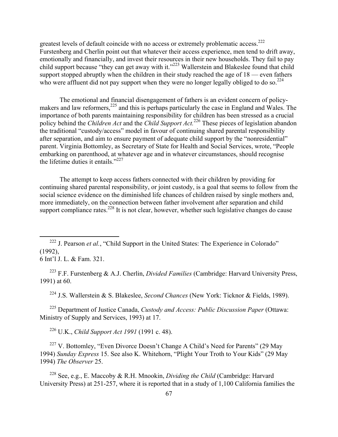greatest levels of default coincide with no access or extremely problematic access.<sup>222</sup> Furstenberg and Cherlin point out that whatever their access experience, men tend to drift away, emotionally and financially, and invest their resources in their new households. They fail to pay child support because "they can get away with it."<sup>223</sup> Wallerstein and Blakeslee found that child support stopped abruptly when the children in their study reached the age of  $18$  — even fathers who were affluent did not pay support when they were no longer legally obliged to do so.<sup>224</sup>

 The emotional and financial disengagement of fathers is an evident concern of policymakers and law reformers,<sup>225</sup> and this is perhaps particularly the case in England and Wales. The importance of both parents maintaining responsibility for children has been stressed as a crucial policy behind the *Children Act* and the *Child Support Act.*226 These pieces of legislation abandon the traditional "custody/access" model in favour of continuing shared parental responsibility after separation, and aim to ensure payment of adequate child support by the "nonresidential" parent. Virginia Bottomley, as Secretary of State for Health and Social Services, wrote, "People embarking on parenthood, at whatever age and in whatever circumstances, should recognise the lifetime duties it entails." $227$ 

 The attempt to keep access fathers connected with their children by providing for continuing shared parental responsibility, or joint custody, is a goal that seems to follow from the social science evidence on the diminished life chances of children raised by single mothers and, more immediately, on the connection between father involvement after separation and child support compliance rates.<sup>228</sup> It is not clear, however, whether such legislative changes do cause

<sup>222</sup> J. Pearson *et al.*, "Child Support in the United States: The Experience in Colorado" (1992),

6 Int'l J. L. & Fam. 321.

223 F.F. Furstenberg & A.J. Cherlin, *Divided Families* (Cambridge: Harvard University Press, 1991) at 60.

224 J.S. Wallerstein & S. Blakeslee, *Second Chances* (New York: Ticknor & Fields, 1989).

225 Department of Justice Canada, *Custody and Access: Public Discussion Paper* (Ottawa: Ministry of Supply and Services, 1993) at 17.

226 U.K., *Child Support Act 1991* (1991 c. 48).

 $227$  V. Bottomley, "Even Divorce Doesn't Change A Child's Need for Parents" (29 May 1994) *Sunday Express* 15. See also K. Whitehorn, "Plight Your Troth to Your Kids" (29 May 1994) *The Observer* 25.

228 See, e.g., E. Maccoby & R.H. Mnookin, *Dividing the Child* (Cambridge: Harvard University Press) at 251-257, where it is reported that in a study of 1,100 California families the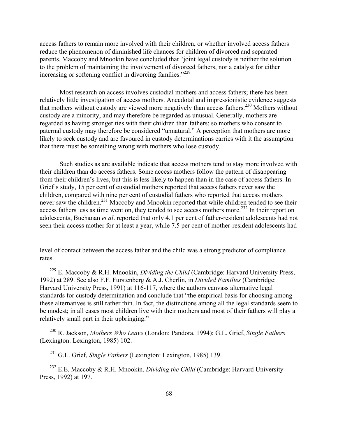access fathers to remain more involved with their children, or whether involved access fathers reduce the phenomenon of diminished life chances for children of divorced and separated parents. Maccoby and Mnookin have concluded that "joint legal custody is neither the solution to the problem of maintaining the involvement of divorced fathers, nor a catalyst for either increasing or softening conflict in divorcing families."<sup>229</sup>

 Most research on access involves custodial mothers and access fathers; there has been relatively little investigation of access mothers. Anecdotal and impressionistic evidence suggests that mothers without custody are viewed more negatively than access fathers.<sup>230</sup> Mothers without custody are a minority, and may therefore be regarded as unusual. Generally, mothers are regarded as having stronger ties with their children than fathers; so mothers who consent to paternal custody may therefore be considered "unnatural." A perception that mothers are more likely to seek custody and are favoured in custody determinations carries with it the assumption that there must be something wrong with mothers who lose custody.

 Such studies as are available indicate that access mothers tend to stay more involved with their children than do access fathers. Some access mothers follow the pattern of disappearing from their children's lives, but this is less likely to happen than in the case of access fathers. In Grief's study, 15 per cent of custodial mothers reported that access fathers never saw the children, compared with nine per cent of custodial fathers who reported that access mothers never saw the children.231 Maccoby and Mnookin reported that while children tended to see their access fathers less as time went on, they tended to see access mothers more.<sup>232</sup> In their report on adolescents, Buchanan *et al*. reported that only 4.1 per cent of father-resident adolescents had not seen their access mother for at least a year, while 7.5 per cent of mother-resident adolescents had

level of contact between the access father and the child was a strong predictor of compliance rates.

229 E. Maccoby & R.H. Mnookin, *Dividing the Child* (Cambridge: Harvard University Press, 1992) at 289. See also F.F. Furstenberg & A.J. Cherlin, in *Divided Families* (Cambridge: Harvard University Press, 1991) at 116-117, where the authors canvass alternative legal standards for custody determination and conclude that "the empirical basis for choosing among these alternatives is still rather thin. In fact, the distinctions among all the legal standards seem to be modest; in all cases most children live with their mothers and most of their fathers will play a relatively small part in their upbringing."

230 R. Jackson, *Mothers Who Leave* (London: Pandora, 1994); G.L. Grief, *Single Fathers* (Lexington: Lexington, 1985) 102.

231 G.L. Grief, *Single Fathers* (Lexington: Lexington, 1985) 139.

<u>.</u>

232 E.E. Maccoby & R.H. Mnookin, *Dividing the Child* (Cambridge: Harvard University Press, 1992) at 197.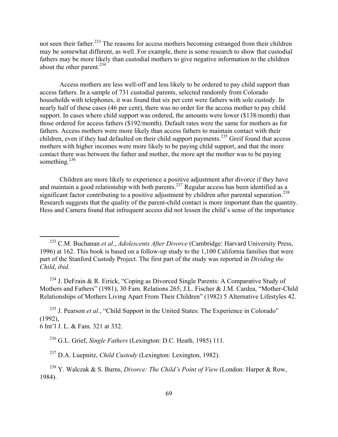not seen their father.<sup>233</sup> The reasons for access mothers becoming estranged from their children may be somewhat different, as well. For example, there is some research to show that custodial fathers may be more likely than custodial mothers to give negative information to the children about the other parent. $234$ 

 Access mothers are less well-off and less likely to be ordered to pay child support than access fathers. In a sample of 731 custodial parents, selected randomly from Colorado households with telephones, it was found that six per cent were fathers with sole custody. In nearly half of these cases (46 per cent), there was no order for the access mother to pay child support. In cases where child support was ordered, the amounts were lower (\$138/month) than those ordered for access fathers (\$192/month). Default rates were the same for mothers as for fathers. Access mothers were more likely than access fathers to maintain contact with their children, even if they had defaulted on their child support payments.<sup>235</sup> Greif found that access mothers with higher incomes were more likely to be paying child support, and that the more contact there was between the father and mother, the more apt the mother was to be paying something. $236$ 

 Children are more likely to experience a positive adjustment after divorce if they have and maintain a good relationship with both parents.<sup>237</sup> Regular access has been identified as a significant factor contributing to a positive adjustment by children after parental separation.<sup>238</sup> Research suggests that the quality of the parent-child contact is more important than the quantity. Hess and Camera found that infrequent access did not lessen the child's sense of the importance

 $234$  J. DeFrain & R. Eirick, "Coping as Divorced Single Parents: A Comparative Study of Mothers and Fathers" (1981), 30 Fam. Relations 265; J.L. Fischer & J.M. Cardea, "Mother-Child Relationships of Mothers Living Apart From Their Children" (1982) 5 Alternative Lifestyles 42.

<sup>235</sup> J. Pearson *et al.*, "Child Support in the United States: The Experience in Colorado" (1992),

6 Int'l J. L. & Fam. 321 at 332.

236 G.L. Grief, *Single Fathers* (Lexington: D.C. Heath, 1985) 111.

237 D.A. Luepnitz, *Child Custody* (Lexington: Lexington, 1982).

238 Y. Walczak & S. Burns, *Divorce: The Child's Point of View* (London: Harper & Row, 1984).

 <sup>233</sup> C.M. Buchanan *et al.*, *Adolescents After Divorce* (Cambridge: Harvard University Press, 1996) at 162. This book is based on a follow-up study to the 1,100 California families that were part of the Stanford Custody Project. The first part of the study was reported in *Dividing the Child*, *ibid*.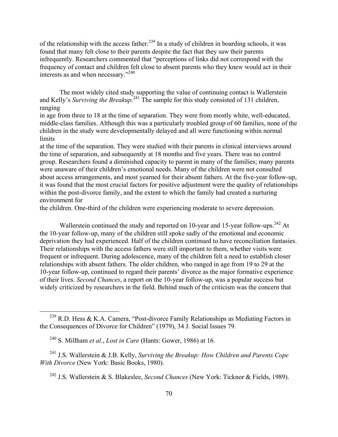of the relationship with the access father.<sup>239</sup> In a study of children in boarding schools, it was found that many felt close to their parents despite the fact that they saw their parents infrequently. Researchers commented that "perceptions of links did not correspond with the frequency of contact and children felt close to absent parents who they knew would act in their interests as and when necessary."240

 The most widely cited study supporting the value of continuing contact is Wallerstein and Kelly's *Surviving the Breakup*. 241 The sample for this study consisted of 131 children, ranging

in age from three to 18 at the time of separation. They were from mostly white, well-educated, middle-class families. Although this was a particularly troubled group of 60 families, none of the children in the study were developmentally delayed and all were functioning within normal limits

at the time of the separation. They were studied with their parents in clinical interviews around the time of separation, and subsequently at 18 months and five years. There was no control group. Researchers found a diminished capacity to parent in many of the families; many parents were unaware of their children's emotional needs. Many of the children were not consulted about access arrangements, and most yearned for their absent fathers. At the five-year follow-up, it was found that the most crucial factors for positive adjustment were the quality of relationships within the post-divorce family, and the extent to which the family had created a nurturing environment for

the children. One-third of the children were experiencing moderate to severe depression.

Wallerstein continued the study and reported on 10-year and 15-year follow-ups.<sup>242</sup> At the 10-year follow-up, many of the children still spoke sadly of the emotional and economic deprivation they had experienced. Half of the children continued to have reconciliation fantasies. Their relationships with the access fathers were still important to them, whether visits were frequent or infrequent. During adolescence, many of the children felt a need to establish closer relationships with absent fathers. The older children, who ranged in age from 19 to 29 at the 10-year follow-up, continued to regard their parents' divorce as the major formative experience of their lives. *Second Chances*, a report on the 10-year follow-up, was a popular success but widely criticized by researchers in the field. Behind much of the criticism was the concern that

<sup>&</sup>lt;sup>239</sup> R.D. Hess & K.A. Camera, "Post-divorce Family Relationships as Mediating Factors in the Consequences of Divorce for Children" (1979), 34 J. Social Issues 79.

<sup>240</sup> S. Millham *et al.*, *Lost in Care* (Hants: Gower, 1986) at 16.

<sup>241</sup> J.S. Wallerstein & J.B. Kelly, *Surviving the Breakup: How Children and Parents Cope With Divorce* (New York: Basic Books, 1980).

<sup>242</sup> J.S. Wallerstein & S. Blakeslee, *Second Chances* (New York: Ticknor & Fields, 1989).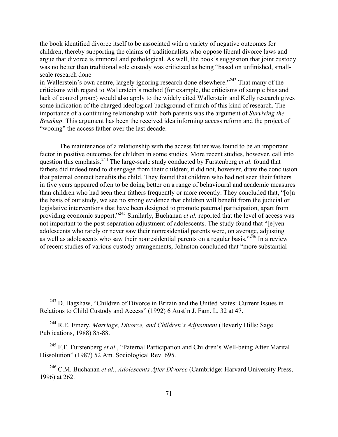the book identified divorce itself to be associated with a variety of negative outcomes for children, thereby supporting the claims of traditionalists who oppose liberal divorce laws and argue that divorce is immoral and pathological. As well, the book's suggestion that joint custody was no better than traditional sole custody was criticized as being "based on unfinished, smallscale research done

in Wallerstein's own centre, largely ignoring research done elsewhere."<sup>243</sup> That many of the criticisms with regard to Wallerstein's method (for example, the criticisms of sample bias and lack of control group) would also apply to the widely cited Wallerstein and Kelly research gives some indication of the charged ideological background of much of this kind of research. The importance of a continuing relationship with both parents was the argument of *Surviving the Breakup*. This argument has been the received idea informing access reform and the project of "wooing" the access father over the last decade.

 The maintenance of a relationship with the access father was found to be an important factor in positive outcomes for children in some studies. More recent studies, however, call into question this emphasis.<sup>244</sup> The large-scale study conducted by Furstenberg *et al.* found that fathers did indeed tend to disengage from their children; it did not, however, draw the conclusion that paternal contact benefits the child. They found that children who had not seen their fathers in five years appeared often to be doing better on a range of behavioural and academic measures than children who had seen their fathers frequently or more recently. They concluded that, "[o]n the basis of our study, we see no strong evidence that children will benefit from the judicial or legislative interventions that have been designed to promote paternal participation, apart from providing economic support."<sup>245</sup> Similarly, Buchanan *et al.* reported that the level of access was not important to the post-separation adjustment of adolescents. The study found that "[e]ven adolescents who rarely or never saw their nonresidential parents were, on average, adjusting as well as adolescents who saw their nonresidential parents on a regular basis." $^{246}$  In a review of recent studies of various custody arrangements, Johnston concluded that "more substantial

<sup>&</sup>lt;sup>243</sup> D. Bagshaw, "Children of Divorce in Britain and the United States: Current Issues in Relations to Child Custody and Access" (1992) 6 Aust'n J. Fam. L. 32 at 47.

<sup>244</sup> R.E. Emery, *Marriage, Divorce, and Children's Adjustment* (Beverly Hills: Sage Publications, 1988) 85-88.

<sup>&</sup>lt;sup>245</sup> F.F. Furstenberg *et al.*, "Paternal Participation and Children's Well-being After Marital Dissolution" (1987) 52 Am. Sociological Rev. 695.

<sup>246</sup> C.M. Buchanan *et al.*, *Adolescents After Divorce* (Cambridge: Harvard University Press, 1996) at 262.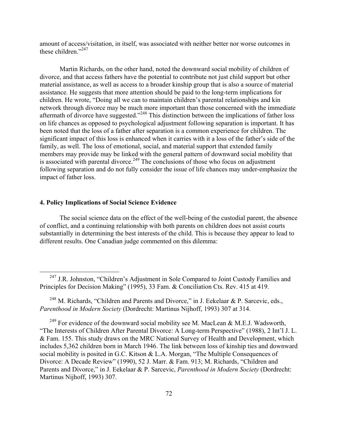amount of access/visitation, in itself, was associated with neither better nor worse outcomes in these children."247

 Martin Richards, on the other hand, noted the downward social mobility of children of divorce, and that access fathers have the potential to contribute not just child support but other material assistance, as well as access to a broader kinship group that is also a source of material assistance. He suggests that more attention should be paid to the long-term implications for children. He wrote, "Doing all we can to maintain children's parental relationships and kin network through divorce may be much more important than those concerned with the immediate aftermath of divorce have suggested."248 This distinction between the implications of father loss on life chances as opposed to psychological adjustment following separation is important. It has been noted that the loss of a father after separation is a common experience for children. The significant impact of this loss is enhanced when it carries with it a loss of the father's side of the family, as well. The loss of emotional, social, and material support that extended family members may provide may be linked with the general pattern of downward social mobility that is associated with parental divorce.<sup>249</sup> The conclusions of those who focus on adjustment following separation and do not fully consider the issue of life chances may under-emphasize the impact of father loss.

### **4. Policy Implications of Social Science Evidence**

 The social science data on the effect of the well-being of the custodial parent, the absence of conflict, and a continuing relationship with both parents on children does not assist courts substantially in determining the best interests of the child. This is because they appear to lead to different results. One Canadian judge commented on this dilemma:

<sup>&</sup>lt;sup>247</sup> J.R. Johnston, "Children's Adjustment in Sole Compared to Joint Custody Families and Principles for Decision Making" (1995), 33 Fam. & Conciliation Cts. Rev. 415 at 419.

<sup>&</sup>lt;sup>248</sup> M. Richards, "Children and Parents and Divorce," in J. Eekelaar & P. Sarcevic, eds., *Parenthood in Modern Society* (Dordrecht: Martinus Nijhoff, 1993) 307 at 314.

<sup>&</sup>lt;sup>249</sup> For evidence of the downward social mobility see M. MacLean & M.E.J. Wadsworth, "The Interests of Children After Parental Divorce: A Long-term Perspective" (1988), 2 Int'l J. L. & Fam. 155. This study draws on the MRC National Survey of Health and Development, which includes 5,362 children born in March 1946. The link between loss of kinship ties and downward social mobility is posited in G.C. Kitson & L.A. Morgan, "The Multiple Consequences of Divorce: A Decade Review" (1990), 52 J. Marr. & Fam. 913; M. Richards, "Children and Parents and Divorce," in J. Eekelaar & P. Sarcevic, *Parenthood in Modern Society* (Dordrecht: Martinus Nijhoff, 1993) 307.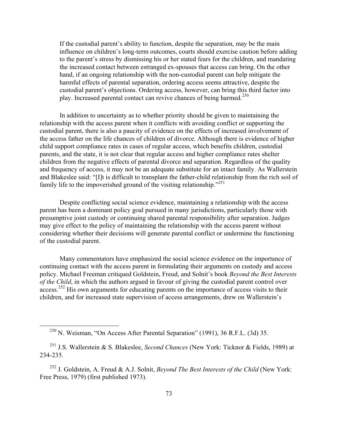If the custodial parent's ability to function, despite the separation, may be the main influence on children's long-term outcomes, courts should exercise caution before adding to the parent's stress by dismissing his or her stated fears for the children, and mandating the increased contact between estranged ex-spouses that access can bring. On the other hand, if an ongoing relationship with the non-custodial parent can help mitigate the harmful effects of parental separation, ordering access seems attractive, despite the custodial parent's objections. Ordering access, however, can bring this third factor into play. Increased parental contact can revive chances of being harmed.<sup>250</sup>

 In addition to uncertainty as to whether priority should be given to maintaining the relationship with the access parent when it conflicts with avoiding conflict or supporting the custodial parent, there is also a paucity of evidence on the effects of increased involvement of the access father on the life chances of children of divorce. Although there is evidence of higher child support compliance rates in cases of regular access, which benefits children, custodial parents, and the state, it is not clear that regular access and higher compliance rates shelter children from the negative effects of parental divorce and separation. Regardless of the quality and frequency of access, it may not be an adequate substitute for an intact family. As Wallerstein and Blakeslee said: "[I]t is difficult to transplant the father-child relationship from the rich soil of family life to the impoverished ground of the visiting relationship."<sup>251</sup>

 Despite conflicting social science evidence, maintaining a relationship with the access parent has been a dominant policy goal pursued in many jurisdictions, particularly those with presumptive joint custody or continuing shared parental responsibility after separation. Judges may give effect to the policy of maintaining the relationship with the access parent without considering whether their decisions will generate parental conflict or undermine the functioning of the custodial parent.

 Many commentators have emphasized the social science evidence on the importance of continuing contact with the access parent in formulating their arguments on custody and access policy. Michael Freeman critiqued Goldstein, Freud, and Solnit's book *Beyond the Best Interests of the Child*, in which the authors argued in favour of giving the custodial parent control over access.<sup>252</sup> His own arguments for educating parents on the importance of access visits to their children, and for increased state supervision of access arrangements, drew on Wallerstein's

<sup>&</sup>lt;sup>250</sup> N. Weisman, "On Access After Parental Separation" (1991), 36 R.F.L. (3d) 35.

<sup>251</sup> J.S. Wallerstein & S. Blakeslee, *Second Chances* (New York: Ticknor & Fields, 1989) at 234-235.

<sup>252</sup> J. Goldstein, A. Freud & A.J. Solnit, *Beyond The Best Interests of the Child* (New York: Free Press, 1979) (first published 1973).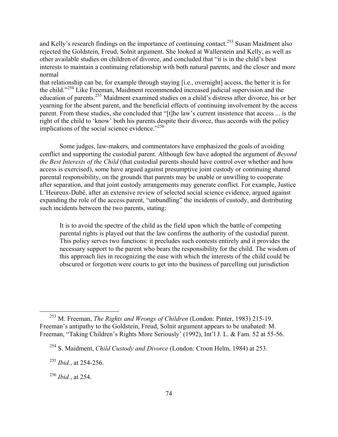and Kelly's research findings on the importance of continuing contact.<sup>253</sup> Susan Maidment also rejected the Goldstein, Freud, Solnit argument. She looked at Wallerstein and Kelly, as well as other available studies on children of divorce, and concluded that "it is in the child's best interests to maintain a continuing relationship with both natural parents, and the closer and more normal

that relationship can be, for example through staying [i.e., overnight] access, the better it is for the child."<sup>254</sup> Like Freeman, Maidment recommended increased judicial supervision and the education of parents.255 Maidment examined studies on a child's distress after divorce, his or her yearning for the absent parent, and the beneficial effects of continuing involvement by the access parent. From these studies, she concluded that "[t]he law's current insistence that access ... is the right of the child to 'know' both his parents despite their divorce, thus accords with the policy implications of the social science evidence."<sup>256</sup>

 Some judges, law-makers, and commentators have emphasized the goals of avoiding conflict and supporting the custodial parent. Although few have adopted the argument of *Beyond the Best Interests of the Child* (that custodial parents should have control over whether and how access is exercised), some have argued against presumptive joint custody or continuing shared parental responsibility, on the grounds that parents may be unable or unwilling to cooperate after separation, and that joint custody arrangements may generate conflict. For example, Justice L'Heureux-Dubé, after an extensive review of selected social science evidence, argued against expanding the role of the access parent, "unbundling" the incidents of custody, and distributing such incidents between the two parents, stating:

It is to avoid the spectre of the child as the field upon which the battle of competing parental rights is played out that the law confirms the authority of the custodial parent. This policy serves two functions: it precludes such contests entirely and it provides the necessary support to the parent who bears the responsibility for the child. The wisdom of this approach lies in recognizing the ease with which the interests of the child could be obscured or forgotten were courts to get into the business of parcelling out jurisdiction

 <sup>253</sup> M. Freeman, *The Rights and Wrongs of Children* (London: Pinter, 1983) 215-19. Freeman's antipathy to the Goldstein, Freud, Solnit argument appears to be unabated: M. Freeman, "Taking Children's Rights More Seriously' (1992), Int'l J. L. & Fam. 52 at 55-56.

<sup>254</sup> S. Maidment, *Child Custody and Divorce* (London: Croon Helm, 1984) at 253.

<sup>255</sup> *Ibid.*, at 254-256.

<sup>256</sup> *Ibid.*, at 254.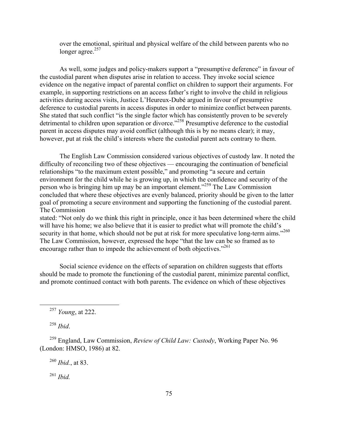over the emotional, spiritual and physical welfare of the child between parents who no longer agree. $257$ 

 As well, some judges and policy-makers support a "presumptive deference" in favour of the custodial parent when disputes arise in relation to access. They invoke social science evidence on the negative impact of parental conflict on children to support their arguments. For example, in supporting restrictions on an access father's right to involve the child in religious activities during access visits, Justice L'Heureux-Dubé argued in favour of presumptive deference to custodial parents in access disputes in order to minimize conflict between parents. She stated that such conflict "is the single factor which has consistently proven to be severely detrimental to children upon separation or divorce."<sup>258</sup> Presumptive deference to the custodial parent in access disputes may avoid conflict (although this is by no means clear); it may, however, put at risk the child's interests where the custodial parent acts contrary to them.

 The English Law Commission considered various objectives of custody law. It noted the difficulty of reconciling two of these objectives — encouraging the continuation of beneficial relationships "to the maximum extent possible," and promoting "a secure and certain environment for the child while he is growing up, in which the confidence and security of the person who is bringing him up may be an important element."259 The Law Commission concluded that where these objectives are evenly balanced, priority should be given to the latter goal of promoting a secure environment and supporting the functioning of the custodial parent. The Commission

stated: "Not only do we think this right in principle, once it has been determined where the child will have his home; we also believe that it is easier to predict what will promote the child's security in that home, which should not be put at risk for more speculative long-term aims."<sup>260</sup> The Law Commission, however, expressed the hope "that the law can be so framed as to encourage rather than to impede the achievement of both objectives."<sup>261</sup>

 Social science evidence on the effects of separation on children suggests that efforts should be made to promote the functioning of the custodial parent, minimize parental conflict, and promote continued contact with both parents. The evidence on which of these objectives

<sup>258</sup> *Ibid*.

259 England, Law Commission, *Review of Child Law: Custody*, Working Paper No. 96 (London: HMSO, 1986) at 82.

<sup>260</sup> *Ibid.*, at 83.

<sup>261</sup> *Ibid.*

 <sup>257</sup> *Young*, at 222.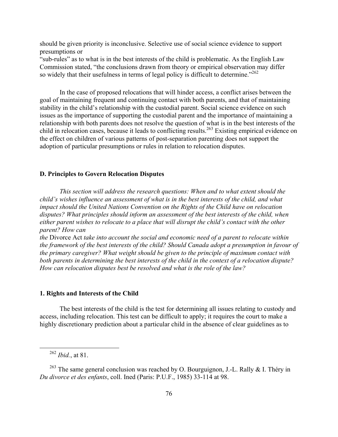should be given priority is inconclusive. Selective use of social science evidence to support presumptions or

"sub-rules" as to what is in the best interests of the child is problematic. As the English Law Commission stated, "the conclusions drawn from theory or empirical observation may differ so widely that their usefulness in terms of legal policy is difficult to determine."<sup>262</sup>

 In the case of proposed relocations that will hinder access, a conflict arises between the goal of maintaining frequent and continuing contact with both parents, and that of maintaining stability in the child's relationship with the custodial parent. Social science evidence on such issues as the importance of supporting the custodial parent and the importance of maintaining a relationship with both parents does not resolve the question of what is in the best interests of the child in relocation cases, because it leads to conflicting results.<sup>263</sup> Existing empirical evidence on the effect on children of various patterns of post-separation parenting does not support the adoption of particular presumptions or rules in relation to relocation disputes.

# **D. Principles to Govern Relocation Disputes**

 *This section will address the research questions: When and to what extent should the child's wishes influence an assessment of what is in the best interests of the child, and what impact should the United Nations Convention on the Rights of the Child have on relocation disputes? What principles should inform an assessment of the best interests of the child, when either parent wishes to relocate to a place that will disrupt the child's contact with the other parent? How can* 

*the* Divorce Act *take into account the social and economic need of a parent to relocate within the framework of the best interests of the child? Should Canada adopt a presumption in favour of the primary caregiver? What weight should be given to the principle of maximum contact with both parents in determining the best interests of the child in the context of a relocation dispute? How can relocation disputes best be resolved and what is the role of the law?* 

### **1. Rights and Interests of the Child**

 The best interests of the child is the test for determining all issues relating to custody and access, including relocation. This test can be difficult to apply; it requires the court to make a highly discretionary prediction about a particular child in the absence of clear guidelines as to

 <sup>262</sup> *Ibid.*, at 81.

<sup>&</sup>lt;sup>263</sup> The same general conclusion was reached by O. Bourguignon, J.-L. Rally & I. Théry in *Du divorce et des enfants*, coll. Ined (Paris: P.U.F., 1985) 33-114 at 98.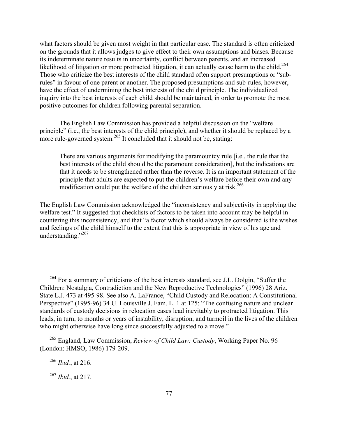what factors should be given most weight in that particular case. The standard is often criticized on the grounds that it allows judges to give effect to their own assumptions and biases. Because its indeterminate nature results in uncertainty, conflict between parents, and an increased likelihood of litigation or more protracted litigation, it can actually cause harm to the child.<sup>264</sup> Those who criticize the best interests of the child standard often support presumptions or "subrules" in favour of one parent or another. The proposed presumptions and sub-rules, however, have the effect of undermining the best interests of the child principle. The individualized inquiry into the best interests of each child should be maintained, in order to promote the most positive outcomes for children following parental separation.

 The English Law Commission has provided a helpful discussion on the "welfare principle" (i.e., the best interests of the child principle), and whether it should be replaced by a more rule-governed system.<sup>265</sup> It concluded that it should not be, stating:

There are various arguments for modifying the paramountcy rule [i.e., the rule that the best interests of the child should be the paramount consideration], but the indications are that it needs to be strengthened rather than the reverse. It is an important statement of the principle that adults are expected to put the children's welfare before their own and any modification could put the welfare of the children seriously at risk.<sup>266</sup>

The English Law Commission acknowledged the "inconsistency and subjectivity in applying the welfare test." It suggested that checklists of factors to be taken into account may be helpful in countering this inconsistency, and that "a factor which should always be considered is the wishes and feelings of the child himself to the extent that this is appropriate in view of his age and understanding."<sup>267</sup>

265 England, Law Commission, *Review of Child Law: Custody*, Working Paper No. 96 (London: HMSO, 1986) 179-209.

<sup>266</sup> *Ibid.*, at 216.

<sup>267</sup> *Ibid.*, at 217.

<sup>&</sup>lt;sup>264</sup> For a summary of criticisms of the best interests standard, see J.L. Dolgin, "Suffer the Children: Nostalgia, Contradiction and the New Reproductive Technologies" (1996) 28 Ariz. State L.J. 473 at 495-98. See also A. LaFrance, "Child Custody and Relocation: A Constitutional Perspective" (1995-96) 34 U. Louisville J. Fam. L. 1 at 125: "The confusing nature and unclear standards of custody decisions in relocation cases lead inevitably to protracted litigation. This leads, in turn, to months or years of instability, disruption, and turmoil in the lives of the children who might otherwise have long since successfully adjusted to a move."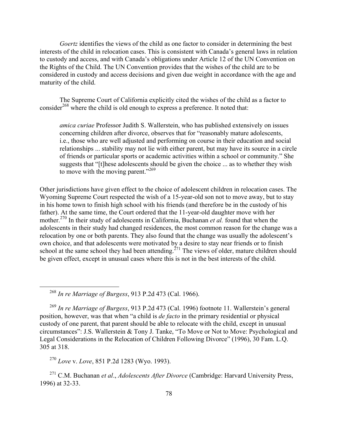*Goertz* identifies the views of the child as one factor to consider in determining the best interests of the child in relocation cases. This is consistent with Canada's general laws in relation to custody and access, and with Canada's obligations under Article 12 of the UN Convention on the Rights of the Child. The UN Convention provides that the wishes of the child are to be considered in custody and access decisions and given due weight in accordance with the age and maturity of the child.

 The Supreme Court of California explicitly cited the wishes of the child as a factor to consider<sup>268</sup> where the child is old enough to express a preference. It noted that:

*amica curiae* Professor Judith S. Wallerstein, who has published extensively on issues concerning children after divorce, observes that for "reasonably mature adolescents, i.e., those who are well adjusted and performing on course in their education and social relationships ... stability may not lie with either parent, but may have its source in a circle of friends or particular sports or academic activities within a school or community." She suggests that "[t]hese adolescents should be given the choice ... as to whether they wish to move with the moving parent."<sup>269</sup>

Other jurisdictions have given effect to the choice of adolescent children in relocation cases. The Wyoming Supreme Court respected the wish of a 15-year-old son not to move away, but to stay in his home town to finish high school with his friends (and therefore be in the custody of his father). At the same time, the Court ordered that the 11-year-old daughter move with her mother.<sup>270</sup> In their study of adolescents in California, Buchanan *et al.* found that when the adolescents in their study had changed residences, the most common reason for the change was a relocation by one or both parents. They also found that the change was usually the adolescent's own choice, and that adolescents were motivated by a desire to stay near friends or to finish school at the same school they had been attending.<sup> $271$ </sup> The views of older, mature children should be given effect, except in unusual cases where this is not in the best interests of the child.

268 *In re Marriage of Burgess*, 913 P.2d 473 (Cal. 1966).

<sup>269</sup> *In re Marriage of Burgess*, 913 P.2d 473 (Cal. 1996) footnote 11. Wallerstein's general position, however, was that when "a child is *de facto* in the primary residential or physical custody of one parent, that parent should be able to relocate with the child, except in unusual circumstances": J.S. Wallerstein & Tony J. Tanke, "To Move or Not to Move: Psychological and Legal Considerations in the Relocation of Children Following Divorce" (1996), 30 Fam. L.Q. 305 at 318.

<sup>270</sup> *Love* v. *Love*, 851 P.2d 1283 (Wyo. 1993).

271 C.M. Buchanan *et al*., *Adolescents After Divorce* (Cambridge: Harvard University Press, 1996) at 32-33.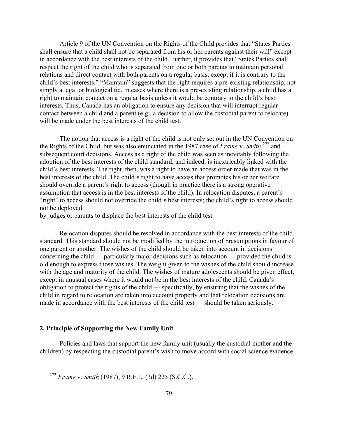Article 9 of the UN Convention on the Rights of the Child provides that "States Parties shall ensure that a child shall not be separated from his or her parents against their will" except in accordance with the best interests of the child. Further, it provides that "States Parties shall respect the right of the child who is separated from one or both parents to maintain personal relations and direct contact with both parents on a regular basis, except if it is contrary to the child's best interests." "Maintain" suggests that the right requires a pre-existing relationship, not simply a legal or biological tie. In cases where there is a pre-existing relationship, a child has a right to maintain contact on a regular basis unless it would be contrary to the child's best interests. Thus, Canada has an obligation to ensure any decision that will interrupt regular contact between a child and a parent (e.g., a decision to allow the custodial parent to relocate) will be made under the best interests of the child test.

 The notion that access is a right of the child is not only set out in the UN Convention on the Rights of the Child, but was also enunciated in the 1987 case of *Frame* v. *Smith*, 272 and subsequent court decisions. Access as a right of the child was seen as inevitably following the adoption of the best interests of the child standard, and indeed, is inextricably linked with the child's best interests. The right, then, was a right to have an access order made that was in the best interests of the child. The child's right to have access that promotes his or her welfare should override a parent's right to access (though in practice there is a strong operative assumption that access is in the best interests of the child). In relocation disputes, a parent's "right" to access should not override the child's best interests; the child's right to access should not be deployed

by judges or parents to displace the best interests of the child test.

 Relocation disputes should be resolved in accordance with the best interests of the child standard. This standard should not be modified by the introduction of presumptions in favour of one parent or another. The wishes of the child should be taken into account in decisions concerning the child — particularly major decisions such as relocation — provided the child is old enough to express those wishes. The weight given to the wishes of the child should increase with the age and maturity of the child. The wishes of mature adolescents should be given effect, except in unusual cases where it would not be in the best interests of the child. Canada's obligation to protect the rights of the child — specifically, by ensuring that the wishes of the child in regard to relocation are taken into account properly and that relocation decisions are made in accordance with the best interests of the child test — should be taken seriously.

# **2. Principle of Supporting the New Family Unit**

 Policies and laws that support the new family unit (usually the custodial mother and the children) by respecting the custodial parent's wish to move accord with social science evidence

 <sup>272</sup> *Frame* v. *Smith* (1987), 9 R.F.L. (3d) 225 (S.C.C.).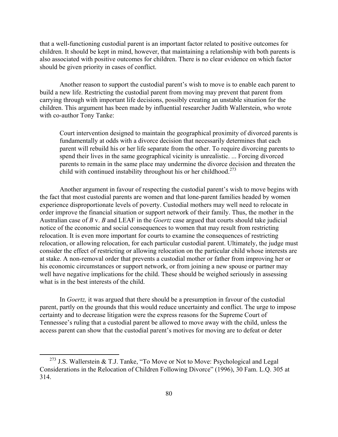that a well-functioning custodial parent is an important factor related to positive outcomes for children. It should be kept in mind, however, that maintaining a relationship with both parents is also associated with positive outcomes for children. There is no clear evidence on which factor should be given priority in cases of conflict.

 Another reason to support the custodial parent's wish to move is to enable each parent to build a new life. Restricting the custodial parent from moving may prevent that parent from carrying through with important life decisions, possibly creating an unstable situation for the children. This argument has been made by influential researcher Judith Wallerstein, who wrote with co-author Tony Tanke:

Court intervention designed to maintain the geographical proximity of divorced parents is fundamentally at odds with a divorce decision that necessarily determines that each parent will rebuild his or her life separate from the other. To require divorcing parents to spend their lives in the same geographical vicinity is unrealistic. ... Forcing divorced parents to remain in the same place may undermine the divorce decision and threaten the child with continued instability throughout his or her childhood.<sup>273</sup>

 Another argument in favour of respecting the custodial parent's wish to move begins with the fact that most custodial parents are women and that lone-parent families headed by women experience disproportionate levels of poverty. Custodial mothers may well need to relocate in order improve the financial situation or support network of their family. Thus, the mother in the Australian case of *B* v. *B* and LEAF in the *Goertz* case argued that courts should take judicial notice of the economic and social consequences to women that may result from restricting relocation. It is even more important for courts to examine the consequences of restricting relocation, or allowing relocation, for each particular custodial parent. Ultimately, the judge must consider the effect of restricting or allowing relocation on the particular child whose interests are at stake. A non-removal order that prevents a custodial mother or father from improving her or his economic circumstances or support network, or from joining a new spouse or partner may well have negative implications for the child. These should be weighed seriously in assessing what is in the best interests of the child.

 In *Goertz,* it was argued that there should be a presumption in favour of the custodial parent, partly on the grounds that this would reduce uncertainty and conflict. The urge to impose certainty and to decrease litigation were the express reasons for the Supreme Court of Tennessee's ruling that a custodial parent be allowed to move away with the child, unless the access parent can show that the custodial parent's motives for moving are to defeat or deter

<sup>&</sup>lt;sup>273</sup> J.S. Wallerstein & T.J. Tanke, "To Move or Not to Move: Psychological and Legal Considerations in the Relocation of Children Following Divorce" (1996), 30 Fam. L.Q. 305 at 314.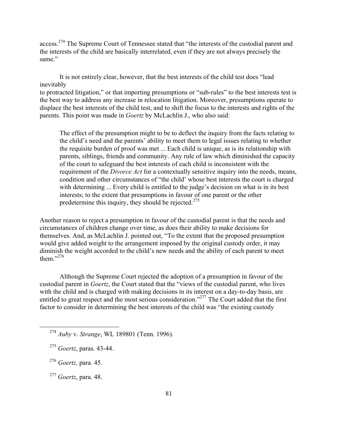access.<sup>274</sup> The Supreme Court of Tennessee stated that "the interests of the custodial parent and the interests of the child are basically interrelated, even if they are not always precisely the same."

 It is not entirely clear, however, that the best interests of the child test does "lead inevitably

to protracted litigation," or that importing presumptions or "sub-rules" to the best interests test is the best way to address any increase in relocation litigation. Moreover, presumptions operate to displace the best interests of the child test, and to shift the focus to the interests and rights of the parents. This point was made in *Goertz* by McLachlin J., who also said:

The effect of the presumption might to be to deflect the inquiry from the facts relating to the child's need and the parents' ability to meet them to legal issues relating to whether the requisite burden of proof was met ... Each child is unique, as is its relationship with parents, siblings, friends and community. Any rule of law which diminished the capacity of the court to safeguard the best interests of each child is inconsistent with the requirement of the *Divorce Act* for a contextually sensitive inquiry into the needs, means, condition and other circumstances of "the child' whose best interests the court is charged with determining ... Every child is entitled to the judge's decision on what is in its best interests; to the extent that presumptions in favour of one parent or the other predetermine this inquiry, they should be rejected.<sup>275</sup>

Another reason to reject a presumption in favour of the custodial parent is that the needs and circumstances of children change over time, as does their ability to make decisions for themselves. And, as McLachlin J. pointed out, "To the extent that the proposed presumption would give added weight to the arrangement imposed by the original custody order, it may diminish the weight accorded to the child's new needs and the ability of each parent to meet them." $276$ 

 Although the Supreme Court rejected the adoption of a presumption in favour of the custodial parent in *Goertz*, the Court stated that the "views of the custodial parent, who lives with the child and is charged with making decisions in its interest on a day-to-day basis, are entitled to great respect and the most serious consideration."<sup>277</sup> The Court added that the first factor to consider in determining the best interests of the child was "the existing custody

 <sup>274</sup> *Auby* v. *Strange*, WL 189801 (Tenn. 1996).

<sup>275</sup> *Goertz*, paras. 43-44.

<sup>276</sup> *Goertz,* para. 45.

<sup>277</sup> *Goertz*, para. 48.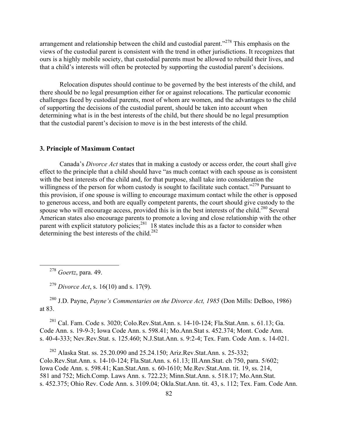arrangement and relationship between the child and custodial parent."<sup>278</sup> This emphasis on the views of the custodial parent is consistent with the trend in other jurisdictions. It recognizes that ours is a highly mobile society, that custodial parents must be allowed to rebuild their lives, and that a child's interests will often be protected by supporting the custodial parent's decisions.

 Relocation disputes should continue to be governed by the best interests of the child, and there should be no legal presumption either for or against relocations. The particular economic challenges faced by custodial parents, most of whom are women, and the advantages to the child of supporting the decisions of the custodial parent, should be taken into account when determining what is in the best interests of the child, but there should be no legal presumption that the custodial parent's decision to move is in the best interests of the child.

# **3. Principle of Maximum Contact**

 Canada's *Divorce Act* states that in making a custody or access order, the court shall give effect to the principle that a child should have "as much contact with each spouse as is consistent with the best interests of the child and, for that purpose, shall take into consideration the willingness of the person for whom custody is sought to facilitate such contact."<sup>279</sup> Pursuant to this provision, if one spouse is willing to encourage maximum contact while the other is opposed to generous access, and both are equally competent parents, the court should give custody to the spouse who will encourage access, provided this is in the best interests of the child.<sup>280</sup> Several American states also encourage parents to promote a loving and close relationship with the other parent with explicit statutory policies;<sup>281</sup> 18 states include this as a factor to consider when determining the best interests of the child.<sup>282</sup>

<sup>279</sup> *Divorce Act*, s. 16(10) and s. 17(9).

280 J.D. Payne, *Payne's Commentaries on the Divorce Act, 1985* (Don Mills: DeBoo, 1986) at 83.

281 Cal. Fam. Code s. 3020; Colo.Rev.Stat.Ann. s. 14-10-124; Fla.Stat.Ann. s. 61.13; Ga. Code Ann. s. 19-9-3; Iowa Code Ann. s. 598.41; Mo.Ann.Stat s. 452.374; Mont. Code Ann. s. 40-4-333; Nev.Rev.Stat. s. 125.460; N.J.Stat.Ann. s. 9:2-4; Tex. Fam. Code Ann. s. 14-021.

282 Alaska Stat. ss. 25.20.090 and 25.24.150; Ariz.Rev.Stat.Ann. s. 25-332; Colo.Rev.Stat.Ann. s. 14-10-124; Fla.Stat.Ann. s. 61.13; Ill.Ann.Stat. ch 750, para. 5/602; Iowa Code Ann. s. 598.41; Kan.Stat.Ann. s. 60-1610; Me.Rev.Stat.Ann. tit. 19, ss. 214, 581 and 752; Mich.Comp. Laws Ann. s. 722.23; Minn.Stat.Ann. s. 518.17; Mo.Ann.Stat. s. 452.375; Ohio Rev. Code Ann. s. 3109.04; Okla.Stat.Ann. tit. 43, s. 112; Tex. Fam. Code Ann.

 <sup>278</sup> *Goertz*, para. 49.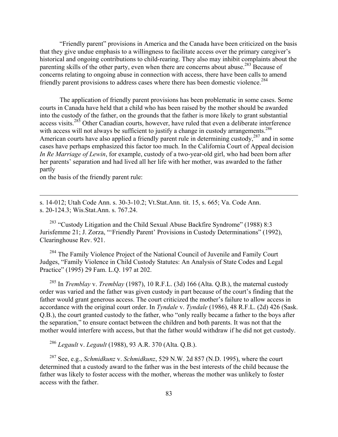"Friendly parent" provisions in America and the Canada have been criticized on the basis that they give undue emphasis to a willingness to facilitate access over the primary caregiver's historical and ongoing contributions to child-rearing. They also may inhibit complaints about the parenting skills of the other party, even when there are concerns about abuse.<sup>283</sup> Because of concerns relating to ongoing abuse in connection with access, there have been calls to amend friendly parent provisions to address cases where there has been domestic violence.<sup>284</sup>

 The application of friendly parent provisions has been problematic in some cases. Some courts in Canada have held that a child who has been raised by the mother should be awarded into the custody of the father, on the grounds that the father is more likely to grant substantial access visits.<sup>285</sup> Other Canadian courts, however, have ruled that even a deliberate interference with access will not always be sufficient to justify a change in custody arrangements.<sup>286</sup> American courts have also applied a friendly parent rule in determining custody,  $287$  and in some cases have perhaps emphasized this factor too much. In the California Court of Appeal decision *In Re Marriage of Lewin*, for example, custody of a two-year-old girl, who had been born after her parents' separation and had lived all her life with her mother, was awarded to the father partly

on the basis of the friendly parent rule:

<u>.</u>

s. 14-012; Utah Code Ann. s. 30-3-10.2; Vt.Stat.Ann. tit. 15, s. 665; Va. Code Ann. s. 20-124.3; Wis.Stat.Ann. s. 767.24.

<sup>283</sup> "Custody Litigation and the Child Sexual Abuse Backfire Syndrome" (1988) 8:3 Jurisfemme 21; J. Zorza, "'Friendly Parent' Provisions in Custody Determinations" (1992), Clearinghouse Rev. 921.

<sup>284</sup> The Family Violence Project of the National Council of Juvenile and Family Court Judges, "Family Violence in Child Custody Statutes: An Analysis of State Codes and Legal Practice" (1995) 29 Fam. L.Q. 197 at 202.

285 In *Tremblay* v. *Tremblay* (1987), 10 R.F.L. (3d) 166 (Alta. Q.B.), the maternal custody order was varied and the father was given custody in part because of the court's finding that the father would grant generous access. The court criticized the mother's failure to allow access in accordance with the original court order. In *Tyndale* v. *Tyndale* (1986), 48 R.F.L. (2d) 426 (Sask. Q.B.), the court granted custody to the father, who "only really became a father to the boys after the separation," to ensure contact between the children and both parents. It was not that the mother would interfere with access, but that the father would withdraw if he did not get custody.

<sup>286</sup> *Legault* v. *Legault* (1988), 93 A.R. 370 (Alta. Q.B.).

287 See, e.g., *Schmidkunz* v. *Schmidkunz*, 529 N.W. 2d 857 (N.D. 1995), where the court determined that a custody award to the father was in the best interests of the child because the father was likely to foster access with the mother, whereas the mother was unlikely to foster access with the father.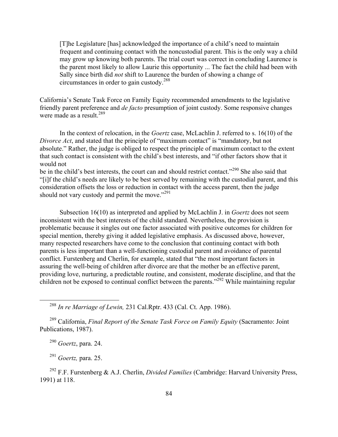[T]he Legislature [has] acknowledged the importance of a child's need to maintain frequent and continuing contact with the noncustodial parent. This is the only way a child may grow up knowing both parents. The trial court was correct in concluding Laurence is the parent most likely to allow Laurie this opportunity ... The fact the child had been with Sally since birth did *not* shift to Laurence the burden of showing a change of circumstances in order to gain custody.288

California's Senate Task Force on Family Equity recommended amendments to the legislative friendly parent preference and *de facto* presumption of joint custody. Some responsive changes were made as a result.<sup>289</sup>

 In the context of relocation, in the *Goertz* case, McLachlin J. referred to s. 16(10) of the *Divorce Act*, and stated that the principle of "maximum contact" is "mandatory, but not absolute." Rather, the judge is obliged to respect the principle of maximum contact to the extent that such contact is consistent with the child's best interests, and "if other factors show that it would not

be in the child's best interests, the court can and should restrict contact."<sup>290</sup> She also said that "[i]f the child's needs are likely to be best served by remaining with the custodial parent, and this consideration offsets the loss or reduction in contact with the access parent, then the judge should not vary custody and permit the move."<sup>291</sup>

 Subsection 16(10) as interpreted and applied by McLachlin J. in *Goertz* does not seem inconsistent with the best interests of the child standard. Nevertheless, the provision is problematic because it singles out one factor associated with positive outcomes for children for special mention, thereby giving it added legislative emphasis. As discussed above, however, many respected researchers have come to the conclusion that continuing contact with both parents is less important than a well-functioning custodial parent and avoidance of parental conflict. Furstenberg and Cherlin, for example, stated that "the most important factors in assuring the well-being of children after divorce are that the mother be an effective parent, providing love, nurturing, a predictable routine, and consistent, moderate discipline, and that the children not be exposed to continual conflict between the parents."<sup>292</sup> While maintaining regular

288 *In re Marriage of Lewin,* 231 Cal.Rptr. 433 (Cal. Ct. App. 1986).

289 California, *Final Report of the Senate Task Force on Family Equity* (Sacramento: Joint Publications, 1987).

<sup>290</sup> *Goertz*, para. 24.

<sup>291</sup> *Goertz,* para. 25.

292 F.F. Furstenberg & A.J. Cherlin, *Divided Families* (Cambridge: Harvard University Press, 1991) at 118.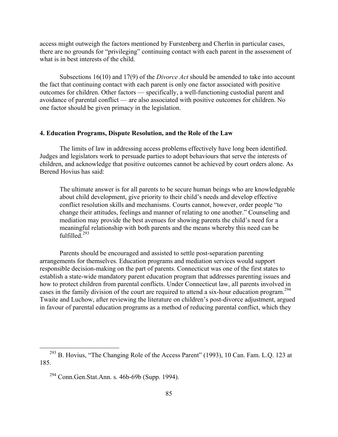access might outweigh the factors mentioned by Furstenberg and Cherlin in particular cases, there are no grounds for "privileging" continuing contact with each parent in the assessment of what is in best interests of the child.

 Subsections 16(10) and 17(9) of the *Divorce Act* should be amended to take into account the fact that continuing contact with each parent is only one factor associated with positive outcomes for children. Other factors — specifically, a well-functioning custodial parent and avoidance of parental conflict — are also associated with positive outcomes for children. No one factor should be given primacy in the legislation.

## **4. Education Programs, Dispute Resolution, and the Role of the Law**

 The limits of law in addressing access problems effectively have long been identified. Judges and legislators work to persuade parties to adopt behaviours that serve the interests of children, and acknowledge that positive outcomes cannot be achieved by court orders alone. As Berend Hovius has said:

The ultimate answer is for all parents to be secure human beings who are knowledgeable about child development, give priority to their child's needs and develop effective conflict resolution skills and mechanisms. Courts cannot, however, order people "to change their attitudes, feelings and manner of relating to one another." Counseling and mediation may provide the best avenues for showing parents the child's need for a meaningful relationship with both parents and the means whereby this need can be fulfilled. $293$ 

 Parents should be encouraged and assisted to settle post-separation parenting arrangements for themselves. Education programs and mediation services would support responsible decision-making on the part of parents. Connecticut was one of the first states to establish a state-wide mandatory parent education program that addresses parenting issues and how to protect children from parental conflicts. Under Connecticut law, all parents involved in cases in the family division of the court are required to attend a six-hour education program.294 Twaite and Luchow, after reviewing the literature on children's post-divorce adjustment, argued in favour of parental education programs as a method of reducing parental conflict, which they

<sup>&</sup>lt;sup>293</sup> B. Hovius, "The Changing Role of the Access Parent" (1993), 10 Can. Fam. L.Q. 123 at 185.

<sup>294</sup> Conn.Gen.Stat.Ann. s. 46b-69b (Supp. 1994).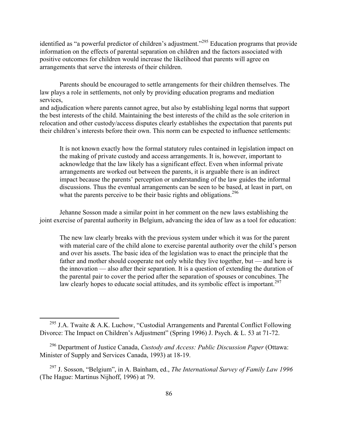identified as "a powerful predictor of children's adjustment."<sup>295</sup> Education programs that provide information on the effects of parental separation on children and the factors associated with positive outcomes for children would increase the likelihood that parents will agree on arrangements that serve the interests of their children.

 Parents should be encouraged to settle arrangements for their children themselves. The law plays a role in settlements, not only by providing education programs and mediation services,

and adjudication where parents cannot agree, but also by establishing legal norms that support the best interests of the child. Maintaining the best interests of the child as the sole criterion in relocation and other custody/access disputes clearly establishes the expectation that parents put their children's interests before their own. This norm can be expected to influence settlements:

It is not known exactly how the formal statutory rules contained in legislation impact on the making of private custody and access arrangements. It is, however, important to acknowledge that the law likely has a significant effect. Even when informal private arrangements are worked out between the parents, it is arguable there is an indirect impact because the parents' perception or understanding of the law guides the informal discussions. Thus the eventual arrangements can be seen to be based, at least in part, on what the parents perceive to be their basic rights and obligations.  $2^{96}$ 

 Jehanne Sosson made a similar point in her comment on the new laws establishing the joint exercise of parental authority in Belgium, advancing the idea of law as a tool for education:

The new law clearly breaks with the previous system under which it was for the parent with material care of the child alone to exercise parental authority over the child's person and over his assets. The basic idea of the legislation was to enact the principle that the father and mother should cooperate not only while they live together, but — and here is the innovation — also after their separation. It is a question of extending the duration of the parental pair to cover the period after the separation of spouses or concubines. The law clearly hopes to educate social attitudes, and its symbolic effect is important.<sup>297</sup>

 $295$  J.A. Twaite & A.K. Luchow, "Custodial Arrangements and Parental Conflict Following Divorce: The Impact on Children's Adjustment" (Spring 1996) J. Psych. & L. 53 at 71-72.

<sup>296</sup> Department of Justice Canada, *Custody and Access: Public Discussion Paper* (Ottawa: Minister of Supply and Services Canada, 1993) at 18-19.

<sup>297</sup> J. Sosson, "Belgium", in A. Bainham, ed., *The International Survey of Family Law 1996* (The Hague: Martinus Nijhoff, 1996) at 79.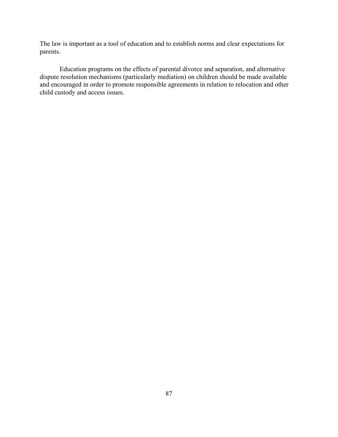The law is important as a tool of education and to establish norms and clear expectations for parents.

 Education programs on the effects of parental divorce and separation, and alternative dispute resolution mechanisms (particularly mediation) on children should be made available and encouraged in order to promote responsible agreements in relation to relocation and other child custody and access issues.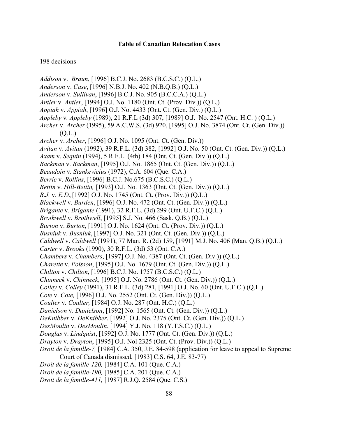## **Table of Canadian Relocation Cases**

### 198 decisions

*Addison* v. *Braun*, [1996] B.C.J. No. 2683 (B.C.S.C.) (Q.L.) *Anderson* v. *Case*, [1996] N.B.J. No. 402 (N.B.Q.B.) (Q.L.) *Anderson* v. *Sullivan*, [1996] B.C.J. No. 905 (B.C.C.A.) (Q.L.) *Antler* v. *Antler*, [1994] O.J. No. 1180 (Ont. Ct. (Prov. Div.)) (Q.L.) *Appiah* v. *Appiah*, [1996] O.J. No. 4433 (Ont. Ct. (Gen. Div.) (Q.L.) *Appleby* v*. Appleby* (1989), 21 R.F.L (3d) 307, [1989] O.J. No. 2547 (Ont. H.C. ) (Q.L.) *Archer* v. *Archer* (1995), 59 A.C.W.S. (3d) 920, [1995] O.J. No. 3874 (Ont. Ct. (Gen. Div.))  $(Q.L.)$ *Archer* v. *Archer*, [1996] O.J. No. 1095 (Ont. Ct. (Gen. Div.)) *Avitan* v. *Avitan* (1992), 39 R.F.L. (3d) 382, [1992] O.J. No. 50 (Ont. Ct. (Gen. Div.)) (Q.L.) *Axam* v. *Sequin* (1994), 5 R.F.L. (4th) 184 (Ont. Ct. (Gen. Div.)) (Q.L.) *Backman* v. *Backman*, [1995] O.J. No. 1865 (Ont. Ct. (Gen. Div.)) (Q.L.) *Beaudoin* v*. Stankevicius* (1972), C.A. 604 (Que. C.A.) *Berrie* v. *Rollins*, [1996] B.C.J. No.675 (B.C.S.C.) (Q.L.) *Bettin* v*. Hill-Bettin,* [1993] O.J. No. 1363 (Ont. Ct. (Gen. Div.)) (Q.L.) *B.J.* v. *E.D.,*[1992] O.J. No. 1745 (Ont. Ct. (Prov. Div.)) (Q.L.) *Blackwell* v. *Burden*, [1996] O.J. No. 472 (Ont. Ct. (Gen. Div.)) (Q.L.) *Brigante* v. *Brigante* (1991), 32 R.F.L. (3d) 299 (Ont. U.F.C.) (Q.L.) *Brothwell* v. *Brothwell*, [1995] S.J. No. 466 (Sask. Q.B.) (Q.L.) *Burton* v. *Burton*, [1991] O.J. No. 1624 (Ont. Ct. (Prov. Div.)) (Q.L.) *Busniuk* v. *Busniuk*, [1997] O.J. No. 321 (Ont. Ct. (Gen. Div.)) (Q.L.) *Caldwell* v. *Caldwell* (1991), 77 Man. R. (2d) 159, [1991] M.J. No. 406 (Man. Q.B.) (Q.L.) *Carter* v. *Brooks* (1990), 30 R.F.L. (3d) 53 (Ont. C.A.) *Chambers* v. *Chambers*, [1997] O.J. No. 4387 (Ont. Ct. (Gen. Div.)) (Q.L.) *Charette* v. *Poisson*, [1995] O.J. No. 1679 (Ont. Ct. (Gen. Div.)) (Q.L.) *Chilton* v. *Chilton*, [1996] B.C.J. No. 1757 (B.C.S.C.) (Q.L.) *Chinneck* v. *Chinneck*, [1995] O.J. No. 2786 (Ont. Ct. (Gen. Div.)) (Q.L.) *Colley* v*. Colley* (1991), 31 R.F.L. (3d) 281, [1991] O.J. No. 60 (Ont. U.F.C.) (Q.L.) *Cote* v. *Cote,* [1996] O.J. No. 2552 (Ont. Ct. (Gen. Div.)) (Q.L.) *Coulter* v*. Coulter,* [1984] O.J. No. 287 (Ont. H.C.) (Q.L.) *Danielson* v. *Danielson*, [1992] No. 1565 (Ont. Ct. (Gen. Div.)) (Q.L.) *DeKnibber* v. *DeKnibber*, [1992] O.J. No. 2375 (Ont. Ct. (Gen. Div.)) (Q.L.) *DesMoulin* v. *DesMoulin*, [1994] Y.J. No. 118 (Y.T.S.C.) (Q.L.) *Douglas* v. *Lindquist*, [1992] O.J. No. 1777 (Ont. Ct. (Gen. Div.)) (Q.L.) *Drayton* v. *Drayton*, [1995] O.J. Nol 2325 (Ont. Ct. (Prov. Div.)) (Q.L.) *Droit de la famille-7,* [1984] C.A. 350, J.E. 84-598 (application for leave to appeal to Supreme Court of Canada dismissed, [1983] C.S. 64, J.E. 83-77) *Droit de la famille-120,* [1984] C.A. 101 (Que. C.A.) *Droit de la famille-190,* [1985] C.A. 201 (Que. C.A.) *Droit de la famille-411,* [1987] R.J.Q. 2584 (Que. C.S.)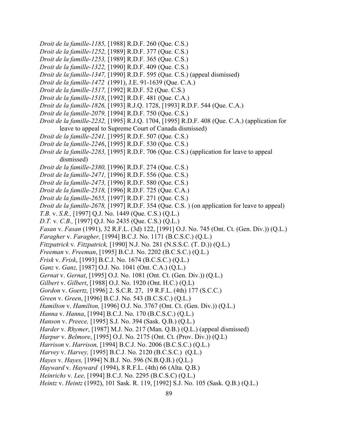*Droit de la famille-1185,* [1988] R.D.F. 260 (Que. C.S.) *Droit de la famille-1252,* [1989] R.D.F. 377 (Que. C.S.) *Droit de la famille-1253,* [1989] R.D.F. 365 (Que. C.S.) *Droit de la famille-1322,* [1990] R.D.F. 409 (Que. C.S.) *Droit de la famille-1347,* [1990] R.D.F. 595 (Que. C.S.) (appeal dismissed) *Droit de la famille-1472* (1991), J.E. 91-1639 (Que. C.A.) *Droit de la famille-1517,* [1992] R.D.F. 52 (Que. C.S.) *Droit de la famille-1518*, [1992] R.D.F. 481 (Que. C.A.) *Droit de la famille-1826,* [1993] R.J.Q. 1728, [1993] R.D.F. 544 (Que. C.A.) *Droit de la famille-2079,* [1994] R.D.F. 750 (Que. C.S.) *Droit de la famille-2232,* [1995] R.J.Q. 1704, [1995] R.D.F. 408 (Que. C.A.) (application for leave to appeal to Supreme Court of Canada dismissed) *Droit de la famille-2241,* [1995] R.D.F. 507 (Que. C.S.) *Droit de la famille-2246*, [1995] R.D.F. 530 (Que. C.S.) *Droit de la famille-2283,* [1995] R.D.F. 706 (Que. C.S.) (application for leave to appeal dismissed) *Droit de la famille-2380,* [1996] R.D.F. 274 (Que. C.S.) *Droit de la famille-2471,* [1996] R.D.F. 556 (Que. C.S.) *Droit de la famille-2473,* [1996] R.D.F. 580 (Que. C.S.) *Droit de la famille-2518,* [1996] R.D.F. 725 (Que. C.A.) *Droit de la famille-2655,* [1997] R.D.F. 271 (Que. C.S.) *Droit de la famille-2678,* [1997] R.D.F. 354 (Que. C.S. ) (on application for leave to appeal) *T.B.* v. *S.R.,* [1997] Q.J. No. 1449 (Que. C.S.) (Q.L.) *D.T.* v*. C.B.,* [1997] Q.J. No 2435 (Que. C.S.) (Q.L.) *Fasan* v. *Fasan* (1991), 32 R.F.L. (3d) 122, [1991] O.J. No. 745 (Ont. Ct. (Gen. Div.)) (Q.L.) *Faragher* v. *Faragher,* [1994] B.C.J. No. 1171 (B.C.S.C.) (Q.L.) *Fitzpatrick* v*. Fitzpatrick,* [1990] N.J. No. 281 (N.S.S.C. (T. D.)) (Q.L.) *Freeman* v. *Freeman*, [1995] B.C.J. No. 2202 (B.C.S.C.) (Q.L.) *Frisk* v. *Frisk*, [1993] B.C.J. No. 1674 (B.C.S.C.) (Q.L.) *Ganz* v. *Ganz,* [1987] O.J. No. 1041 (Ont. C.A.) (Q.L.) *Gernat* v. *Gernat*, [1995] O.J. No. 1081 (Ont. Ct. (Gen. Div.)) (Q.L.) *Gilbert* v. *Gilbert*, [1988] O.J. No. 1920 (Ont. H.C.) (Q.L) *Gordon* v. *Goertz,* [1996] 2. S.C.R. 27, 19 R.F.L. (4th) 177 (S.C.C.) *Green* v. *Green*, [1996] B.C.J. No. 543 (B.C.S.C.) (Q.L.) *Hamilton* v. *Hamilton,* [1996] O.J. No. 3767 (Ont. Ct. (Gen. Div.)) (Q.L.) *Hanna* v. *Hanna*, [1994] B.C.J. No. 170 (B.C.S.C.) (Q.L.) *Hanson* v. *Preece,* [1995] S.J. No. 394 (Sask. Q.B.) (Q.L.) *Harder* v. *Rhymer*, [1987] M.J. No. 217 (Man. Q.B.) (Q.L.) (appeal dismissed) *Harpur* v. *Belmore*, [1995] O.J. No. 2175 (Ont. Ct. (Prov. Div.)) (Q.L) *Harrison* v. *Harrison,* [1994] B.C.J. No. 2006 (B.C.S.C.) (Q.L.) *Harvey* v. *Harvey,* [1995] B.C.J. No. 2120 (B.C.S.C.) (Q.L.) *Hayes* v. *Hayes,* [1994] N.B.J. No. 596 (N.B.Q.B.) (Q.L.) *Hayward* v. *Hayward* (1994), 8 R.F.L. (4th) 66 (Alta. Q.B.) *Heinrichs* v*. Lee,* [1994] B.C.J. No. 2295 (B.C.S.C) (Q.L.) *Heintz* v. *Heintz* (1992), 101 Sask. R. 119, [1992] S.J. No. 105 (Sask. Q.B.) (Q.L.)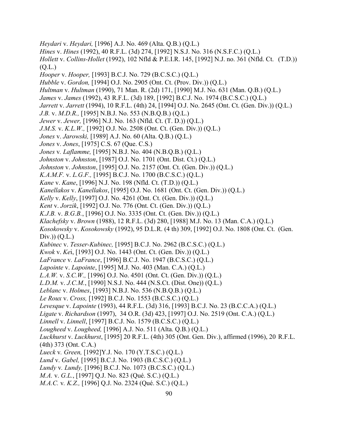*Heydari* v. *Heydari,* [1996] A.J. No. 469 (Alta. Q.B.) (Q.L.) *Hines* v. *Hines* (1992), 40 R.F.L. (3d) 274, [1992] N.S.J. No. 316 (N.S.F.C.) (Q.L.) *Hollett* v. *Collins-Hollet* (1992), 102 Nfld & P.E.I.R. 145, [1992] N.J. no. 361 (Nfld. Ct. (T.D.))  $(Q.L.)$ *Hooper* v. *Hooper,* [1993] B.C.J. No. 729 (B.C.S.C.) (Q.L.) *Hubble* v. *Gordon,* [1994] O.J. No. 2905 (Ont. Ct. (Prov. Div.)) (Q.L.) *Hultman* v. *Hultman* (1990), 71 Man. R. (2d) 171, [1990] M.J. No. 631 (Man. Q.B.) (Q.L.) *James* v. *James* (1992), 43 R.F.L. (3d) 189, [1992] B.C.J. No. 1974 (B.C.S.C.) (Q.L.) *Jarrett* v. *Jarrett* (1994), 10 R.F.L. (4th) 24, [1994] O.J. No. 2645 (Ont. Ct. (Gen. Div.)) (Q.L.) *J.B.* v. *M.D.R.,* [1995] N.B.J. No. 553 (N.B.Q.B.) (Q.L.) *Jewer* v. *Jewer,* [1996] N.J. No. 163 (Nfld. Ct. (T. D.)) (Q.L.) *J.M.S.* v. *K.L.W.,* [1992] O.J. No. 2508 (Ont. Ct. (Gen. Div.)) (Q.L.) *Jones* v. *Jarowski,* [1989] A.J. No. 60 (Alta. Q.B.) (Q.L.) *Jones* v. *Jones*, [1975] C.S. 67 (Que. C.S.) *Jones* v*. Laflamme,* [1995] N.B.J. No. 404 (N.B.Q.B.) (Q.L.) *Johnston* v. *Johnston*, [1987] O.J. No. 1701 (Ont. Dist. Ct.) (Q.L.) *Johnston* v. *Johnston*, [1995] O.J. No. 2157 (Ont. Ct. (Gen. Div.)) (Q.L.) *K.A.M.F.* v. *L.G.F.,* [1995] B.C.J. No. 1700 (B.C.S.C.) (Q.L.) *Kane* v. *Kane*, [1996] N.J. No. 198 (Nfld. Ct. (T.D.)) (Q.L.) *Kanellakos* v. *Kanellakos*, [1995] O.J. No. 1681 (Ont. Ct. (Gen. Div.)) (Q.L.) *Kelly* v. *Kelly*, [1997] O.J. No. 4261 (Ont. Ct. (Gen. Div.)) (Q.L.) *Kent* v. *Jorzik*, [1992] O.J. No. 776 (Ont. Ct. (Gen. Div.)) (Q.L.) *K.J.B.* v. *B.G.B.*, [1996] O.J. No. 3335 (Ont. Ct. (Gen. Div.)) (Q.L.) *Klachefsky* v. *Brown* (1988), 12 R.F.L. (3d) 280, [1988] M.J. No. 13 (Man. C.A.) (Q.L.) *Kosokowsky* v. *Kosokowsky* (1992), 95 D.L.R. (4 th) 309, [1992] O.J. No. 1808 (Ont. Ct. (Gen. Div.)) (Q.L.) *Kubinec* v. *Tesser-Kubinec,* [1995] B.C.J. No. 2962 (B.C.S.C.) (Q.L.) *Kwok* v. *Ke*i, [1993] O.J. No. 1443 (Ont. Ct. (Gen. Div.)) (Q.L.) *LaFrance* v*. LaFrance*, [1996] B.C.J. No. 1947 (B.C.S.C.) (Q.L.) *Lapointe* v. *Lapointe*, [1995] M.J. No. 403 (Man. C.A.) (Q.L.) *L.A.W.* v. *S.C.W.,* [1996] O.J. No. 4501 (Ont. Ct. (Gen. Div.)) (Q.L.) *L.D.M.* v. *J.C.M.*, [1990] N.S.J. No. 444 (N.S.Ct. (Dist. One)) (Q.L.) *Leblanc* v. *Holmes*, [1993] N.B.J. No. 536 (N.B.Q.B.) (Q.L.) *Le Roux* v. *Cross,* [1992] B.C.J. No. 1553 (B.C.S.C.) (Q.L.) *Levesque* v. *Lapointe* (1993), 44 R.F.L. (3d) 316, [1993] B.C.J. No. 23 (B.C.C.A.) (Q.L.) *Ligate* v. *Richardson* (1997), 34 O.R. (3d) 423, [1997] O.J. No. 2519 (Ont. C.A.) (Q.L.) *Linnell* v. *Linnell*, [1997] B.C.J. No. 1579 (B.C.S.C.) (Q.L.) *Lougheed* v. *Lougheed,* [1996] A.J. No. 511 (Alta. Q.B.) (Q.L.) *Luckhurst* v. *Luckhurst*, [1995] 20 R.F.L. (4th) 305 (Ont. Gen. Div.), affirmed (1996), 20 R.F.L. (4th) 373 (Ont. C.A.) *Lueck* v*. Green,* [1992]Y.J. No. 170 (Y.T.S.C.) (Q.L.) *Lund* v. *Gabel,* [1995] B.C.J. No. 1903 (B.C.S.C.) (Q.L.) *Lundy* v*. Lundy,* [1996] B.C.J. No. 1073 (B.C.S.C.) (Q.L.) *M.A.* v. *G.L.*, [1997] Q.J. No. 823 (Qué. S.C.) (Q.L.) *M.A.C.* v*. K.Z.,* [1996] Q.J. No. 2324 (Qué. S.C.) (Q.L.)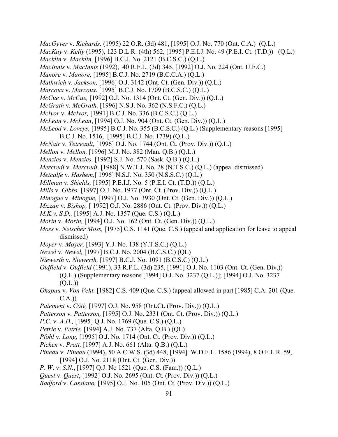- *MacGyver* v. *Richards,* (1995) 22 O.R. (3d) 481, [1995] O.J. No. 770 (Ont. C.A.) (Q.L.)
- *MacKay* v. *Kelly* (1995), 123 D.L.R. (4th) 562, [1995] P.E.I.J. No. 49 (P.E.I. Ct. (T.D.)) (Q.L.)
- *Macklin* v*. Macklin,* [1996] B.C.J. No. 2121 (B.C.S.C.) (Q.L.)
- *MacInnis* v*. MacInnis* (1992), 40 R.F.L. (3d) 345, [1992] O.J. No. 224 (Ont. U.F.C.)
- *Manore* v*. Manore,* [1995] B.C.J. No. 2719 (B.C.C.A.) (Q.L.)
- *Mathwich* v*. Jackson,* [1996] O.J. 3142 (Ont. Ct. (Gen. Div.)) (Q.L.)
- *Marcoux* v. *Marcoux*, [1995] B.C.J. No. 1709 (B.C.S.C.) (Q.L.)
- *McCue* v*. McCue,* [1992] O.J. No. 1314 (Ont. Ct. (Gen. Div.)) (Q.L.)
- *McGrath* v*. McGrath,* [1996] N.S.J. No. 362 (N.S.F.C.) (Q.L.)
- *McIvor* v. *McIvor,* [1991] B.C.J. No. 336 (B.C.S.C.) (Q.L.)
- *McLean* v. *McLean*, [1994] O.J. No. 904 (Ont. Ct. (Gen. Div.)) (Q.L.)
- *McLeod* v. *Loveys,* [1995] B.C.J. No. 355 (B.C.S.C.) (Q.L.) (Supplementary reasons [1995] B.C.J. No. 1516, [1995] B.C.J. No. 1739) (Q.L.)
- *McNair* v*. Tetreault,* [1996] O.J. No. 1744 (Ont. Ct. (Prov. Div.)) (Q.L.)
- *Mellon* v*. Mellon,* [1996] M.J. No. 382 (Man. Q.B.) (Q.L.)
- *Menzies* v. *Menzies,* [1992] S.J. No. 570 (Sask. Q.B.) (Q.L.)
- *Mercredi* v*. Mercredi,* [1988] N.W.T.J. No. 28 (N.T.S.C.) (Q.L.) (appeal dismissed)
- *Metcalfe* v. *Hashem,*[ 1996] N.S.J. No. 350 (N.S.S.C.) (Q.L.)
- *Millman* v*. Shields,* [1995] P.E.I.J. No. 5 (P.E.I. Ct. (T.D.)) (Q.L.)
- *Mills* v. *Gibbs,* [1997] O.J. No. 1977 (Ont. Ct. (Prov. Div.)) (Q.L.)
- *Minogue* v. *Minogue,* [1997] O.J. No. 3930 (Ont. Ct. (Gen. Div.)) (Q.L.)
- *Mizzan* v*. Bishop,* [ 1992] O.J. No. 2886 (Ont. Ct. (Prov. Div.)) (Q.L.)
- *M.K.v. S.D.,* [1995] A.J. No. 1357 (Que. C.S.) (Q.L.)
- *Morin* v*. Morin,* [1994] O.J. No. 162 (Ont. Ct. (Gen. Div.)) (Q.L.)
- *Moss* v*. Netscher Moss,* [1975] C.S. 1141 (Que. C.S.) (appeal and application for leave to appeal dismissed)
- *Moyer* v. *Moyer,* [1993] Y.J. No. 138 (Y.T.S.C.) (Q.L.)
- *Newel* v*. Newel,* [1997] B.C.J. No. 2004 (B.C.S.C.) (QL)
- *Niewerth* v*. Niewerth,* [1997] B.C.J. No. 1091 (B.C.S.C) (Q.L.)
- *Oldfield* v*. Oldfield* (1991), 33 R.F.L. (3d) 235, [1991] O.J. No. 1103 (Ont. Ct. (Gen. Div.))
	- (Q.L.) (Supplementary reasons [1994] O.J. No. 3237 (Q.L.)]; [1994] O.J. No. 3237  $(Q.L.)$
- *Okapuu* v*. Von Veht,* [1982] C.S. 409 (Que. C.S.) (appeal allowed in part [1985] C.A. 201 (Que. C.A.))
- *Paiement* v. *Côté,* [1997] O.J. No. 958 (Ont.Ct. (Prov. Div.)) (Q.L.)
- *Patterson* v*. Patterson,* [1995] O.J. No. 2331 (Ont. Ct. (Prov. Div.)) (Q.L.)
- *P.C.* v*. A.D.,* [1995] Q.J. No. 1769 (Que. C.S.) (Q.L.)
- *Petrie* v. *Petrie,* [1994] A.J. No. 737 (Alta. Q.B.) (QL)
- *Pfohl* v. *Long,* [1995] O.J. No. 1714 (Ont. Ct. (Prov. Div.)) (Q.L.)
- *Picken* v*. Pratt,* [1997] A.J. No. 661 (Alta. Q.B.) (Q.L.)
- *Pineau* v*. Pineau* (1994), 50 A.C.W.S. (3d) 448, [1994] W.D.F.L. 1586 (1994), 8 O.F.L.R. 59, [1994] O.J. No. 2118 (Ont. Ct. (Gen. Div.))
- *P. W*. v. *S.N.*, [1997] Q.J. No 1521 (Que. C.S. (Fam.)) (Q.L.)
- *Quest* v. *Quest*, [1992] O.J. No. 2695 (Ont. Ct. (Prov. Div.)) (Q.L.)
- *Radford* v. *Cassiano,* [1995] O.J. No. 105 (Ont. Ct. (Prov. Div.)) (Q.L.)